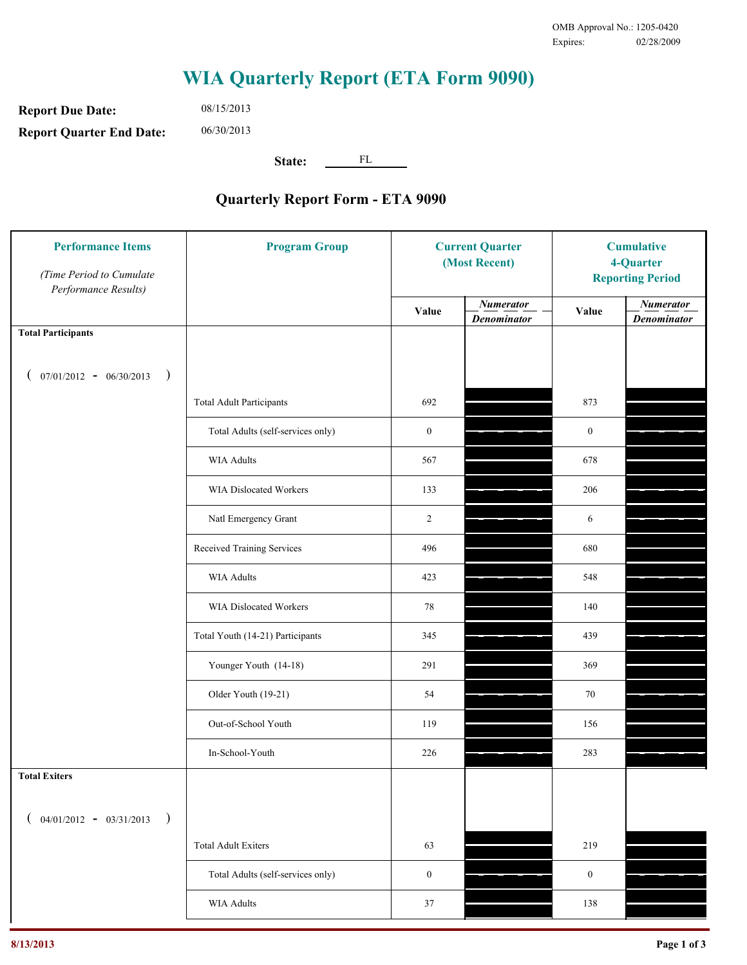**Report Due Date: Report Quarter End Date:** 06/30/2013

08/15/2013

**State:** FL

| <b>Performance Items</b><br>(Time Period to Cumulate<br>Performance Results) | <b>Program Group</b>              | <b>Current Quarter</b><br>(Most Recent) |                                        | <b>Cumulative</b><br>4-Quarter<br><b>Reporting Period</b> |                                        |
|------------------------------------------------------------------------------|-----------------------------------|-----------------------------------------|----------------------------------------|-----------------------------------------------------------|----------------------------------------|
|                                                                              |                                   | Value                                   | <b>Numerator</b><br><b>Denominator</b> | Value                                                     | <b>Numerator</b><br><b>Denominator</b> |
| <b>Total Participants</b>                                                    |                                   |                                         |                                        |                                                           |                                        |
| $07/01/2012 - 06/30/2013$ )                                                  |                                   |                                         |                                        |                                                           |                                        |
|                                                                              | <b>Total Adult Participants</b>   | 692                                     |                                        | 873                                                       |                                        |
|                                                                              | Total Adults (self-services only) | $\boldsymbol{0}$                        |                                        | $\boldsymbol{0}$                                          |                                        |
|                                                                              | <b>WIA Adults</b>                 | 567                                     |                                        | 678                                                       |                                        |
|                                                                              | WIA Dislocated Workers            | 133                                     |                                        | 206                                                       |                                        |
|                                                                              | Natl Emergency Grant              | $\overline{2}$                          |                                        | 6                                                         |                                        |
|                                                                              | Received Training Services        | 496                                     |                                        | 680                                                       |                                        |
|                                                                              | <b>WIA Adults</b>                 | 423                                     |                                        | 548                                                       |                                        |
|                                                                              | WIA Dislocated Workers            | 78                                      |                                        | 140                                                       |                                        |
|                                                                              | Total Youth (14-21) Participants  | 345                                     |                                        | 439                                                       |                                        |
|                                                                              | Younger Youth (14-18)             | 291                                     |                                        | 369                                                       |                                        |
|                                                                              | Older Youth (19-21)               | 54                                      |                                        | 70                                                        |                                        |
|                                                                              | Out-of-School Youth               | 119                                     |                                        | 156                                                       |                                        |
|                                                                              | In-School-Youth                   | 226                                     |                                        | 283                                                       |                                        |
| <b>Total Exiters</b>                                                         |                                   |                                         |                                        |                                                           |                                        |
| $($ 04/01/2012 - 03/31/2013<br>$\rightarrow$                                 |                                   |                                         |                                        |                                                           |                                        |
|                                                                              | <b>Total Adult Exiters</b>        | 63                                      |                                        | 219                                                       |                                        |
|                                                                              | Total Adults (self-services only) | $\boldsymbol{0}$                        |                                        | $\boldsymbol{0}$                                          |                                        |
|                                                                              | <b>WIA Adults</b>                 | 37                                      |                                        | 138                                                       |                                        |
|                                                                              |                                   |                                         |                                        |                                                           |                                        |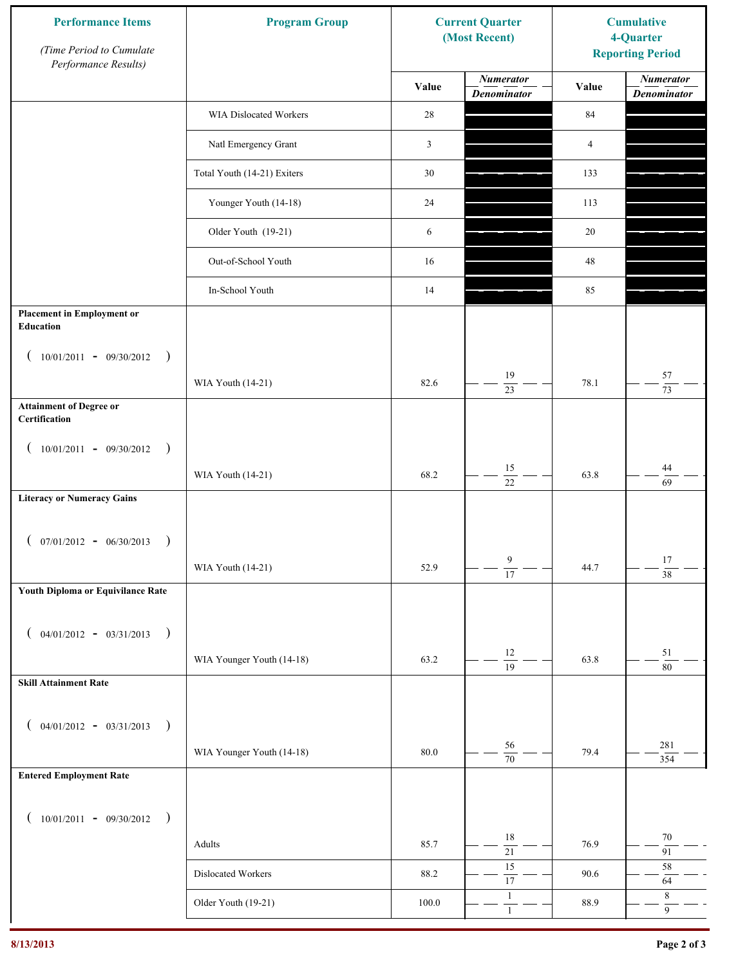| <b>Performance Items</b><br>(Time Period to Cumulate<br>Performance Results) | <b>Program Group</b>        | <b>Current Quarter</b><br>(Most Recent) |                                        | <b>Cumulative</b><br>4-Quarter<br><b>Reporting Period</b> |                                        |
|------------------------------------------------------------------------------|-----------------------------|-----------------------------------------|----------------------------------------|-----------------------------------------------------------|----------------------------------------|
|                                                                              |                             | Value                                   | <b>Numerator</b><br><b>Denominator</b> | Value                                                     | <b>Numerator</b><br><b>Denominator</b> |
|                                                                              | WIA Dislocated Workers      | 28                                      |                                        | 84                                                        |                                        |
|                                                                              | Natl Emergency Grant        | $\mathfrak{Z}$                          |                                        | $\overline{4}$                                            |                                        |
|                                                                              | Total Youth (14-21) Exiters | 30                                      |                                        | 133                                                       |                                        |
|                                                                              | Younger Youth (14-18)       | 24                                      |                                        | 113                                                       |                                        |
|                                                                              | Older Youth (19-21)         | 6                                       |                                        | 20                                                        |                                        |
|                                                                              | Out-of-School Youth         | 16                                      |                                        | $48\,$                                                    |                                        |
|                                                                              | In-School Youth             | 14                                      |                                        | 85                                                        |                                        |
| <b>Placement in Employment or</b><br>Education                               |                             |                                         |                                        |                                                           |                                        |
| $10/01/2011 - 09/30/2012$<br>$\rightarrow$                                   |                             |                                         |                                        |                                                           |                                        |
|                                                                              | WIA Youth (14-21)           | 82.6                                    | 19<br>$\overline{23}$                  | 78.1                                                      | 57<br>$\overline{73}$                  |
| <b>Attainment of Degree or</b><br>Certification                              |                             |                                         |                                        |                                                           |                                        |
| $(10/01/2011 - 09/30/2012)$<br>$\rightarrow$                                 |                             |                                         |                                        |                                                           |                                        |
|                                                                              | WIA Youth (14-21)           | 68.2                                    | $15\,$<br>$\overline{22}$              | 63.8                                                      | 44<br>69                               |
| <b>Literacy or Numeracy Gains</b>                                            |                             |                                         |                                        |                                                           |                                        |
| $($ 07/01/2012 - 06/30/2013<br>$\rightarrow$                                 |                             |                                         |                                        |                                                           |                                        |
|                                                                              | WIA Youth (14-21)           | 52.9                                    | 9<br>$\overline{17}$                   | 44.7                                                      | 17<br>$\overline{38}$                  |
| Youth Diploma or Equivilance Rate                                            |                             |                                         |                                        |                                                           |                                        |
| $04/01/2012 - 03/31/2013$<br>$\rightarrow$                                   |                             |                                         |                                        |                                                           |                                        |
|                                                                              | WIA Younger Youth (14-18)   | 63.2                                    | $12\,$                                 | 63.8                                                      | 51                                     |
| <b>Skill Attainment Rate</b>                                                 |                             |                                         | $\overline{19}$                        |                                                           | $80\,$                                 |
|                                                                              |                             |                                         |                                        |                                                           |                                        |
| $04/01/2012 - 03/31/2013$ )<br>€                                             | WIA Younger Youth (14-18)   | $80.0\,$                                | 56                                     | 79.4                                                      | 281                                    |
| <b>Entered Employment Rate</b>                                               |                             |                                         | $\overline{70}$                        |                                                           | 354                                    |
|                                                                              |                             |                                         |                                        |                                                           |                                        |
| $10/01/2011 - 09/30/2012$ )<br>€                                             |                             |                                         | 18                                     |                                                           | $70\,$                                 |
|                                                                              | Adults                      | 85.7                                    | $\overline{21}$<br>15                  | 76.9                                                      | 91<br>$58\,$                           |
|                                                                              | Dislocated Workers          | 88.2                                    | $\overline{17}$                        | 90.6                                                      | 64                                     |
|                                                                              | Older Youth (19-21)         | $100.0\,$                               | $\mathbf{1}$<br>$\mathbf{1}$           | 88.9                                                      | $\,8\,$<br>9                           |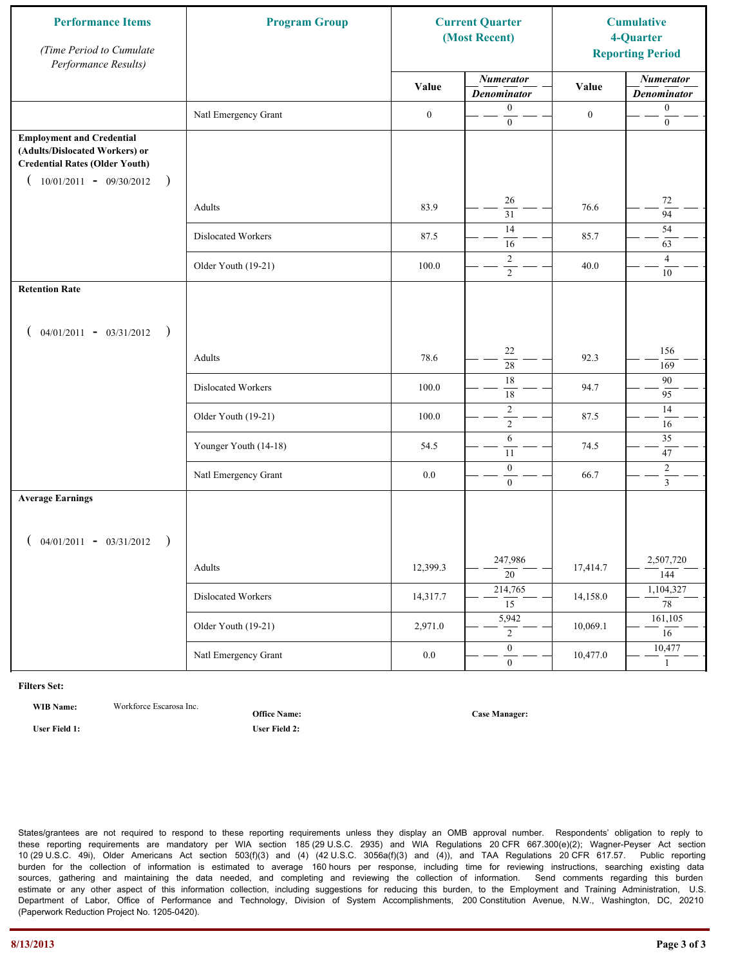| <b>Performance Items</b><br>(Time Period to Cumulate<br>Performance Results)                                                                              | <b>Program Group</b>  | <b>Current Quarter</b><br>(Most Recent) |                                        | <b>Cumulative</b><br>4-Quarter<br><b>Reporting Period</b> |                                        |
|-----------------------------------------------------------------------------------------------------------------------------------------------------------|-----------------------|-----------------------------------------|----------------------------------------|-----------------------------------------------------------|----------------------------------------|
|                                                                                                                                                           |                       | Value                                   | <b>Numerator</b><br><b>Denominator</b> | Value                                                     | <b>Numerator</b><br><b>Denominator</b> |
|                                                                                                                                                           | Natl Emergency Grant  | $\boldsymbol{0}$                        | $\boldsymbol{0}$<br>$\boldsymbol{0}$   | $\boldsymbol{0}$                                          | $\boldsymbol{0}$<br>$\boldsymbol{0}$   |
| <b>Employment and Credential</b><br>(Adults/Dislocated Workers) or<br><b>Credential Rates (Older Youth)</b><br>$10/01/2011 - 09/30/2012$<br>$\rightarrow$ |                       |                                         |                                        |                                                           |                                        |
|                                                                                                                                                           | Adults                | 83.9                                    | 26<br>$\overline{31}$                  | 76.6                                                      | 72<br>$\overline{94}$                  |
|                                                                                                                                                           | Dislocated Workers    | 87.5                                    | 14<br>16                               | 85.7                                                      | 54<br>63                               |
|                                                                                                                                                           | Older Youth (19-21)   | 100.0                                   | $\overline{2}$<br>$\overline{2}$       | 40.0                                                      | $\overline{4}$<br>$10\,$               |
| <b>Retention Rate</b>                                                                                                                                     |                       |                                         |                                        |                                                           |                                        |
| $04/01/2011 - 03/31/2012$ )                                                                                                                               |                       |                                         |                                        |                                                           |                                        |
|                                                                                                                                                           | Adults                | 78.6                                    | 22<br>28                               | 92.3                                                      | 156<br>169                             |
|                                                                                                                                                           | Dislocated Workers    | 100.0                                   | $\overline{18}$<br>$\overline{18}$     | 94.7                                                      | 90<br>95                               |
|                                                                                                                                                           | Older Youth (19-21)   | 100.0                                   | $\sqrt{2}$<br>$\overline{2}$           | 87.5                                                      | 14<br>$16\,$                           |
|                                                                                                                                                           | Younger Youth (14-18) | 54.5                                    | 6<br>11                                | 74.5                                                      | 35<br>47                               |
|                                                                                                                                                           | Natl Emergency Grant  | 0.0                                     | $\boldsymbol{0}$<br>$\mathbf{0}$       | 66.7                                                      | $\overline{c}$<br>$\overline{3}$       |
| <b>Average Earnings</b>                                                                                                                                   |                       |                                         |                                        |                                                           |                                        |
| $04/01/2011 - 03/31/2012$<br>$\rightarrow$                                                                                                                |                       |                                         |                                        |                                                           |                                        |
|                                                                                                                                                           | Adults                | 12,399.3                                | 247,986<br>$\overline{20}$             | 17,414.7                                                  | 2,507,720<br>144                       |
|                                                                                                                                                           | Dislocated Workers    | 14,317.7                                | 214,765<br>$\overline{15}$             | 14,158.0                                                  | 1,104,327<br>$\overline{78}$           |
|                                                                                                                                                           | Older Youth (19-21)   | 2,971.0                                 | 5,942<br>$\overline{2}$                | 10,069.1                                                  | 161,105<br>16                          |
|                                                                                                                                                           | Natl Emergency Grant  | $0.0\,$                                 | $\overline{0}$<br>$\mathbf{0}$         | 10,477.0                                                  | 10,477<br>$\mathbf{1}$                 |

**WIB Name:** Workforce Escarosa Inc.

**Office Name:**

**User Field 1: User Field 2:**

**Case Manager:**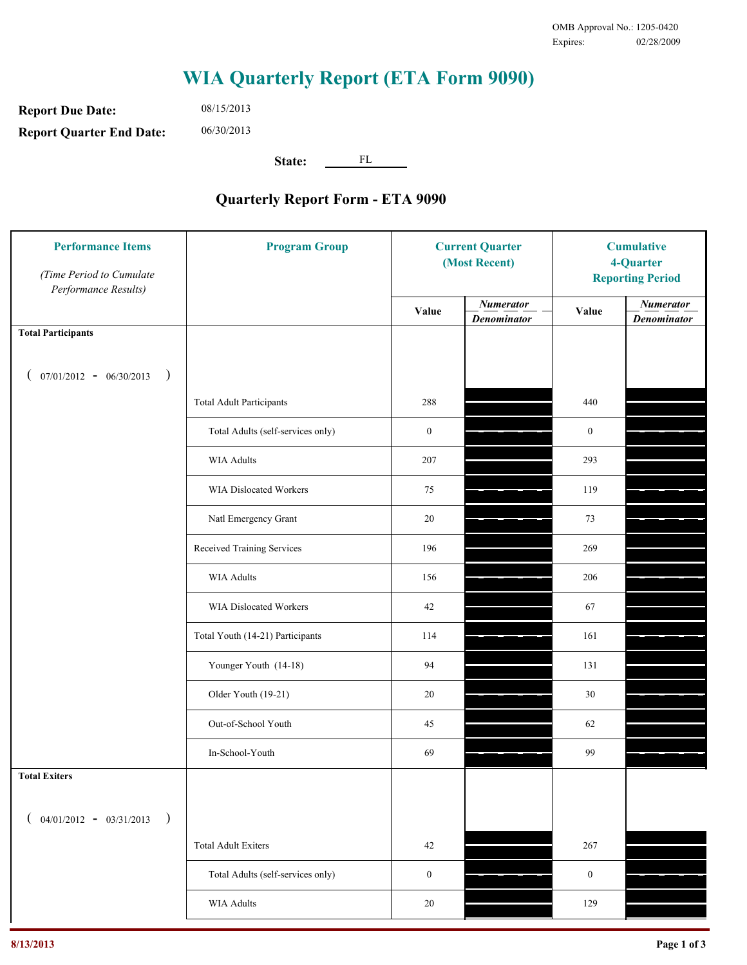**Report Due Date: Report Quarter End Date:** 08/15/2013 06/30/2013

**State:** FL

| <b>Performance Items</b><br>(Time Period to Cumulate<br>Performance Results) | <b>Program Group</b>              | <b>Current Quarter</b><br>(Most Recent) |                                        | <b>Cumulative</b><br>4-Quarter<br><b>Reporting Period</b> |                                        |
|------------------------------------------------------------------------------|-----------------------------------|-----------------------------------------|----------------------------------------|-----------------------------------------------------------|----------------------------------------|
|                                                                              |                                   | Value                                   | <b>Numerator</b><br><b>Denominator</b> | Value                                                     | <b>Numerator</b><br><b>Denominator</b> |
| <b>Total Participants</b>                                                    |                                   |                                         |                                        |                                                           |                                        |
| $07/01/2012 - 06/30/2013$ )                                                  |                                   |                                         |                                        |                                                           |                                        |
|                                                                              | <b>Total Adult Participants</b>   | 288                                     |                                        | 440                                                       |                                        |
|                                                                              | Total Adults (self-services only) | $\boldsymbol{0}$                        |                                        | $\boldsymbol{0}$                                          |                                        |
|                                                                              | <b>WIA Adults</b>                 | 207                                     |                                        | 293                                                       |                                        |
|                                                                              | WIA Dislocated Workers            | 75                                      |                                        | 119                                                       |                                        |
|                                                                              | Natl Emergency Grant              | 20                                      |                                        | 73                                                        |                                        |
|                                                                              | Received Training Services        | 196                                     |                                        | 269                                                       |                                        |
|                                                                              | <b>WIA Adults</b>                 | 156                                     |                                        | 206                                                       |                                        |
|                                                                              | WIA Dislocated Workers            | 42                                      |                                        | 67                                                        |                                        |
|                                                                              | Total Youth (14-21) Participants  | 114                                     |                                        | 161                                                       |                                        |
|                                                                              | Younger Youth (14-18)             | 94                                      |                                        | 131                                                       |                                        |
|                                                                              | Older Youth (19-21)               | 20                                      |                                        | 30                                                        |                                        |
|                                                                              | Out-of-School Youth               | 45                                      |                                        | 62                                                        |                                        |
|                                                                              | In-School-Youth                   | 69                                      |                                        | 99                                                        |                                        |
| <b>Total Exiters</b>                                                         |                                   |                                         |                                        |                                                           |                                        |
| $($ 04/01/2012 - 03/31/2013<br>$\rightarrow$                                 |                                   |                                         |                                        |                                                           |                                        |
|                                                                              | <b>Total Adult Exiters</b>        | 42                                      |                                        | 267                                                       |                                        |
|                                                                              | Total Adults (self-services only) | $\boldsymbol{0}$                        |                                        | $\boldsymbol{0}$                                          |                                        |
|                                                                              | <b>WIA Adults</b>                 | $20\,$                                  |                                        | 129                                                       |                                        |
|                                                                              |                                   |                                         |                                        |                                                           |                                        |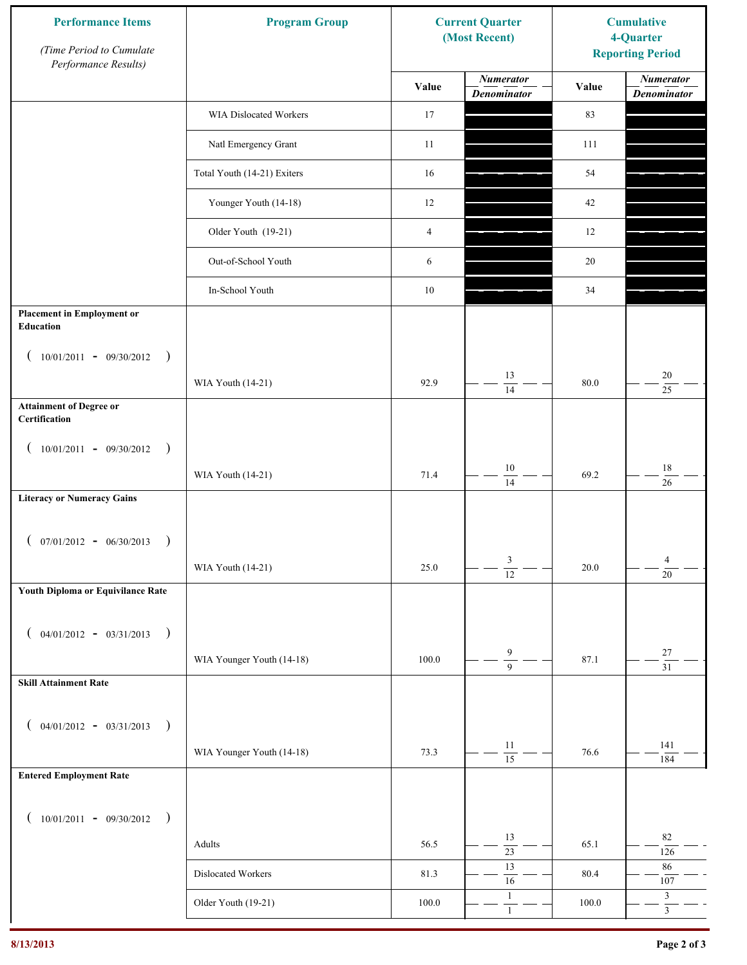| <b>Performance Items</b><br>(Time Period to Cumulate<br>Performance Results) | <b>Program Group</b>        | <b>Current Quarter</b><br>(Most Recent) |                                        | <b>Cumulative</b><br>4-Quarter<br><b>Reporting Period</b> |                                        |
|------------------------------------------------------------------------------|-----------------------------|-----------------------------------------|----------------------------------------|-----------------------------------------------------------|----------------------------------------|
|                                                                              |                             | Value                                   | <b>Numerator</b><br><b>Denominator</b> | Value                                                     | <b>Numerator</b><br><b>Denominator</b> |
|                                                                              | WIA Dislocated Workers      | 17                                      |                                        | 83                                                        |                                        |
|                                                                              | Natl Emergency Grant        | 11                                      |                                        | 111                                                       |                                        |
|                                                                              | Total Youth (14-21) Exiters | 16                                      |                                        | 54                                                        |                                        |
|                                                                              | Younger Youth (14-18)       | 12                                      |                                        | 42                                                        |                                        |
|                                                                              | Older Youth (19-21)         | $\overline{4}$                          |                                        | 12                                                        |                                        |
|                                                                              | Out-of-School Youth         | 6                                       |                                        | 20                                                        |                                        |
|                                                                              | In-School Youth             | $10\,$                                  |                                        | 34                                                        |                                        |
| <b>Placement in Employment or</b><br>Education                               |                             |                                         |                                        |                                                           |                                        |
| $10/01/2011 - 09/30/2012$<br>$\rightarrow$                                   |                             |                                         |                                        |                                                           |                                        |
|                                                                              | WIA Youth (14-21)           | 92.9                                    | 13<br>14                               | 80.0                                                      | 20<br>25                               |
| <b>Attainment of Degree or</b><br>Certification                              |                             |                                         |                                        |                                                           |                                        |
| $(10/01/2011 - 09/30/2012)$<br>$\rightarrow$                                 |                             |                                         |                                        |                                                           |                                        |
|                                                                              | WIA Youth (14-21)           | 71.4                                    | $10\,$<br>$\overline{14}$              | 69.2                                                      | $18\,$<br>26                           |
| <b>Literacy or Numeracy Gains</b>                                            |                             |                                         |                                        |                                                           |                                        |
| $(07/01/2012 - 06/30/2013)$<br>$\rightarrow$                                 |                             |                                         |                                        |                                                           |                                        |
|                                                                              | WIA Youth (14-21)           | 25.0                                    | 3<br>$\overline{12}$                   | 20.0                                                      | $\overline{4}$<br>$\overline{20}$      |
| Youth Diploma or Equivilance Rate                                            |                             |                                         |                                        |                                                           |                                        |
| $04/01/2012 - 03/31/2013$<br>$\rightarrow$<br>€                              |                             |                                         |                                        |                                                           |                                        |
|                                                                              | WIA Younger Youth (14-18)   | 100.0                                   | $\boldsymbol{9}$<br>$\overline{9}$     | 87.1                                                      | $27\,$<br>$\overline{31}$              |
| <b>Skill Attainment Rate</b>                                                 |                             |                                         |                                        |                                                           |                                        |
| $04/01/2012 - 03/31/2013$ )<br>€                                             |                             |                                         |                                        |                                                           |                                        |
|                                                                              | WIA Younger Youth (14-18)   | 73.3                                    | 11                                     | 76.6                                                      | 141                                    |
| <b>Entered Employment Rate</b>                                               |                             |                                         | $\overline{15}$                        |                                                           | 184                                    |
| $10/01/2011 - 09/30/2012$ )                                                  |                             |                                         |                                        |                                                           |                                        |
| €                                                                            | Adults                      | 56.5                                    | 13                                     | 65.1                                                      | $82\,$                                 |
|                                                                              | Dislocated Workers          | 81.3                                    | $\overline{23}$<br>13                  | 80.4                                                      | 126<br>86                              |
|                                                                              | Older Youth (19-21)         | $100.0\,$                               | 16<br>$\mathbf{1}$                     | 100.0                                                     | $107\,$<br>$\mathfrak{Z}$              |
|                                                                              |                             |                                         | $1\,$                                  |                                                           | $\overline{3}$                         |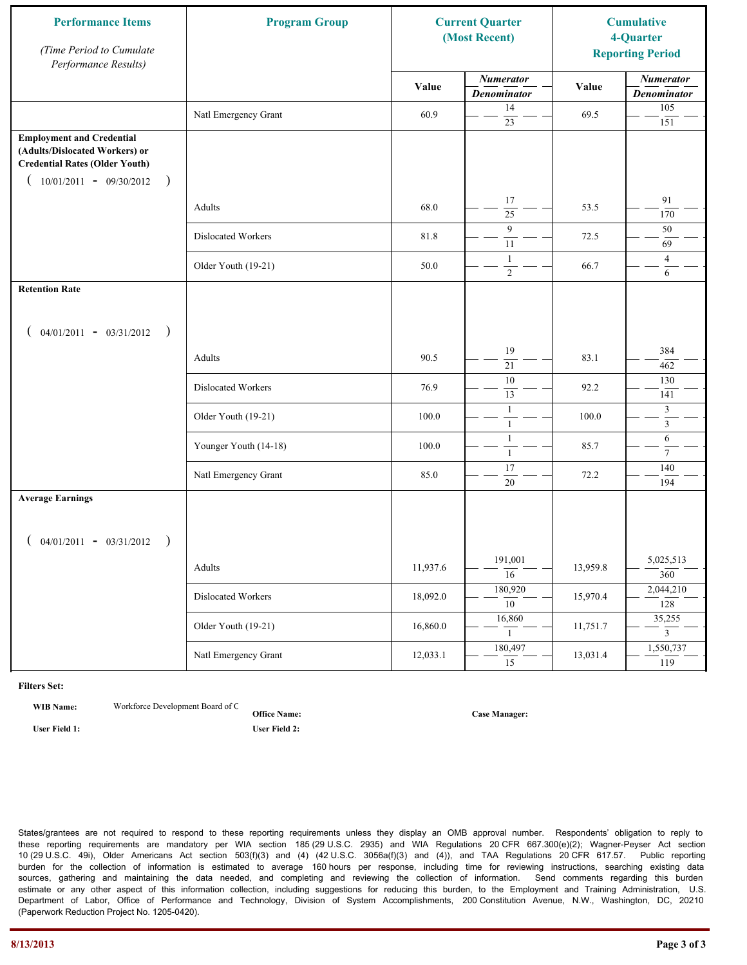| <b>Performance Items</b><br>(Time Period to Cumulate<br>Performance Results)                                                                              | <b>Program Group</b><br><b>Current Quarter</b><br>(Most Recent) |          |                                        |          | <b>Cumulative</b><br>4-Quarter<br><b>Reporting Period</b> |
|-----------------------------------------------------------------------------------------------------------------------------------------------------------|-----------------------------------------------------------------|----------|----------------------------------------|----------|-----------------------------------------------------------|
|                                                                                                                                                           |                                                                 | Value    | <b>Numerator</b><br><b>Denominator</b> | Value    | <b>Numerator</b><br><b>Denominator</b>                    |
|                                                                                                                                                           | Natl Emergency Grant                                            | 60.9     | 14<br>23                               | 69.5     | 105<br>151                                                |
| <b>Employment and Credential</b><br>(Adults/Dislocated Workers) or<br><b>Credential Rates (Older Youth)</b><br>$10/01/2011 - 09/30/2012$<br>$\rightarrow$ |                                                                 |          |                                        |          |                                                           |
|                                                                                                                                                           | Adults                                                          | 68.0     | 17<br>25                               | 53.5     | 91<br>170                                                 |
|                                                                                                                                                           | Dislocated Workers                                              | 81.8     | 9<br>11                                | 72.5     | 50<br>69                                                  |
|                                                                                                                                                           | Older Youth (19-21)                                             | 50.0     | $\mathbf{1}$<br>$\overline{2}$         | 66.7     | $\overline{4}$<br>6                                       |
| <b>Retention Rate</b>                                                                                                                                     |                                                                 |          |                                        |          |                                                           |
| $04/01/2011 - 03/31/2012$ )                                                                                                                               |                                                                 |          |                                        |          |                                                           |
|                                                                                                                                                           | Adults                                                          | 90.5     | 19<br>21                               | 83.1     | 384<br>462                                                |
|                                                                                                                                                           | Dislocated Workers                                              | 76.9     | 10<br>13                               | 92.2     | 130<br>141                                                |
|                                                                                                                                                           | Older Youth (19-21)                                             | 100.0    | $\mathbf{1}$<br>$\mathbf{1}$           | 100.0    | $\mathfrak{Z}$<br>$\overline{3}$                          |
|                                                                                                                                                           | Younger Youth (14-18)                                           | 100.0    | $\mathbf{1}$<br>$\mathbf{1}$           | 85.7     | 6<br>$\tau$                                               |
|                                                                                                                                                           | Natl Emergency Grant                                            | 85.0     | 17<br>$20\,$                           | 72.2     | 140<br>194                                                |
| <b>Average Earnings</b>                                                                                                                                   |                                                                 |          |                                        |          |                                                           |
| $04/01/2011 - 03/31/2012$<br>$\rightarrow$                                                                                                                |                                                                 |          |                                        |          |                                                           |
|                                                                                                                                                           | Adults                                                          | 11,937.6 | 191,001<br>$\overline{16}$             | 13,959.8 | 5,025,513<br>360                                          |
|                                                                                                                                                           | Dislocated Workers                                              | 18,092.0 | 180,920<br>$\overline{10}$             | 15,970.4 | 2,044,210<br>128                                          |
|                                                                                                                                                           | Older Youth (19-21)                                             | 16,860.0 | 16,860<br>$\mathbf{1}$                 | 11,751.7 | 35,255<br>$\overline{3}$                                  |
|                                                                                                                                                           | Natl Emergency Grant                                            | 12,033.1 | 180,497<br>$\overline{15}$             | 13,031.4 | 1,550,737<br>119                                          |

**WIB Name:** Workforce Development Board of C

**Office Name: User Field 1: User Field 2:**

**Case Manager:**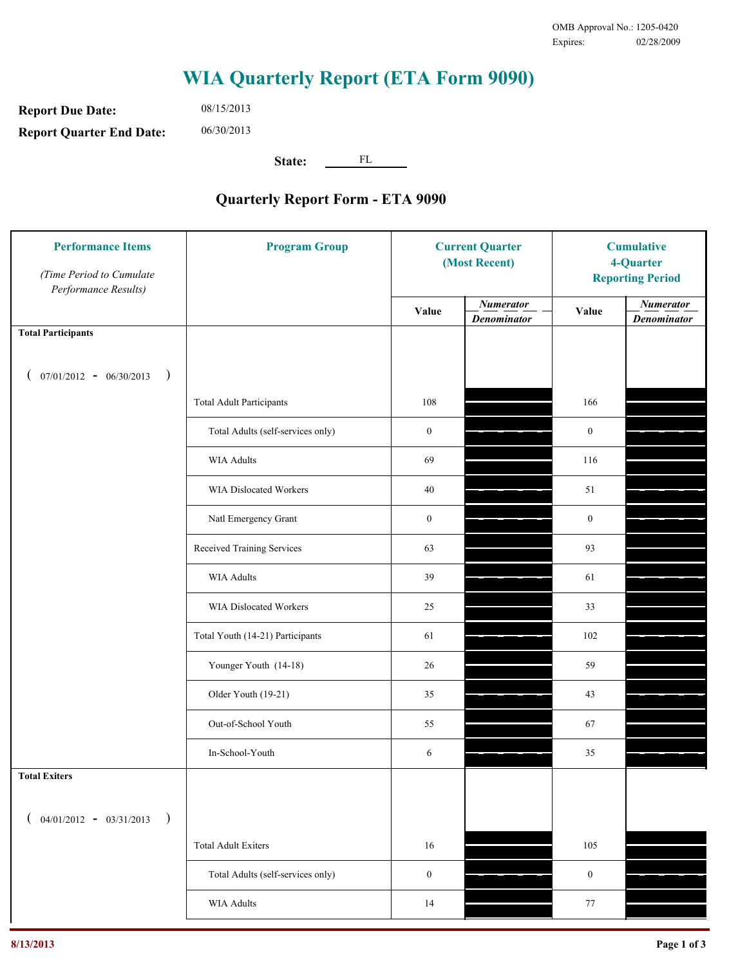**Report Due Date: Report Quarter End Date:** 08/15/2013 06/30/2013

**State:** FL

| <b>Performance Items</b><br>(Time Period to Cumulate<br>Performance Results) | <b>Program Group</b>              | <b>Current Quarter</b><br>(Most Recent) |                                        | <b>Cumulative</b><br>4-Quarter<br><b>Reporting Period</b> |                                        |
|------------------------------------------------------------------------------|-----------------------------------|-----------------------------------------|----------------------------------------|-----------------------------------------------------------|----------------------------------------|
|                                                                              |                                   | Value                                   | <b>Numerator</b><br><b>Denominator</b> | Value                                                     | <b>Numerator</b><br><b>Denominator</b> |
| <b>Total Participants</b>                                                    |                                   |                                         |                                        |                                                           |                                        |
| $07/01/2012 - 06/30/2013$ )                                                  |                                   |                                         |                                        |                                                           |                                        |
|                                                                              | <b>Total Adult Participants</b>   | 108                                     |                                        | 166                                                       |                                        |
|                                                                              | Total Adults (self-services only) | $\boldsymbol{0}$                        |                                        | $\boldsymbol{0}$                                          |                                        |
|                                                                              | <b>WIA Adults</b>                 | 69                                      |                                        | 116                                                       |                                        |
|                                                                              | WIA Dislocated Workers            | 40                                      |                                        | 51                                                        |                                        |
|                                                                              | Natl Emergency Grant              | $\boldsymbol{0}$                        |                                        | $\boldsymbol{0}$                                          |                                        |
|                                                                              | Received Training Services        | 63                                      |                                        | 93                                                        |                                        |
|                                                                              | <b>WIA Adults</b>                 | 39                                      |                                        | 61                                                        |                                        |
|                                                                              | WIA Dislocated Workers            | 25                                      |                                        | 33                                                        |                                        |
|                                                                              | Total Youth (14-21) Participants  | 61                                      |                                        | 102                                                       |                                        |
|                                                                              | Younger Youth (14-18)             | 26                                      |                                        | 59                                                        |                                        |
|                                                                              | Older Youth (19-21)               | 35                                      |                                        | 43                                                        |                                        |
|                                                                              | Out-of-School Youth               | 55                                      |                                        | 67                                                        |                                        |
|                                                                              | In-School-Youth                   | 6                                       |                                        | 35                                                        |                                        |
| <b>Total Exiters</b>                                                         |                                   |                                         |                                        |                                                           |                                        |
| $($ 04/01/2012 - 03/31/2013<br>$\rightarrow$                                 |                                   |                                         |                                        |                                                           |                                        |
|                                                                              | <b>Total Adult Exiters</b>        | 16                                      |                                        | 105                                                       |                                        |
|                                                                              | Total Adults (self-services only) | $\boldsymbol{0}$                        |                                        | $\boldsymbol{0}$                                          |                                        |
|                                                                              | <b>WIA Adults</b>                 | 14                                      |                                        | $77\,$                                                    |                                        |
|                                                                              |                                   |                                         |                                        |                                                           |                                        |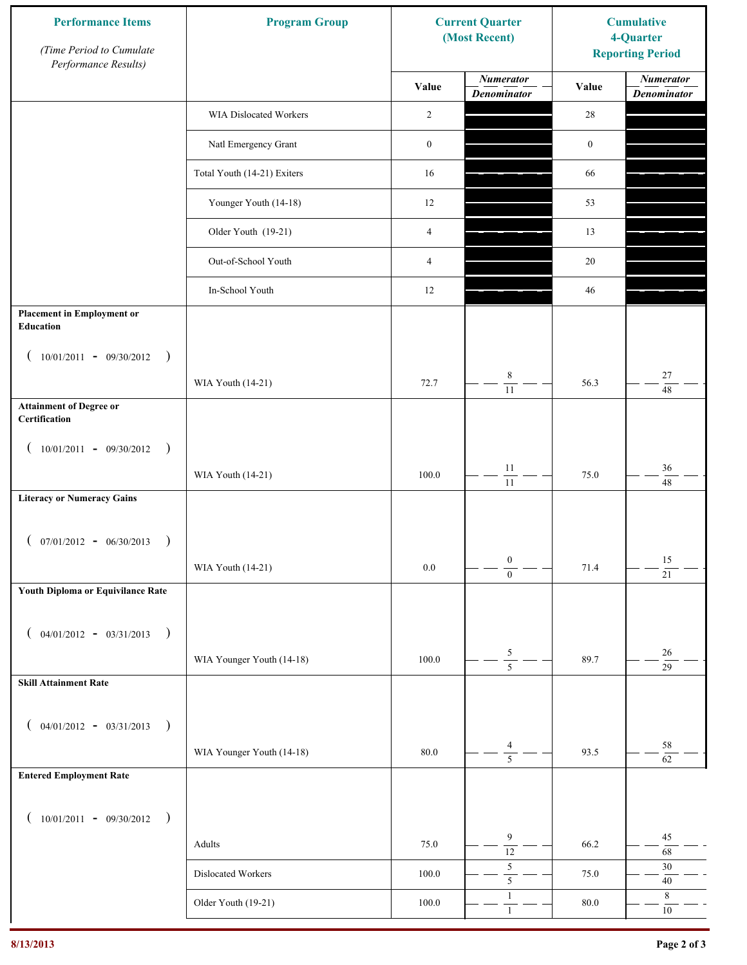| <b>Performance Items</b><br>(Time Period to Cumulate<br>Performance Results) | <b>Program Group</b>        |                  | <b>Current Quarter</b><br>(Most Recent) | <b>Cumulative</b><br>4-Quarter<br><b>Reporting Period</b> |                                        |
|------------------------------------------------------------------------------|-----------------------------|------------------|-----------------------------------------|-----------------------------------------------------------|----------------------------------------|
|                                                                              |                             | Value            | <b>Numerator</b><br><b>Denominator</b>  | Value                                                     | <b>Numerator</b><br><b>Denominator</b> |
|                                                                              | WIA Dislocated Workers      | 2                |                                         | $28\,$                                                    |                                        |
|                                                                              | Natl Emergency Grant        | $\boldsymbol{0}$ |                                         | $\boldsymbol{0}$                                          |                                        |
|                                                                              | Total Youth (14-21) Exiters | 16               |                                         | 66                                                        |                                        |
|                                                                              | Younger Youth (14-18)       | 12               |                                         | 53                                                        |                                        |
|                                                                              | Older Youth (19-21)         | $\overline{4}$   |                                         | 13                                                        |                                        |
|                                                                              | Out-of-School Youth         | $\overline{4}$   |                                         | $20\,$                                                    |                                        |
|                                                                              | In-School Youth             | 12               |                                         | 46                                                        |                                        |
| <b>Placement in Employment or</b><br>Education                               |                             |                  |                                         |                                                           |                                        |
| $10/01/2011 - 09/30/2012$<br>$\rightarrow$                                   |                             |                  |                                         |                                                           |                                        |
|                                                                              | WIA Youth (14-21)           | 72.7             | $\,8\,$<br>$\overline{11}$              | 56.3                                                      | 27<br>48                               |
| <b>Attainment of Degree or</b><br>Certification                              |                             |                  |                                         |                                                           |                                        |
| $(10/01/2011 - 09/30/2012)$<br>$\rightarrow$                                 |                             |                  |                                         |                                                           |                                        |
|                                                                              | WIA Youth (14-21)           | 100.0            | $11\,$<br>$\overline{11}$               | 75.0                                                      | $36\,$<br>48                           |
| <b>Literacy or Numeracy Gains</b>                                            |                             |                  |                                         |                                                           |                                        |
| $($ 07/01/2012 - 06/30/2013<br>$\rightarrow$                                 |                             |                  |                                         |                                                           |                                        |
|                                                                              | WIA Youth (14-21)           | 0.0              | $\boldsymbol{0}$<br>$\overline{0}$      | 71.4                                                      | 15<br>$\overline{21}$                  |
| Youth Diploma or Equivilance Rate                                            |                             |                  |                                         |                                                           |                                        |
| $04/01/2012 - 03/31/2013$<br>$\rightarrow$<br>€                              |                             |                  |                                         |                                                           |                                        |
|                                                                              | WIA Younger Youth (14-18)   | 100.0            | $\frac{5}{5}$                           | 89.7                                                      | $26\,$                                 |
| <b>Skill Attainment Rate</b>                                                 |                             |                  |                                         |                                                           | 29                                     |
|                                                                              |                             |                  |                                         |                                                           |                                        |
| $04/01/2012 - 03/31/2013$ )<br>€                                             |                             |                  | 4                                       |                                                           | 58                                     |
| <b>Entered Employment Rate</b>                                               | WIA Younger Youth (14-18)   | $80.0\,$         | $\overline{5}$                          | 93.5                                                      | 62                                     |
|                                                                              |                             |                  |                                         |                                                           |                                        |
| $10/01/2011 - 09/30/2012$ )<br>€                                             |                             |                  |                                         |                                                           |                                        |
|                                                                              | Adults                      | 75.0             | 9<br>$\overline{12}$                    | 66.2                                                      | 45<br>$\sqrt{68}$                      |
|                                                                              | Dislocated Workers          | 100.0            | $\sqrt{5}$<br>$\overline{\mathbf{5}}$   | 75.0                                                      | $30\,$<br>$40\,$                       |
|                                                                              | Older Youth (19-21)         | $100.0\,$        | $\mathbf{1}$<br>$\mathbf{1}$            | 80.0                                                      | $\,8\,$<br>$10\,$                      |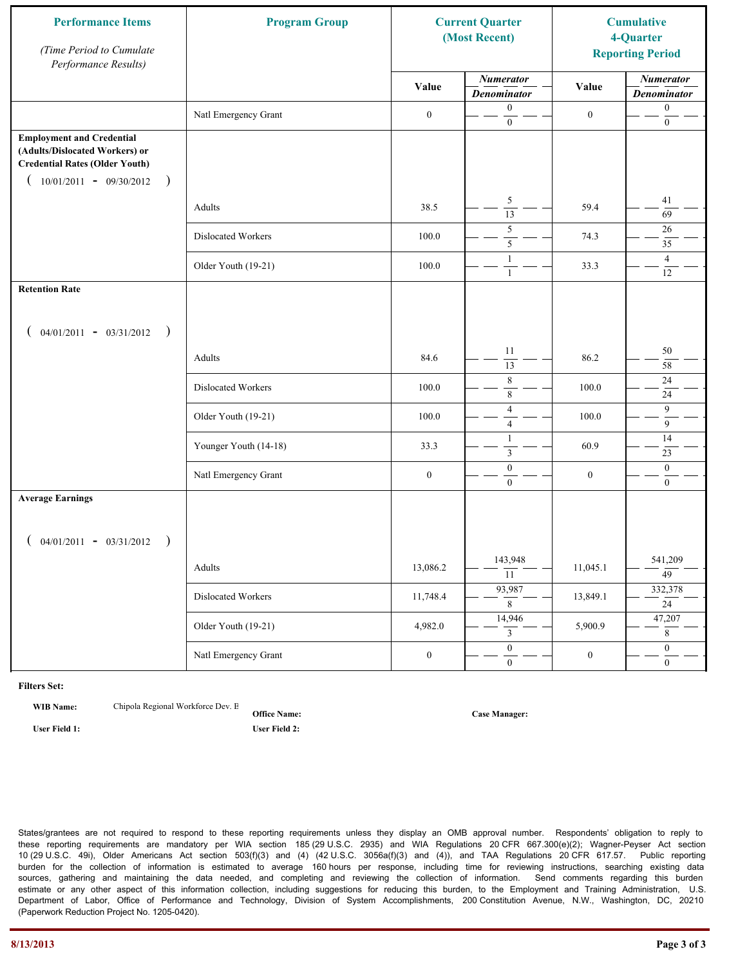| <b>Performance Items</b><br>(Time Period to Cumulate<br>Performance Results)                                                                              | <b>Program Group</b>  | <b>Current Quarter</b><br>(Most Recent) |                                        | <b>Cumulative</b><br>4-Quarter<br><b>Reporting Period</b> |                                        |
|-----------------------------------------------------------------------------------------------------------------------------------------------------------|-----------------------|-----------------------------------------|----------------------------------------|-----------------------------------------------------------|----------------------------------------|
|                                                                                                                                                           |                       | Value                                   | <b>Numerator</b><br><b>Denominator</b> | Value                                                     | <b>Numerator</b><br><b>Denominator</b> |
|                                                                                                                                                           | Natl Emergency Grant  | $\boldsymbol{0}$                        | $\boldsymbol{0}$<br>$\mathbf{0}$       | $\boldsymbol{0}$                                          | $\boldsymbol{0}$<br>$\boldsymbol{0}$   |
| <b>Employment and Credential</b><br>(Adults/Dislocated Workers) or<br><b>Credential Rates (Older Youth)</b><br>$10/01/2011 - 09/30/2012$<br>$\rightarrow$ |                       |                                         |                                        |                                                           |                                        |
|                                                                                                                                                           | Adults                | 38.5                                    | 5<br>$\overline{13}$                   | 59.4                                                      | 41<br>69                               |
|                                                                                                                                                           | Dislocated Workers    | 100.0                                   | 5<br>5                                 | 74.3                                                      | 26<br>35                               |
|                                                                                                                                                           | Older Youth (19-21)   | 100.0                                   | $\mathbf{1}$<br>$\mathbf{1}$           | 33.3                                                      | $\overline{4}$<br>12                   |
| <b>Retention Rate</b>                                                                                                                                     |                       |                                         |                                        |                                                           |                                        |
| $04/01/2011 - 03/31/2012$ )                                                                                                                               |                       |                                         |                                        |                                                           |                                        |
|                                                                                                                                                           | Adults                | 84.6                                    | 11<br>13                               | 86.2                                                      | 50<br>58                               |
|                                                                                                                                                           | Dislocated Workers    | 100.0                                   | $\,$ $\,$<br>$\,$ 8 $\,$               | 100.0                                                     | $24\,$<br>24                           |
|                                                                                                                                                           | Older Youth (19-21)   | 100.0                                   | $\overline{4}$<br>$\overline{4}$       | 100.0                                                     | 9<br>$\overline{9}$                    |
|                                                                                                                                                           | Younger Youth (14-18) | 33.3                                    | $\mathbf{1}$<br>$\mathfrak{Z}$         | 60.9                                                      | 14<br>23                               |
|                                                                                                                                                           | Natl Emergency Grant  | $\boldsymbol{0}$                        | $\boldsymbol{0}$<br>$\overline{0}$     | $\boldsymbol{0}$                                          | $\mathbf{0}$<br>$\mathbf{0}$           |
| <b>Average Earnings</b>                                                                                                                                   |                       |                                         |                                        |                                                           |                                        |
| $04/01/2011 - 03/31/2012$<br>$\rightarrow$                                                                                                                |                       |                                         |                                        |                                                           |                                        |
|                                                                                                                                                           | Adults                | 13,086.2                                | 143,948<br>$\overline{11}$             | 11,045.1                                                  | 541,209<br>$\overline{49}$             |
|                                                                                                                                                           | Dislocated Workers    | 11,748.4                                | 93,987<br>8                            | 13,849.1                                                  | 332,378<br>24                          |
|                                                                                                                                                           | Older Youth (19-21)   | 4,982.0                                 | 14,946<br>3                            | 5,900.9                                                   | 47,207<br>8                            |
|                                                                                                                                                           | Natl Emergency Grant  | $\boldsymbol{0}$                        | $\overline{0}$<br>$\mathbf{0}$         | $\boldsymbol{0}$                                          | $\overline{0}$<br>$\overline{0}$       |

**WIB Name:** Chipola Regional Workforce Dev. E

**Office Name: User Field 1: User Field 2:**

**Case Manager:**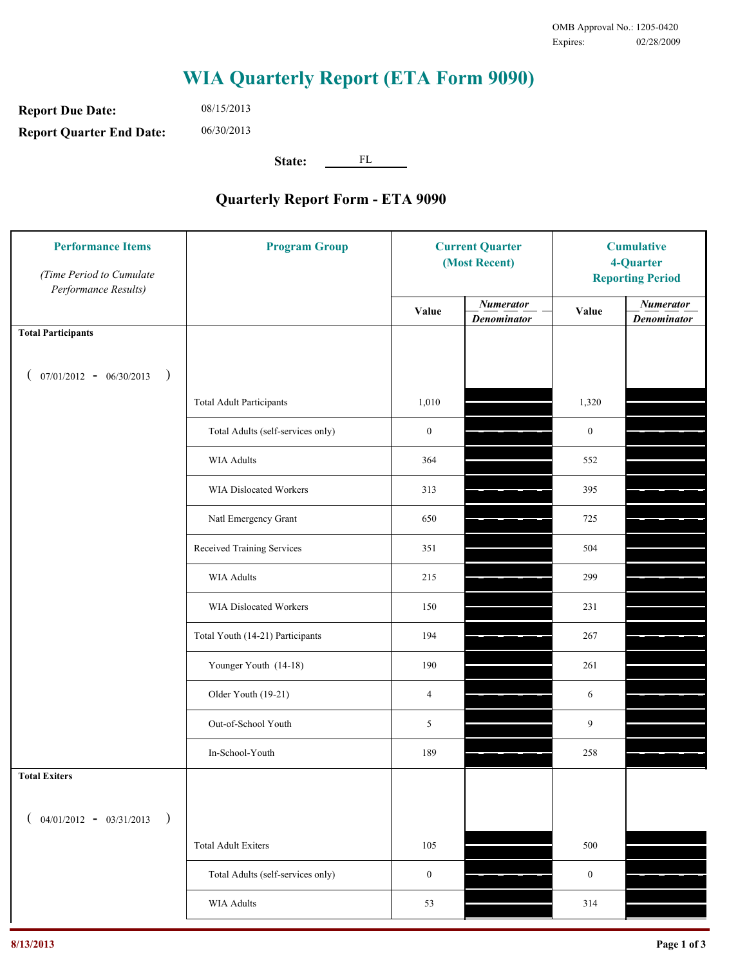**Report Due Date: Report Quarter End Date:** 08/15/2013 06/30/2013

**State:** FL

| <b>Performance Items</b><br>(Time Period to Cumulate<br>Performance Results) | <b>Program Group</b>              | <b>Current Quarter</b><br>(Most Recent) |                                        | <b>Cumulative</b><br>4-Quarter<br><b>Reporting Period</b> |                                        |
|------------------------------------------------------------------------------|-----------------------------------|-----------------------------------------|----------------------------------------|-----------------------------------------------------------|----------------------------------------|
|                                                                              |                                   | Value                                   | <b>Numerator</b><br><b>Denominator</b> | Value                                                     | <b>Numerator</b><br><b>Denominator</b> |
| <b>Total Participants</b>                                                    |                                   |                                         |                                        |                                                           |                                        |
| $07/01/2012 - 06/30/2013$<br>$\big)$<br>$\overline{ }$                       |                                   |                                         |                                        |                                                           |                                        |
|                                                                              | <b>Total Adult Participants</b>   | 1,010                                   |                                        | 1,320                                                     |                                        |
|                                                                              | Total Adults (self-services only) | $\boldsymbol{0}$                        |                                        | $\mathbf{0}$                                              |                                        |
|                                                                              | WIA Adults                        | 364                                     |                                        | 552                                                       |                                        |
|                                                                              | WIA Dislocated Workers            | 313                                     |                                        | 395                                                       |                                        |
|                                                                              | Natl Emergency Grant              | 650                                     |                                        | 725                                                       |                                        |
|                                                                              | Received Training Services        | 351                                     |                                        | 504                                                       |                                        |
|                                                                              | WIA Adults                        | 215                                     |                                        | 299                                                       |                                        |
|                                                                              | WIA Dislocated Workers            | 150                                     |                                        | 231                                                       |                                        |
|                                                                              | Total Youth (14-21) Participants  | 194                                     |                                        | 267                                                       |                                        |
|                                                                              | Younger Youth (14-18)             | 190                                     |                                        | 261                                                       |                                        |
|                                                                              | Older Youth (19-21)               | 4                                       |                                        | 6                                                         |                                        |
|                                                                              | Out-of-School Youth               | 5                                       |                                        | 9                                                         |                                        |
|                                                                              | In-School-Youth                   | 189                                     |                                        | 258                                                       |                                        |
| <b>Total Exiters</b>                                                         |                                   |                                         |                                        |                                                           |                                        |
| $($ 04/01/2012 - 03/31/2013<br>$\lambda$                                     |                                   |                                         |                                        |                                                           |                                        |
|                                                                              | <b>Total Adult Exiters</b>        | 105                                     |                                        | 500                                                       |                                        |
|                                                                              | Total Adults (self-services only) | $\boldsymbol{0}$                        |                                        | $\boldsymbol{0}$                                          |                                        |
|                                                                              | <b>WIA Adults</b>                 | 53                                      |                                        | 314                                                       |                                        |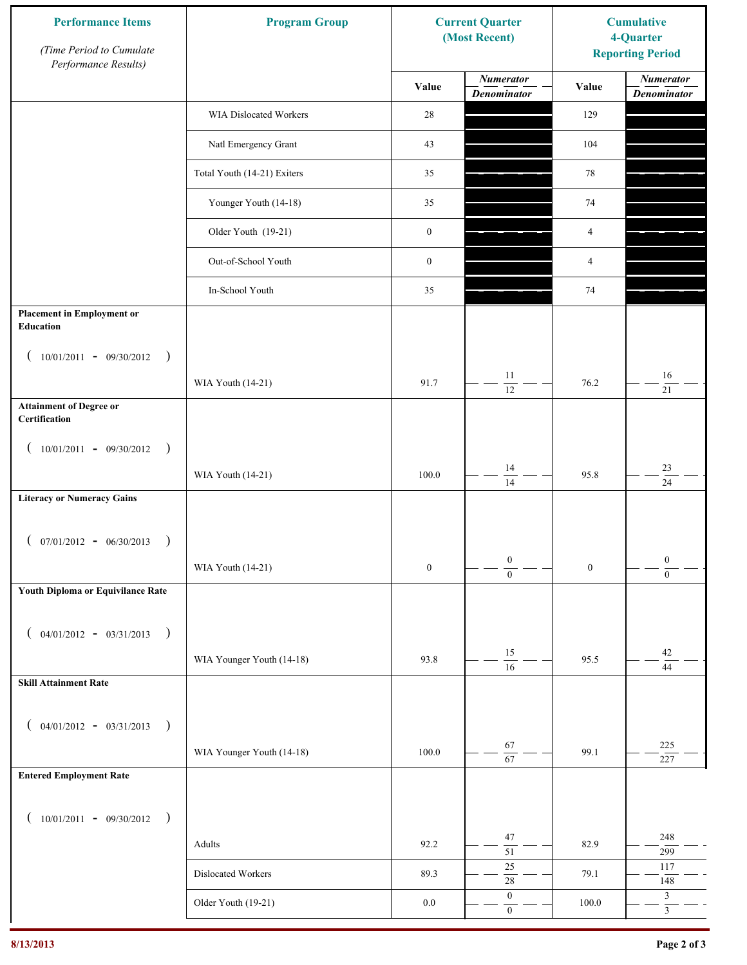| <b>Performance Items</b><br>(Time Period to Cumulate<br>Performance Results) | <b>Program Group</b>        |                  | <b>Current Quarter</b><br>(Most Recent) | <b>Cumulative</b><br>4-Quarter<br><b>Reporting Period</b> |                                        |
|------------------------------------------------------------------------------|-----------------------------|------------------|-----------------------------------------|-----------------------------------------------------------|----------------------------------------|
|                                                                              |                             | Value            | <b>Numerator</b><br><b>Denominator</b>  | Value                                                     | <b>Numerator</b><br><b>Denominator</b> |
|                                                                              | WIA Dislocated Workers      | 28               |                                         | 129                                                       |                                        |
|                                                                              | Natl Emergency Grant        | 43               |                                         | 104                                                       |                                        |
|                                                                              | Total Youth (14-21) Exiters | 35               |                                         | 78                                                        |                                        |
|                                                                              | Younger Youth (14-18)       | 35               |                                         | $74\,$                                                    |                                        |
|                                                                              | Older Youth (19-21)         | $\boldsymbol{0}$ |                                         | 4                                                         |                                        |
|                                                                              | Out-of-School Youth         | $\boldsymbol{0}$ |                                         | 4                                                         |                                        |
|                                                                              | In-School Youth             | 35               |                                         | $74\,$                                                    |                                        |
| <b>Placement in Employment or</b><br>Education                               |                             |                  |                                         |                                                           |                                        |
| $10/01/2011 - 09/30/2012$<br>$\rightarrow$                                   |                             |                  | 11                                      |                                                           | 16                                     |
|                                                                              | WIA Youth (14-21)           | 91.7             | 12                                      | 76.2                                                      | 21                                     |
| <b>Attainment of Degree or</b><br>Certification                              |                             |                  |                                         |                                                           |                                        |
| $(10/01/2011 - 09/30/2012)$<br>$\rightarrow$                                 |                             |                  |                                         |                                                           |                                        |
|                                                                              | WIA Youth (14-21)           | 100.0            | 14<br>$\overline{14}$                   | 95.8                                                      | $23\,$<br>$\overline{24}$              |
| <b>Literacy or Numeracy Gains</b>                                            |                             |                  |                                         |                                                           |                                        |
| $($ 07/01/2012 - 06/30/2013<br>$\rightarrow$                                 |                             |                  |                                         |                                                           |                                        |
|                                                                              | WIA Youth (14-21)           | $\boldsymbol{0}$ | $\boldsymbol{0}$<br>$\overline{0}$      | $\boldsymbol{0}$                                          | $\boldsymbol{0}$<br>$\overline{0}$     |
| Youth Diploma or Equivilance Rate                                            |                             |                  |                                         |                                                           |                                        |
| $04/01/2012 - 03/31/2013$<br>$\rightarrow$                                   |                             |                  |                                         |                                                           |                                        |
|                                                                              | WIA Younger Youth (14-18)   | 93.8             | 15<br>$\overline{16}$                   | 95.5                                                      | $42\,$<br>44                           |
| <b>Skill Attainment Rate</b>                                                 |                             |                  |                                         |                                                           |                                        |
| $04/01/2012 - 03/31/2013$ )                                                  |                             |                  |                                         |                                                           |                                        |
|                                                                              | WIA Younger Youth (14-18)   | 100.0            | 67                                      | 99.1                                                      | 225                                    |
| <b>Entered Employment Rate</b>                                               |                             |                  | $\overline{67}$                         |                                                           | 227                                    |
|                                                                              |                             |                  |                                         |                                                           |                                        |
| $10/01/2011 - 09/30/2012$ )                                                  |                             |                  | 47                                      |                                                           | 248                                    |
|                                                                              | Adults                      | 92.2             | $\overline{51}$<br>$25\,$               | 82.9                                                      | 299<br>117                             |
|                                                                              | Dislocated Workers          | 89.3             | $28\,$                                  | 79.1                                                      | 148                                    |
|                                                                              | Older Youth (19-21)         | $0.0\,$          | $\boldsymbol{0}$<br>$\mathbf{0}$        | 100.0                                                     | $\mathfrak{Z}$<br>$\overline{3}$       |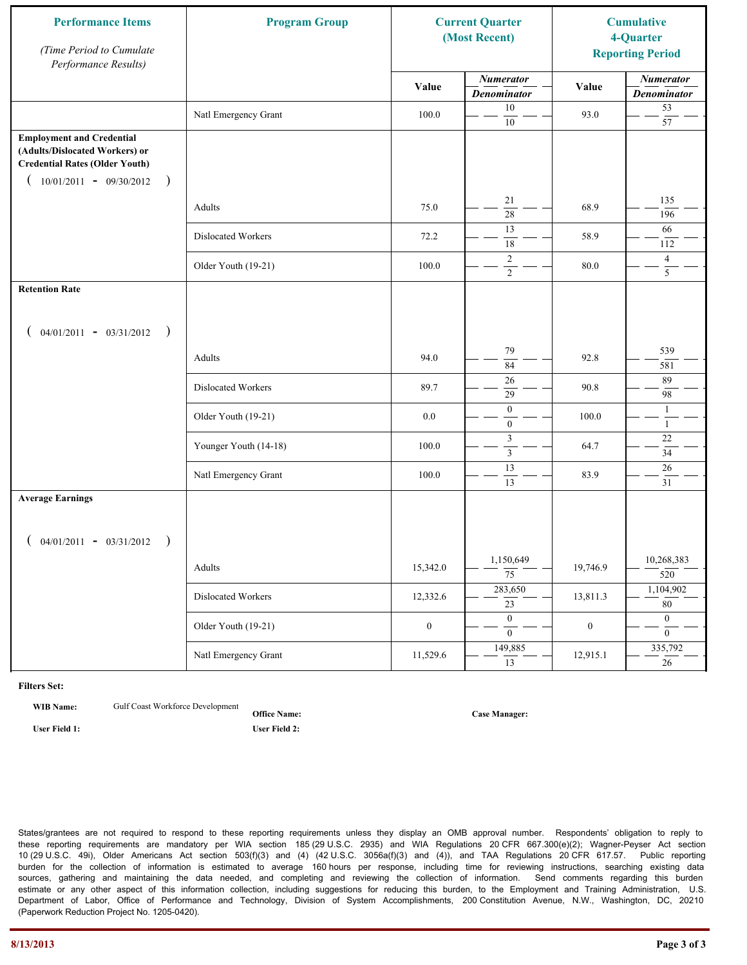| <b>Performance Items</b><br>(Time Period to Cumulate<br>Performance Results)                                                                              | <b>Program Group</b>  | <b>Current Quarter</b><br>(Most Recent) |                                        | <b>Cumulative</b><br>4-Quarter<br><b>Reporting Period</b> |                                        |
|-----------------------------------------------------------------------------------------------------------------------------------------------------------|-----------------------|-----------------------------------------|----------------------------------------|-----------------------------------------------------------|----------------------------------------|
|                                                                                                                                                           |                       | Value                                   | <b>Numerator</b><br><b>Denominator</b> | Value                                                     | <b>Numerator</b><br><b>Denominator</b> |
|                                                                                                                                                           | Natl Emergency Grant  | 100.0                                   | 10<br>$10\,$                           | 93.0                                                      | 53<br>$\overline{57}$                  |
| <b>Employment and Credential</b><br>(Adults/Dislocated Workers) or<br><b>Credential Rates (Older Youth)</b><br>$10/01/2011 - 09/30/2012$<br>$\rightarrow$ |                       |                                         |                                        |                                                           |                                        |
|                                                                                                                                                           | Adults                | 75.0                                    | 21<br>$\overline{28}$                  | 68.9                                                      | 135<br>196                             |
|                                                                                                                                                           | Dislocated Workers    | 72.2                                    | 13<br>18                               | 58.9                                                      | 66<br>112                              |
|                                                                                                                                                           | Older Youth (19-21)   | 100.0                                   | $\overline{2}$<br>$\overline{2}$       | 80.0                                                      | $\overline{4}$<br>$\overline{5}$       |
| <b>Retention Rate</b>                                                                                                                                     |                       |                                         |                                        |                                                           |                                        |
| $04/01/2011 - 03/31/2012$ )                                                                                                                               |                       |                                         |                                        |                                                           |                                        |
|                                                                                                                                                           | Adults                | 94.0                                    | 79<br>84                               | 92.8                                                      | 539<br>581                             |
|                                                                                                                                                           | Dislocated Workers    | 89.7                                    | 26<br>29                               | 90.8                                                      | 89<br>98                               |
|                                                                                                                                                           | Older Youth (19-21)   | 0.0                                     | $\boldsymbol{0}$<br>$\mathbf{0}$       | 100.0                                                     | $\mathbf{1}$<br>$\mathbf{1}$           |
|                                                                                                                                                           | Younger Youth (14-18) | 100.0                                   | $\mathfrak{Z}$<br>$\mathfrak{Z}$       | 64.7                                                      | $22\,$<br>34                           |
|                                                                                                                                                           | Natl Emergency Grant  | 100.0                                   | 13<br>13                               | 83.9                                                      | 26<br>31                               |
| <b>Average Earnings</b>                                                                                                                                   |                       |                                         |                                        |                                                           |                                        |
| $04/01/2011 - 03/31/2012$ )                                                                                                                               |                       |                                         |                                        |                                                           |                                        |
|                                                                                                                                                           | Adults                | 15,342.0                                | 1,150,649<br>$\overline{75}$           | 19,746.9                                                  | 10,268,383<br>520                      |
|                                                                                                                                                           | Dislocated Workers    | 12,332.6                                | 283,650<br>$\overline{23}$             | 13,811.3                                                  | 1,104,902<br>80                        |
|                                                                                                                                                           | Older Youth (19-21)   | $\boldsymbol{0}$                        | $\overline{0}$<br>$\overline{0}$       | $\boldsymbol{0}$                                          | $\overline{0}$<br>$\overline{0}$       |
|                                                                                                                                                           | Natl Emergency Grant  | 11,529.6                                | 149,885<br>13                          | 12,915.1                                                  | 335,792<br>26                          |

**WIB Name:** Gulf Coast Workforce Development

**Office Name: User Field 1: User Field 2:**

**Case Manager:**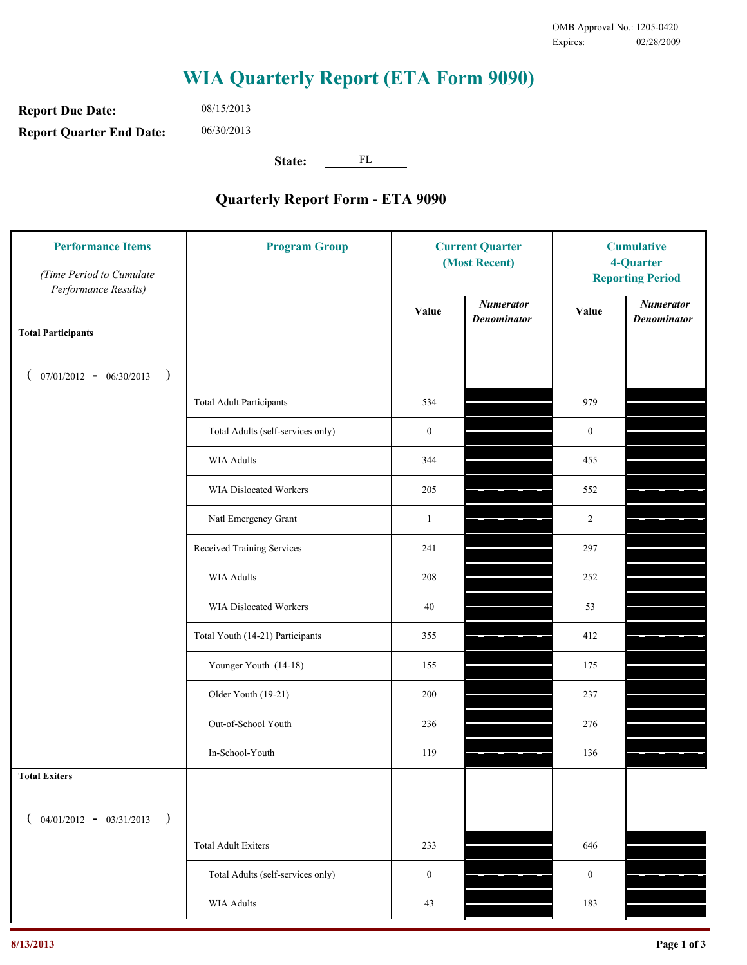**Report Due Date: Report Quarter End Date:** 08/15/2013 06/30/2013

**State:** FL

| <b>Performance Items</b><br>(Time Period to Cumulate<br>Performance Results) | <b>Program Group</b>              | <b>Current Quarter</b><br>(Most Recent) |                                        | <b>Cumulative</b><br>4-Quarter<br><b>Reporting Period</b> |                                        |
|------------------------------------------------------------------------------|-----------------------------------|-----------------------------------------|----------------------------------------|-----------------------------------------------------------|----------------------------------------|
|                                                                              |                                   | Value                                   | <b>Numerator</b><br><b>Denominator</b> | Value                                                     | <b>Numerator</b><br><b>Denominator</b> |
| <b>Total Participants</b>                                                    |                                   |                                         |                                        |                                                           |                                        |
| $07/01/2012 - 06/30/2013$ )                                                  |                                   |                                         |                                        |                                                           |                                        |
|                                                                              | <b>Total Adult Participants</b>   | 534                                     |                                        | 979                                                       |                                        |
|                                                                              | Total Adults (self-services only) | $\boldsymbol{0}$                        |                                        | $\boldsymbol{0}$                                          |                                        |
|                                                                              | <b>WIA Adults</b>                 | 344                                     |                                        | 455                                                       |                                        |
|                                                                              | <b>WIA Dislocated Workers</b>     | 205                                     |                                        | 552                                                       |                                        |
|                                                                              | Natl Emergency Grant              | $\mathbf{1}$                            |                                        | $\overline{2}$                                            |                                        |
|                                                                              | Received Training Services        | 241                                     |                                        | 297                                                       |                                        |
|                                                                              | <b>WIA Adults</b>                 | 208                                     |                                        | 252                                                       |                                        |
|                                                                              | WIA Dislocated Workers            | 40                                      |                                        | 53                                                        |                                        |
|                                                                              | Total Youth (14-21) Participants  | 355                                     |                                        | 412                                                       |                                        |
|                                                                              | Younger Youth (14-18)             | 155                                     |                                        | 175                                                       |                                        |
|                                                                              | Older Youth (19-21)               | 200                                     |                                        | 237                                                       |                                        |
|                                                                              | Out-of-School Youth               | 236                                     |                                        | 276                                                       |                                        |
|                                                                              | In-School-Youth                   | 119                                     |                                        | 136                                                       |                                        |
| <b>Total Exiters</b>                                                         |                                   |                                         |                                        |                                                           |                                        |
| $($ 04/01/2012 - 03/31/2013<br>$\rightarrow$                                 |                                   |                                         |                                        |                                                           |                                        |
|                                                                              | <b>Total Adult Exiters</b>        | 233                                     |                                        | 646                                                       |                                        |
|                                                                              | Total Adults (self-services only) | $\boldsymbol{0}$                        |                                        | $\boldsymbol{0}$                                          |                                        |
|                                                                              | <b>WIA Adults</b>                 | 43                                      |                                        | 183                                                       |                                        |
|                                                                              |                                   |                                         |                                        |                                                           |                                        |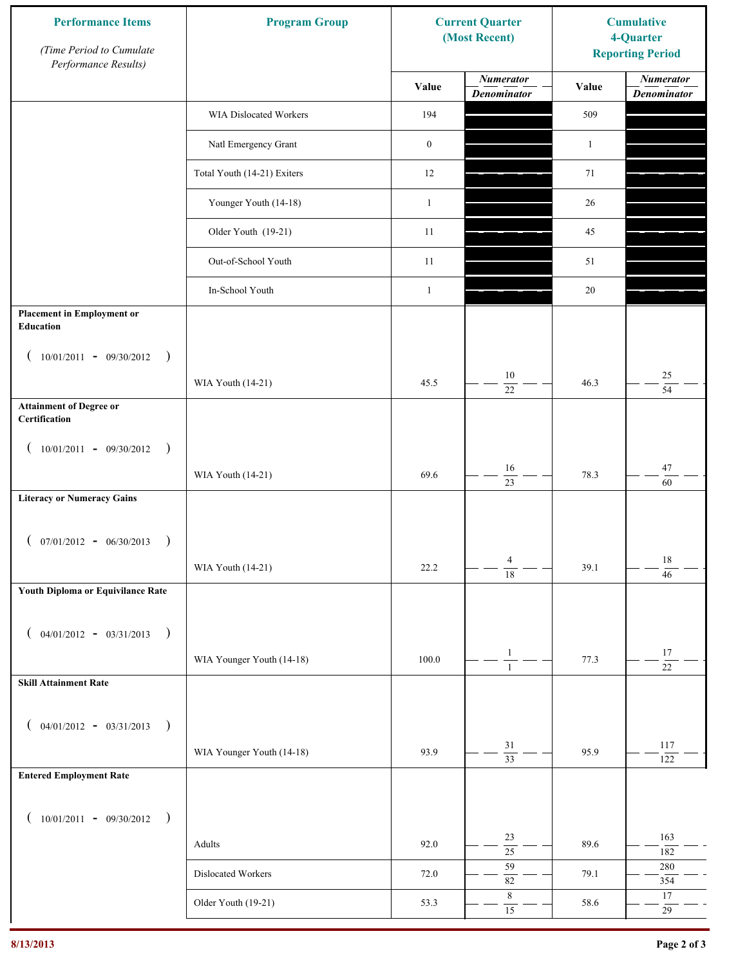| <b>Performance Items</b><br>(Time Period to Cumulate<br>Performance Results) | <b>Program Group</b>        |                  | <b>Current Quarter</b><br>(Most Recent) | <b>Cumulative</b><br>4-Quarter<br><b>Reporting Period</b> |                                        |
|------------------------------------------------------------------------------|-----------------------------|------------------|-----------------------------------------|-----------------------------------------------------------|----------------------------------------|
|                                                                              |                             | Value            | <b>Numerator</b><br><b>Denominator</b>  | Value                                                     | <b>Numerator</b><br><b>Denominator</b> |
|                                                                              | WIA Dislocated Workers      | 194              |                                         | 509                                                       |                                        |
|                                                                              | Natl Emergency Grant        | $\boldsymbol{0}$ |                                         | $\mathbf{1}$                                              |                                        |
|                                                                              | Total Youth (14-21) Exiters | 12               |                                         | 71                                                        |                                        |
|                                                                              | Younger Youth (14-18)       | $\mathbf{1}$     |                                         | 26                                                        |                                        |
|                                                                              | Older Youth (19-21)         | 11               |                                         | 45                                                        |                                        |
|                                                                              | Out-of-School Youth         | 11               |                                         | 51                                                        |                                        |
|                                                                              | In-School Youth             | $\mathbf{1}$     |                                         | 20                                                        |                                        |
| <b>Placement in Employment or</b><br>Education                               |                             |                  |                                         |                                                           |                                        |
| $10/01/2011 - 09/30/2012$<br>$\rightarrow$                                   |                             |                  |                                         |                                                           |                                        |
|                                                                              | WIA Youth (14-21)           | 45.5             | 10<br>22                                | 46.3                                                      | $25\,$<br>$\overline{54}$              |
| <b>Attainment of Degree or</b><br>Certification                              |                             |                  |                                         |                                                           |                                        |
| $(10/01/2011 - 09/30/2012)$<br>$\big)$                                       |                             |                  |                                         |                                                           |                                        |
|                                                                              | WIA Youth (14-21)           | 69.6             | 16<br>$\overline{23}$                   | 78.3                                                      | $47\,$<br>60                           |
| <b>Literacy or Numeracy Gains</b>                                            |                             |                  |                                         |                                                           |                                        |
| $(07/01/2012 - 06/30/2013)$<br>$\rightarrow$                                 |                             |                  |                                         |                                                           |                                        |
|                                                                              | WIA Youth (14-21)           | 22.2             | $\overline{4}$<br>$\overline{18}$       | 39.1                                                      | $18\,$<br>$\overline{46}$              |
| Youth Diploma or Equivilance Rate                                            |                             |                  |                                         |                                                           |                                        |
| $04/01/2012 - 03/31/2013$<br>$\rightarrow$                                   |                             |                  |                                         |                                                           |                                        |
|                                                                              | WIA Younger Youth (14-18)   | 100.0            | $\mathbf{1}$                            | 77.3                                                      | $17\,$                                 |
| <b>Skill Attainment Rate</b>                                                 |                             |                  | $\mathbf{1}$                            |                                                           | $\overline{22}$                        |
|                                                                              |                             |                  |                                         |                                                           |                                        |
| $04/01/2012 - 03/31/2013$ )<br>€                                             | WIA Younger Youth (14-18)   | 93.9             | 31                                      | 95.9                                                      | 117                                    |
| <b>Entered Employment Rate</b>                                               |                             |                  | $\overline{33}$                         |                                                           | 122                                    |
|                                                                              |                             |                  |                                         |                                                           |                                        |
| $10/01/2011 - 09/30/2012$ )                                                  |                             |                  | 23                                      |                                                           | 163                                    |
|                                                                              | Adults                      | 92.0             | $\overline{25}$                         | 89.6                                                      | 182                                    |
|                                                                              | Dislocated Workers          | 72.0             | 59<br>$82\,$                            | 79.1                                                      | $280\,$<br>354                         |
|                                                                              | Older Youth (19-21)         | 53.3             | $\,$ 8 $\,$<br>$\overline{15}$          | 58.6                                                      | 17<br>29                               |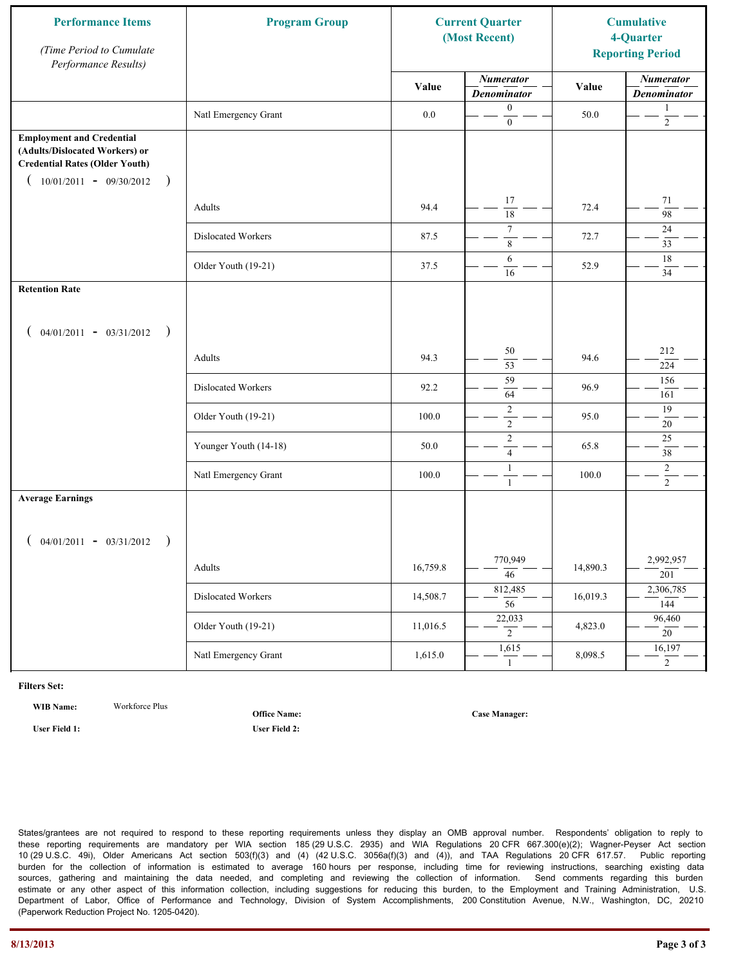| <b>Performance Items</b><br>(Time Period to Cumulate<br>Performance Results)                                                                              | <b>Program Group</b>  |          | <b>Current Quarter</b><br>(Most Recent) |          | <b>Cumulative</b><br>4-Quarter<br><b>Reporting Period</b> |
|-----------------------------------------------------------------------------------------------------------------------------------------------------------|-----------------------|----------|-----------------------------------------|----------|-----------------------------------------------------------|
|                                                                                                                                                           |                       | Value    | <b>Numerator</b><br><b>Denominator</b>  | Value    | <b>Numerator</b><br><b>Denominator</b>                    |
|                                                                                                                                                           | Natl Emergency Grant  | $0.0\,$  | $\boldsymbol{0}$<br>$\mathbf{0}$        | 50.0     | 1<br>$\overline{c}$                                       |
| <b>Employment and Credential</b><br>(Adults/Dislocated Workers) or<br><b>Credential Rates (Older Youth)</b><br>$10/01/2011 - 09/30/2012$<br>$\rightarrow$ |                       |          |                                         |          |                                                           |
|                                                                                                                                                           | Adults                | 94.4     | 17<br>$\overline{18}$                   | 72.4     | 71<br>$\overline{98}$                                     |
|                                                                                                                                                           | Dislocated Workers    | 87.5     | $\overline{7}$<br>$\,$ 8 $\,$           | 72.7     | 24<br>33                                                  |
|                                                                                                                                                           | Older Youth (19-21)   | 37.5     | 6<br>16                                 | 52.9     | 18<br>34                                                  |
| <b>Retention Rate</b>                                                                                                                                     |                       |          |                                         |          |                                                           |
| $04/01/2011 - 03/31/2012$ )                                                                                                                               |                       |          |                                         |          |                                                           |
|                                                                                                                                                           | Adults                | 94.3     | 50<br>53                                | 94.6     | 212<br>224                                                |
|                                                                                                                                                           | Dislocated Workers    | 92.2     | 59<br>64                                | 96.9     | 156<br>161                                                |
|                                                                                                                                                           | Older Youth (19-21)   | 100.0    | $\sqrt{2}$<br>$\overline{2}$            | 95.0     | 19<br>20                                                  |
|                                                                                                                                                           | Younger Youth (14-18) | 50.0     | $\sqrt{2}$<br>$\overline{4}$            | 65.8     | 25<br>38                                                  |
|                                                                                                                                                           | Natl Emergency Grant  | 100.0    | $\mathbf{1}$<br>$\mathbf{1}$            | 100.0    | $\overline{c}$<br>$\overline{2}$                          |
| <b>Average Earnings</b>                                                                                                                                   |                       |          |                                         |          |                                                           |
| $04/01/2011 - 03/31/2012$<br>$\rightarrow$                                                                                                                |                       |          |                                         |          |                                                           |
|                                                                                                                                                           | Adults                | 16,759.8 | 770,949<br>$\overline{46}$              | 14,890.3 | 2,992,957<br>$\overline{201}$                             |
|                                                                                                                                                           | Dislocated Workers    | 14,508.7 | 812,485<br>$\overline{56}$              | 16,019.3 | 2,306,785<br>144                                          |
|                                                                                                                                                           | Older Youth (19-21)   | 11,016.5 | 22,033<br>$\overline{2}$                | 4,823.0  | 96,460<br>20                                              |
|                                                                                                                                                           | Natl Emergency Grant  | 1,615.0  | 1,615<br>1                              | 8,098.5  | 16,197<br>$\overline{2}$                                  |

**WIB Name:** Workforce Plus

**Office Name:**

**User Field 1: User Field 2:**

**Case Manager:**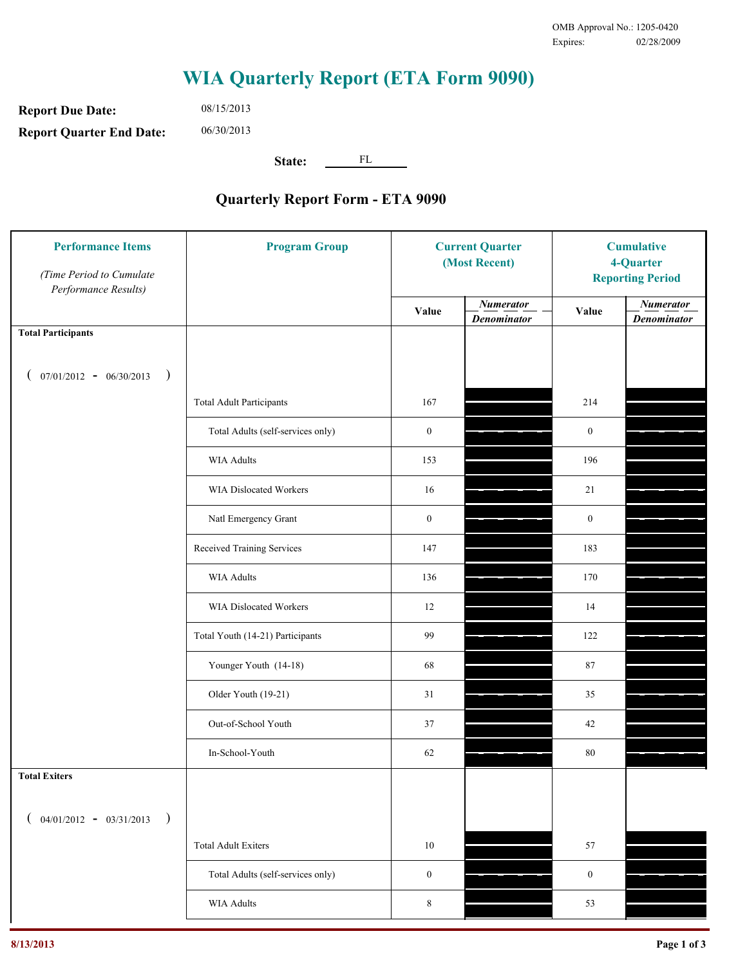**Report Due Date: Report Quarter End Date:** 08/15/2013 06/30/2013

**State:** FL

| <b>Performance Items</b><br>(Time Period to Cumulate<br>Performance Results) | <b>Program Group</b>              | <b>Current Quarter</b><br>(Most Recent) |                                        | <b>Cumulative</b><br>4-Quarter<br><b>Reporting Period</b> |                                        |
|------------------------------------------------------------------------------|-----------------------------------|-----------------------------------------|----------------------------------------|-----------------------------------------------------------|----------------------------------------|
|                                                                              |                                   | Value                                   | <b>Numerator</b><br><b>Denominator</b> | Value                                                     | <b>Numerator</b><br><b>Denominator</b> |
| <b>Total Participants</b>                                                    |                                   |                                         |                                        |                                                           |                                        |
| $07/01/2012 - 06/30/2013$<br>$\big)$<br>$\overline{ }$                       |                                   |                                         |                                        |                                                           |                                        |
|                                                                              | <b>Total Adult Participants</b>   | 167                                     |                                        | 214                                                       |                                        |
|                                                                              | Total Adults (self-services only) | $\boldsymbol{0}$                        |                                        | $\mathbf{0}$                                              |                                        |
|                                                                              | WIA Adults                        | 153                                     |                                        | 196                                                       |                                        |
|                                                                              | <b>WIA Dislocated Workers</b>     | 16                                      |                                        | 21                                                        |                                        |
|                                                                              | Natl Emergency Grant              | $\mathbf{0}$                            |                                        | $\mathbf{0}$                                              |                                        |
|                                                                              | Received Training Services        | 147                                     |                                        | 183                                                       |                                        |
|                                                                              | <b>WIA Adults</b>                 | 136                                     |                                        | 170                                                       |                                        |
|                                                                              | WIA Dislocated Workers            | 12                                      |                                        | 14                                                        |                                        |
|                                                                              | Total Youth (14-21) Participants  | 99                                      |                                        | 122                                                       |                                        |
|                                                                              | Younger Youth (14-18)             | 68                                      |                                        | 87                                                        |                                        |
|                                                                              | Older Youth (19-21)               | 31                                      |                                        | 35                                                        |                                        |
|                                                                              | Out-of-School Youth               | 37                                      |                                        | 42                                                        |                                        |
|                                                                              | In-School-Youth                   | 62                                      |                                        | 80                                                        |                                        |
| <b>Total Exiters</b>                                                         |                                   |                                         |                                        |                                                           |                                        |
| $($ 04/01/2012 - 03/31/2013<br>$\lambda$                                     |                                   |                                         |                                        |                                                           |                                        |
|                                                                              | <b>Total Adult Exiters</b>        | $10\,$                                  |                                        | 57                                                        |                                        |
|                                                                              | Total Adults (self-services only) | $\mathbf{0}$                            |                                        | $\boldsymbol{0}$                                          |                                        |
|                                                                              | <b>WIA Adults</b>                 | 8                                       |                                        | 53                                                        |                                        |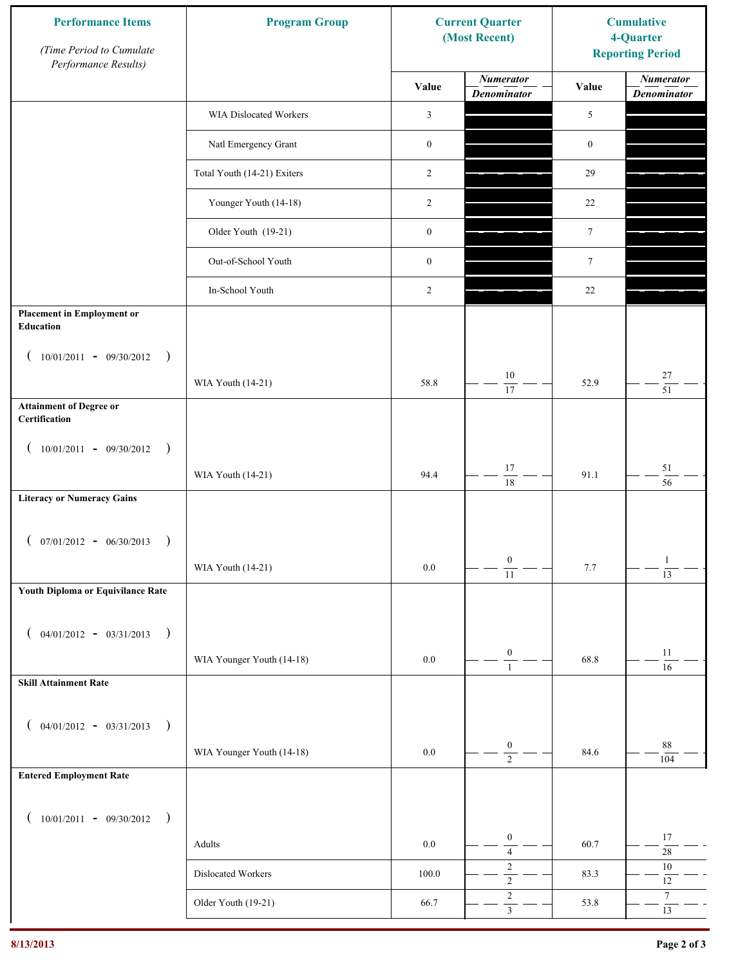| <b>Performance Items</b><br>(Time Period to Cumulate<br>Performance Results) | <b>Program Group</b>        |                  | <b>Current Quarter</b><br>(Most Recent) | <b>Cumulative</b><br>4-Quarter<br><b>Reporting Period</b> |                                        |
|------------------------------------------------------------------------------|-----------------------------|------------------|-----------------------------------------|-----------------------------------------------------------|----------------------------------------|
|                                                                              |                             | Value            | <b>Numerator</b><br><b>Denominator</b>  | Value                                                     | <b>Numerator</b><br><b>Denominator</b> |
|                                                                              | WIA Dislocated Workers      | 3                |                                         | 5                                                         |                                        |
|                                                                              | Natl Emergency Grant        | $\boldsymbol{0}$ |                                         | $\boldsymbol{0}$                                          |                                        |
|                                                                              | Total Youth (14-21) Exiters | 2                |                                         | 29                                                        |                                        |
|                                                                              | Younger Youth (14-18)       | 2                |                                         | 22                                                        |                                        |
|                                                                              | Older Youth (19-21)         | $\boldsymbol{0}$ |                                         | $\tau$                                                    |                                        |
|                                                                              | Out-of-School Youth         | $\boldsymbol{0}$ |                                         | $7\phantom{.0}$                                           |                                        |
|                                                                              | In-School Youth             | 2                |                                         | 22                                                        |                                        |
| <b>Placement in Employment or</b><br>Education                               |                             |                  |                                         |                                                           |                                        |
| $10/01/2011 - 09/30/2012$<br>$\rightarrow$                                   |                             |                  |                                         |                                                           |                                        |
|                                                                              | WIA Youth (14-21)           | 58.8             | 10<br>17                                | 52.9                                                      | $27\,$<br>$\overline{51}$              |
| <b>Attainment of Degree or</b><br>Certification                              |                             |                  |                                         |                                                           |                                        |
| $(10/01/2011 - 09/30/2012)$<br>$\rightarrow$                                 |                             |                  |                                         |                                                           |                                        |
|                                                                              | WIA Youth (14-21)           | 94.4             | $17\,$<br>$\overline{18}$               | 91.1                                                      | $51\,$<br>$\overline{56}$              |
| <b>Literacy or Numeracy Gains</b>                                            |                             |                  |                                         |                                                           |                                        |
| $(07/01/2012 - 06/30/2013)$<br>$\rightarrow$                                 |                             |                  |                                         |                                                           |                                        |
|                                                                              | WIA Youth (14-21)           | $0.0\,$          | $\boldsymbol{0}$<br>$\overline{11}$     | 7.7                                                       | $\mathbf{1}$<br>$\overline{13}$        |
| Youth Diploma or Equivilance Rate                                            |                             |                  |                                         |                                                           |                                        |
| $04/01/2012 - 03/31/2013$<br>$\rightarrow$<br>€                              |                             |                  |                                         |                                                           |                                        |
|                                                                              | WIA Younger Youth (14-18)   | $0.0\,$          | $\boldsymbol{0}$<br>$\mathbf{1}$        | 68.8                                                      | 11<br>16                               |
| <b>Skill Attainment Rate</b>                                                 |                             |                  |                                         |                                                           |                                        |
| $04/01/2012 - 03/31/2013$<br>$\rightarrow$                                   |                             |                  |                                         |                                                           |                                        |
| €                                                                            | WIA Younger Youth (14-18)   | $0.0\,$          | $\boldsymbol{0}$                        | 84.6                                                      | 88                                     |
| <b>Entered Employment Rate</b>                                               |                             |                  | $\overline{2}$                          |                                                           | 104                                    |
|                                                                              |                             |                  |                                         |                                                           |                                        |
| $10/01/2011 - 09/30/2012$<br>$\big)$<br>€                                    |                             |                  | $\boldsymbol{0}$                        |                                                           | 17                                     |
|                                                                              | Adults                      | $0.0\,$          | $\sqrt{4}$<br>$\sqrt{2}$                | 60.7                                                      | $28\,$<br>$10\,$                       |
|                                                                              | Dislocated Workers          | 100.0            | $\overline{2}$<br>$\sqrt{2}$            | 83.3                                                      | $12\,$<br>$\tau$                       |
|                                                                              | Older Youth (19-21)         | 66.7             | $\overline{3}$                          | 53.8                                                      | 13                                     |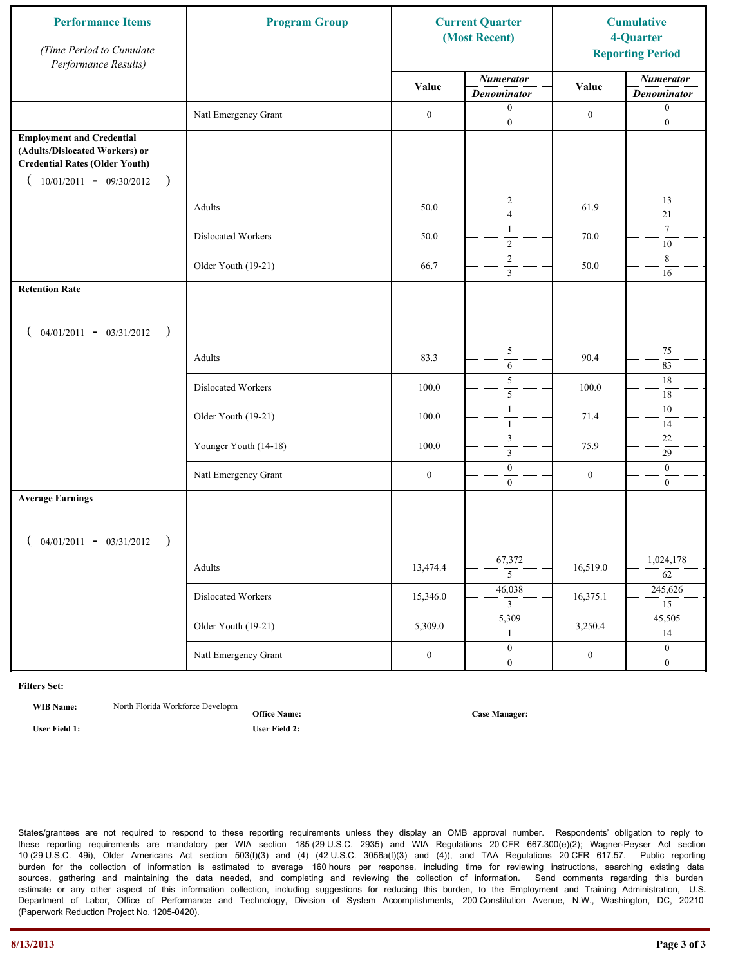| <b>Performance Items</b><br>(Time Period to Cumulate<br>Performance Results)                                                                              | <b>Program Group</b>  | <b>Current Quarter</b><br>(Most Recent) |                                           | <b>Cumulative</b><br>4-Quarter<br><b>Reporting Period</b> |                                        |
|-----------------------------------------------------------------------------------------------------------------------------------------------------------|-----------------------|-----------------------------------------|-------------------------------------------|-----------------------------------------------------------|----------------------------------------|
|                                                                                                                                                           |                       | Value                                   | <b>Numerator</b><br><b>Denominator</b>    | Value                                                     | <b>Numerator</b><br><b>Denominator</b> |
|                                                                                                                                                           | Natl Emergency Grant  | $\boldsymbol{0}$                        | $\boldsymbol{0}$<br>$\mathbf{0}$          | $\boldsymbol{0}$                                          | $\boldsymbol{0}$<br>$\boldsymbol{0}$   |
| <b>Employment and Credential</b><br>(Adults/Dislocated Workers) or<br><b>Credential Rates (Older Youth)</b><br>$10/01/2011 - 09/30/2012$<br>$\rightarrow$ |                       |                                         |                                           |                                                           |                                        |
|                                                                                                                                                           | Adults                | 50.0                                    | $\overline{c}$<br>$\overline{4}$          | 61.9                                                      | 13<br>21                               |
|                                                                                                                                                           | Dislocated Workers    | 50.0                                    | $\mathbf{1}$<br>$\overline{2}$            | 70.0                                                      | $\tau$<br>10                           |
|                                                                                                                                                           | Older Youth (19-21)   | 66.7                                    | $\overline{c}$<br>$\overline{\mathbf{3}}$ | 50.0                                                      | 8<br>16                                |
| <b>Retention Rate</b>                                                                                                                                     |                       |                                         |                                           |                                                           |                                        |
| $04/01/2011 - 03/31/2012$ )                                                                                                                               |                       |                                         |                                           |                                                           |                                        |
|                                                                                                                                                           | Adults                | 83.3                                    | $\sqrt{5}$<br>6                           | 90.4                                                      | 75<br>83                               |
|                                                                                                                                                           | Dislocated Workers    | 100.0                                   | 5<br>5                                    | 100.0                                                     | $18\,$<br>18                           |
|                                                                                                                                                           | Older Youth (19-21)   | 100.0                                   | $\mathbf{1}$<br>$\mathbf{1}$              | 71.4                                                      | $10\,$<br>14                           |
|                                                                                                                                                           | Younger Youth (14-18) | 100.0                                   | $\mathfrak{Z}$<br>$\mathfrak{Z}$          | 75.9                                                      | $22\,$<br>29                           |
|                                                                                                                                                           | Natl Emergency Grant  | $\boldsymbol{0}$                        | $\boldsymbol{0}$<br>$\overline{0}$        | $\boldsymbol{0}$                                          | $\mathbf{0}$<br>$\mathbf{0}$           |
| <b>Average Earnings</b>                                                                                                                                   |                       |                                         |                                           |                                                           |                                        |
| $04/01/2011 - 03/31/2012$<br>$\rightarrow$                                                                                                                |                       |                                         |                                           |                                                           |                                        |
|                                                                                                                                                           | Adults                | 13,474.4                                | 67,372<br>5                               | 16,519.0                                                  | 1,024,178<br>$\overline{62}$           |
|                                                                                                                                                           | Dislocated Workers    | 15,346.0                                | 46,038<br>$\overline{3}$                  | 16,375.1                                                  | 245,626<br>$\overline{15}$             |
|                                                                                                                                                           | Older Youth (19-21)   | 5,309.0                                 | 5,309<br>$\mathbf{1}$                     | 3,250.4                                                   | 45,505<br>14                           |
|                                                                                                                                                           | Natl Emergency Grant  | $\boldsymbol{0}$                        | $\overline{0}$<br>$\mathbf{0}$            | $\boldsymbol{0}$                                          | $\overline{0}$<br>$\overline{0}$       |

**WIB Name:** North Florida Workforce Developm

**Office Name:**

**User Field 1: User Field 2:**

**Case Manager:**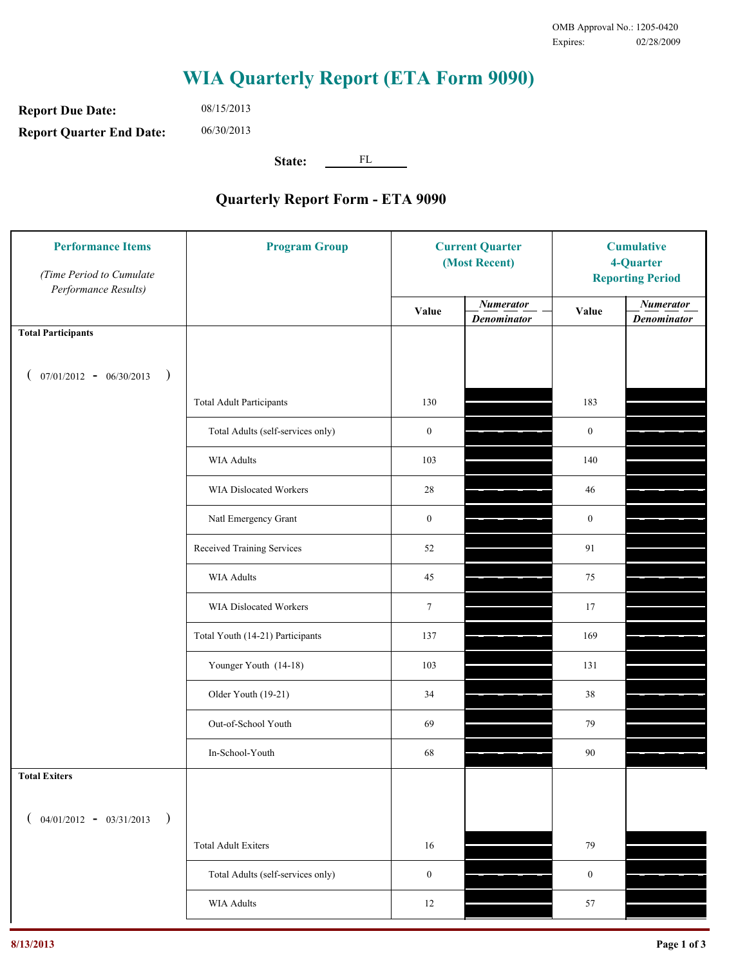**Report Due Date: Report Quarter End Date:** 06/30/2013

08/15/2013

**State:** FL

| <b>Performance Items</b><br>(Time Period to Cumulate<br>Performance Results) | <b>Program Group</b>              | <b>Current Quarter</b><br>(Most Recent) |                                        | <b>Cumulative</b><br>4-Quarter<br><b>Reporting Period</b> |                                        |
|------------------------------------------------------------------------------|-----------------------------------|-----------------------------------------|----------------------------------------|-----------------------------------------------------------|----------------------------------------|
|                                                                              |                                   | Value                                   | <b>Numerator</b><br><b>Denominator</b> | Value                                                     | <b>Numerator</b><br><b>Denominator</b> |
| <b>Total Participants</b>                                                    |                                   |                                         |                                        |                                                           |                                        |
| $07/01/2012 - 06/30/2013$ )                                                  |                                   |                                         |                                        |                                                           |                                        |
|                                                                              | <b>Total Adult Participants</b>   | 130                                     |                                        | 183                                                       |                                        |
|                                                                              | Total Adults (self-services only) | $\boldsymbol{0}$                        |                                        | $\boldsymbol{0}$                                          |                                        |
|                                                                              | <b>WIA Adults</b>                 | 103                                     |                                        | 140                                                       |                                        |
|                                                                              | WIA Dislocated Workers            | 28                                      |                                        | 46                                                        |                                        |
|                                                                              | Natl Emergency Grant              | $\boldsymbol{0}$                        |                                        | $\boldsymbol{0}$                                          |                                        |
|                                                                              | Received Training Services        | 52                                      |                                        | 91                                                        |                                        |
|                                                                              | <b>WIA Adults</b>                 | 45                                      |                                        | 75                                                        |                                        |
|                                                                              | WIA Dislocated Workers            | $\tau$                                  |                                        | 17                                                        |                                        |
|                                                                              | Total Youth (14-21) Participants  | 137                                     |                                        | 169                                                       |                                        |
|                                                                              | Younger Youth (14-18)             | 103                                     |                                        | 131                                                       |                                        |
|                                                                              | Older Youth (19-21)               | 34                                      |                                        | 38                                                        |                                        |
|                                                                              | Out-of-School Youth               | 69                                      |                                        | 79                                                        |                                        |
|                                                                              | In-School-Youth                   | 68                                      |                                        | 90                                                        |                                        |
| <b>Total Exiters</b>                                                         |                                   |                                         |                                        |                                                           |                                        |
| $($ 04/01/2012 - 03/31/2013<br>$\rightarrow$                                 |                                   |                                         |                                        |                                                           |                                        |
|                                                                              | <b>Total Adult Exiters</b>        | 16                                      |                                        | 79                                                        |                                        |
|                                                                              | Total Adults (self-services only) | $\boldsymbol{0}$                        |                                        | $\boldsymbol{0}$                                          |                                        |
|                                                                              | WIA Adults                        | $12\,$                                  |                                        | 57                                                        |                                        |
|                                                                              |                                   |                                         |                                        |                                                           |                                        |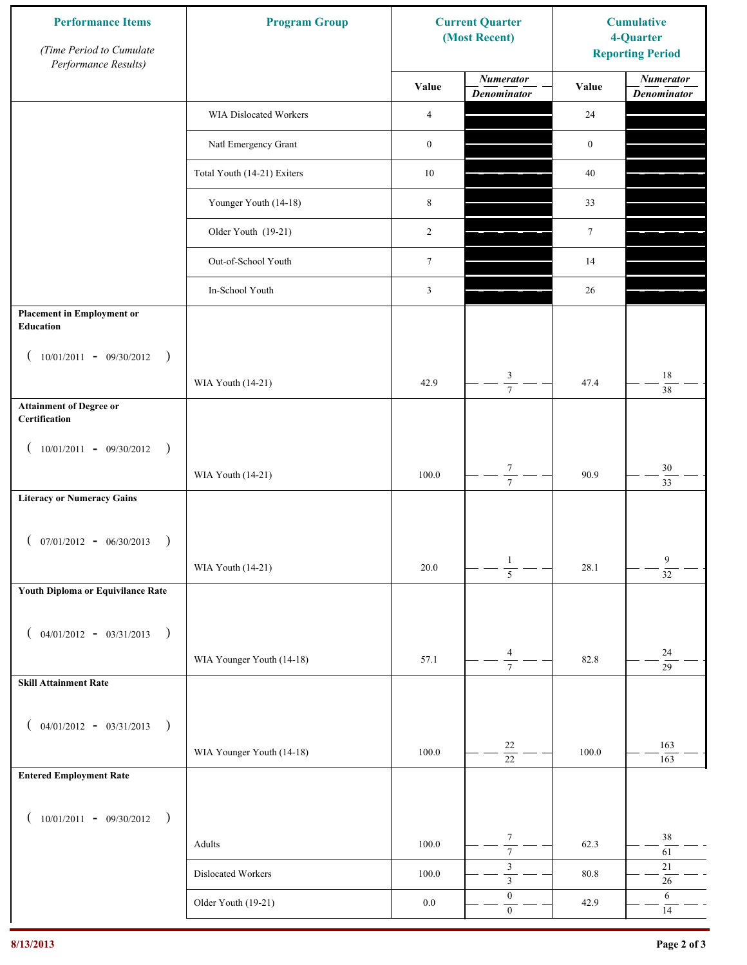| <b>Performance Items</b><br>(Time Period to Cumulate<br>Performance Results) | <b>Program Group</b>        |                  | <b>Current Quarter</b><br>(Most Recent) | <b>Cumulative</b><br>4-Quarter<br><b>Reporting Period</b> |                                        |
|------------------------------------------------------------------------------|-----------------------------|------------------|-----------------------------------------|-----------------------------------------------------------|----------------------------------------|
|                                                                              |                             | Value            | <b>Numerator</b><br><b>Denominator</b>  | Value                                                     | <b>Numerator</b><br><b>Denominator</b> |
|                                                                              | WIA Dislocated Workers      | 4                |                                         | 24                                                        |                                        |
|                                                                              | Natl Emergency Grant        | $\boldsymbol{0}$ |                                         | $\boldsymbol{0}$                                          |                                        |
|                                                                              | Total Youth (14-21) Exiters | $10\,$           |                                         | 40                                                        |                                        |
|                                                                              | Younger Youth (14-18)       | $\,8\,$          |                                         | 33                                                        |                                        |
|                                                                              | Older Youth (19-21)         | $\overline{2}$   |                                         | $\tau$                                                    |                                        |
|                                                                              | Out-of-School Youth         | $7\phantom{.0}$  |                                         | 14                                                        |                                        |
|                                                                              | In-School Youth             | 3                |                                         | 26                                                        |                                        |
| <b>Placement in Employment or</b><br><b>Education</b>                        |                             |                  |                                         |                                                           |                                        |
| $(10/01/2011 - 09/30/2012)$<br>$\rightarrow$                                 |                             |                  |                                         |                                                           |                                        |
|                                                                              | WIA Youth (14-21)           | 42.9             | 3<br>$\overline{7}$                     | 47.4                                                      | $18\,$<br>38                           |
| <b>Attainment of Degree or</b><br>Certification                              |                             |                  |                                         |                                                           |                                        |
| $(10/01/2011 - 09/30/2012)$<br>$\rightarrow$                                 |                             |                  |                                         |                                                           |                                        |
|                                                                              | WIA Youth (14-21)           | 100.0            | $\boldsymbol{7}$<br>$\overline{7}$      | 90.9                                                      | $30\,$<br>$\overline{33}$              |
| <b>Literacy or Numeracy Gains</b>                                            |                             |                  |                                         |                                                           |                                        |
| $($ 07/01/2012 - 06/30/2013                                                  |                             |                  |                                         |                                                           |                                        |
|                                                                              | WIA Youth (14-21)           | 20.0             | $\mathbf{1}$<br>$\overline{5}$          | 28.1                                                      | 9<br>$\overline{32}$                   |
| Youth Diploma or Equivilance Rate                                            |                             |                  |                                         |                                                           |                                        |
| $04/01/2012 - 03/31/2013$<br>$\rightarrow$                                   |                             |                  |                                         |                                                           |                                        |
|                                                                              | WIA Younger Youth (14-18)   | 57.1             | $\overline{4}$<br>$\overline{7}$        | 82.8                                                      | $24\,$                                 |
| <b>Skill Attainment Rate</b>                                                 |                             |                  |                                         |                                                           | $\overline{29}$                        |
|                                                                              |                             |                  |                                         |                                                           |                                        |
| $04/01/2012 - 03/31/2013$<br>$\overline{\phantom{a}}$                        | WIA Younger Youth (14-18)   | 100.0            | $22\,$                                  | 100.0                                                     | 163                                    |
| <b>Entered Employment Rate</b>                                               |                             |                  | $\overline{22}$                         |                                                           | 163                                    |
|                                                                              |                             |                  |                                         |                                                           |                                        |
| $10/01/2011 - 09/30/2012$<br>$\rightarrow$                                   |                             |                  | $\boldsymbol{7}$                        |                                                           | 38                                     |
|                                                                              | Adults                      | 100.0            | $\overline{7}$<br>$\mathfrak{Z}$        | 62.3                                                      | 61<br>$21\,$                           |
|                                                                              | Dislocated Workers          | 100.0            | $\overline{\mathbf{3}}$                 | 80.8                                                      | $26\,$                                 |
|                                                                              | Older Youth (19-21)         | $0.0\,$          | $\boldsymbol{0}$<br>$\boldsymbol{0}$    | 42.9                                                      | 6<br>14                                |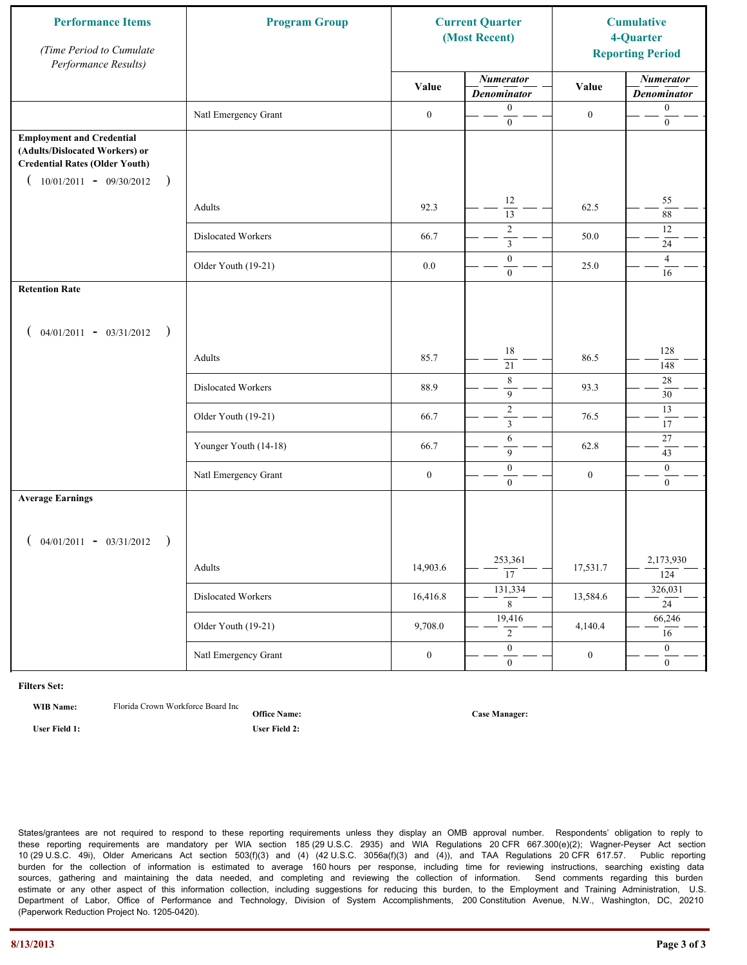| <b>Performance Items</b><br>(Time Period to Cumulate<br>Performance Results)                                                                              | <b>Program Group</b>  | <b>Current Quarter</b><br>(Most Recent) |                                           | <b>Cumulative</b><br>4-Quarter<br><b>Reporting Period</b> |                                        |
|-----------------------------------------------------------------------------------------------------------------------------------------------------------|-----------------------|-----------------------------------------|-------------------------------------------|-----------------------------------------------------------|----------------------------------------|
|                                                                                                                                                           |                       | Value                                   | <b>Numerator</b><br><b>Denominator</b>    | Value                                                     | <b>Numerator</b><br><b>Denominator</b> |
|                                                                                                                                                           | Natl Emergency Grant  | $\boldsymbol{0}$                        | $\boldsymbol{0}$<br>$\mathbf{0}$          | $\boldsymbol{0}$                                          | $\boldsymbol{0}$<br>$\boldsymbol{0}$   |
| <b>Employment and Credential</b><br>(Adults/Dislocated Workers) or<br><b>Credential Rates (Older Youth)</b><br>$10/01/2011 - 09/30/2012$<br>$\rightarrow$ |                       |                                         |                                           |                                                           |                                        |
|                                                                                                                                                           | Adults                | 92.3                                    | 12<br>$\overline{13}$                     | 62.5                                                      | 55<br>$88\,$                           |
|                                                                                                                                                           | Dislocated Workers    | 66.7                                    | $\overline{2}$<br>$\overline{\mathbf{3}}$ | 50.0                                                      | 12<br>24                               |
|                                                                                                                                                           | Older Youth (19-21)   | $0.0\,$                                 | $\boldsymbol{0}$<br>$\overline{0}$        | 25.0                                                      | $\overline{4}$<br>16                   |
| <b>Retention Rate</b>                                                                                                                                     |                       |                                         |                                           |                                                           |                                        |
| $04/01/2011 - 03/31/2012$ )                                                                                                                               |                       |                                         |                                           |                                                           |                                        |
|                                                                                                                                                           | Adults                | 85.7                                    | 18<br>21                                  | 86.5                                                      | 128<br>148                             |
|                                                                                                                                                           | Dislocated Workers    | 88.9                                    | $\,$ 8 $\,$<br>$\mathbf{9}$               | 93.3                                                      | 28<br>30                               |
|                                                                                                                                                           | Older Youth (19-21)   | 66.7                                    | $\sqrt{2}$<br>$\mathfrak{Z}$              | 76.5                                                      | 13<br>17                               |
|                                                                                                                                                           | Younger Youth (14-18) | 66.7                                    | 6<br>9                                    | 62.8                                                      | $27\,$<br>43                           |
|                                                                                                                                                           | Natl Emergency Grant  | $\boldsymbol{0}$                        | $\boldsymbol{0}$<br>$\overline{0}$        | $\boldsymbol{0}$                                          | $\mathbf{0}$<br>$\overline{0}$         |
| <b>Average Earnings</b>                                                                                                                                   |                       |                                         |                                           |                                                           |                                        |
| $04/01/2011 - 03/31/2012$ )                                                                                                                               |                       |                                         |                                           |                                                           |                                        |
|                                                                                                                                                           | Adults                | 14,903.6                                | 253,361<br>$\overline{17}$                | 17,531.7                                                  | 2,173,930<br>124                       |
|                                                                                                                                                           | Dislocated Workers    | 16,416.8                                | 131,334<br>8                              | 13,584.6                                                  | 326,031<br>24                          |
|                                                                                                                                                           | Older Youth (19-21)   | 9,708.0                                 | 19,416<br>$\overline{2}$                  | 4,140.4                                                   | 66,246<br>16                           |
|                                                                                                                                                           | Natl Emergency Grant  | $\boldsymbol{0}$                        | $\overline{0}$<br>$\mathbf{0}$            | $\boldsymbol{0}$                                          | $\overline{0}$<br>$\overline{0}$       |

**WIB Name:** Florida Crown Workforce Board Inc.

**Office Name: User Field 1: User Field 2:**

**Case Manager:**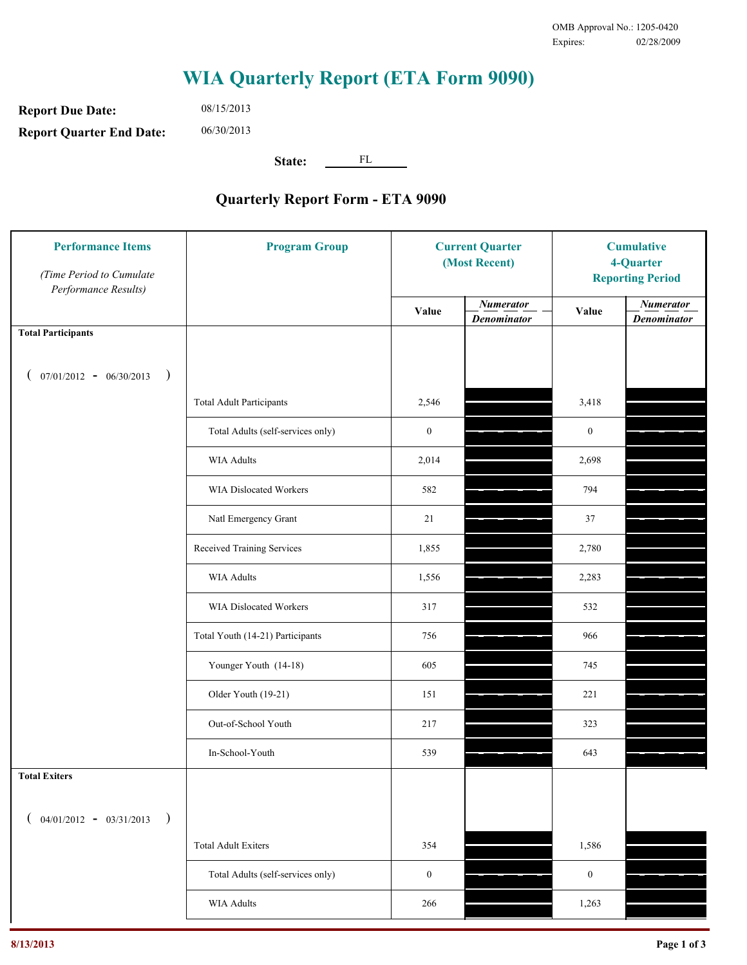**Report Due Date: Report Quarter End Date:** 08/15/2013 06/30/2013

**State:** FL

| <b>Performance Items</b><br>(Time Period to Cumulate<br>Performance Results) | <b>Program Group</b>              |                  | <b>Current Quarter</b><br>(Most Recent) |                  | <b>Cumulative</b><br>4-Quarter<br><b>Reporting Period</b> |  |
|------------------------------------------------------------------------------|-----------------------------------|------------------|-----------------------------------------|------------------|-----------------------------------------------------------|--|
|                                                                              |                                   | Value            | <b>Numerator</b><br><b>Denominator</b>  | Value            | <b>Numerator</b><br><b>Denominator</b>                    |  |
| <b>Total Participants</b>                                                    |                                   |                  |                                         |                  |                                                           |  |
| $07/01/2012 - 06/30/2013$ )                                                  |                                   |                  |                                         |                  |                                                           |  |
|                                                                              | <b>Total Adult Participants</b>   | 2,546            |                                         | 3,418            |                                                           |  |
|                                                                              | Total Adults (self-services only) | $\boldsymbol{0}$ |                                         | $\boldsymbol{0}$ |                                                           |  |
|                                                                              | <b>WIA Adults</b>                 | 2,014            |                                         | 2,698            |                                                           |  |
|                                                                              | <b>WIA Dislocated Workers</b>     | 582              |                                         | 794              |                                                           |  |
|                                                                              | Natl Emergency Grant              | 21               |                                         | 37               |                                                           |  |
|                                                                              | Received Training Services        | 1,855            |                                         | 2,780            |                                                           |  |
|                                                                              | <b>WIA Adults</b>                 | 1,556            |                                         | 2,283            |                                                           |  |
|                                                                              | WIA Dislocated Workers            | 317              |                                         | 532              |                                                           |  |
|                                                                              | Total Youth (14-21) Participants  | 756              |                                         | 966              |                                                           |  |
|                                                                              | Younger Youth (14-18)             | 605              |                                         | 745              |                                                           |  |
|                                                                              | Older Youth (19-21)               | 151              |                                         | 221              |                                                           |  |
|                                                                              | Out-of-School Youth               | 217              |                                         | 323              |                                                           |  |
|                                                                              | In-School-Youth                   | 539              |                                         | 643              |                                                           |  |
| <b>Total Exiters</b>                                                         |                                   |                  |                                         |                  |                                                           |  |
| $04/01/2012 - 03/31/2013$<br>$\rightarrow$                                   |                                   |                  |                                         |                  |                                                           |  |
|                                                                              | <b>Total Adult Exiters</b>        | 354              |                                         | 1,586            |                                                           |  |
|                                                                              | Total Adults (self-services only) | $\boldsymbol{0}$ |                                         | $\boldsymbol{0}$ |                                                           |  |
|                                                                              | WIA Adults                        | 266              |                                         | 1,263            |                                                           |  |
|                                                                              |                                   |                  |                                         |                  |                                                           |  |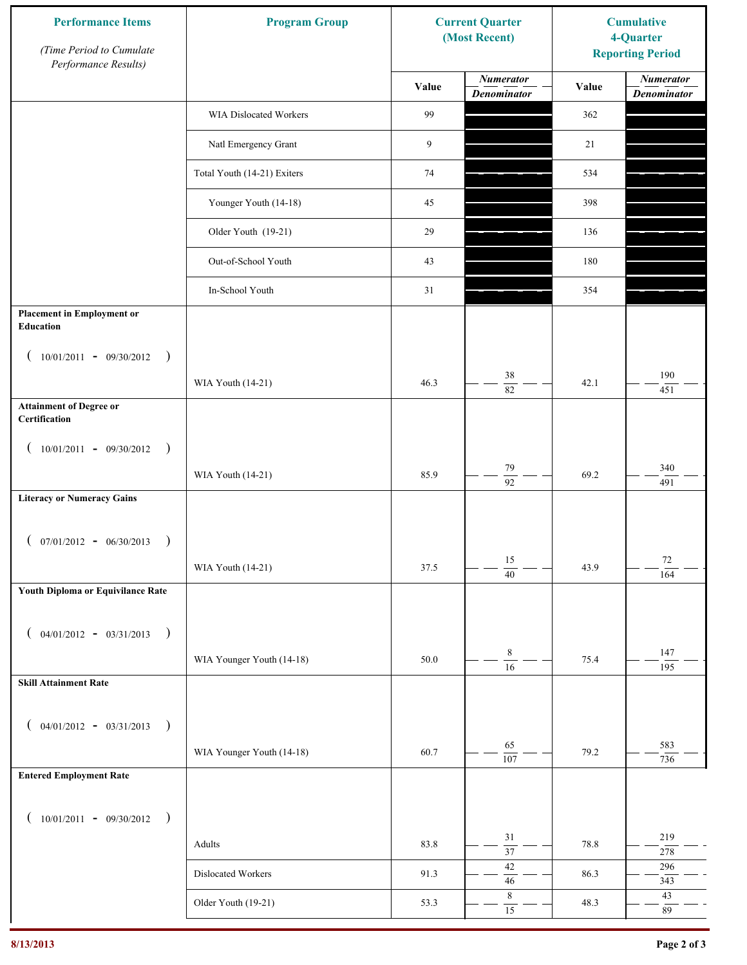| <b>Performance Items</b><br>(Time Period to Cumulate<br>Performance Results) | <b>Program Group</b>        | <b>Current Quarter</b><br>(Most Recent) |                                        | <b>Cumulative</b><br>4-Quarter<br><b>Reporting Period</b> |                                        |
|------------------------------------------------------------------------------|-----------------------------|-----------------------------------------|----------------------------------------|-----------------------------------------------------------|----------------------------------------|
|                                                                              |                             | Value                                   | <b>Numerator</b><br><b>Denominator</b> | Value                                                     | <b>Numerator</b><br><b>Denominator</b> |
|                                                                              | WIA Dislocated Workers      | 99                                      |                                        | 362                                                       |                                        |
|                                                                              | Natl Emergency Grant        | 9                                       |                                        | 21                                                        |                                        |
|                                                                              | Total Youth (14-21) Exiters | 74                                      |                                        | 534                                                       |                                        |
|                                                                              | Younger Youth (14-18)       | 45                                      |                                        | 398                                                       |                                        |
|                                                                              | Older Youth (19-21)         | 29                                      |                                        | 136                                                       |                                        |
|                                                                              | Out-of-School Youth         | 43                                      |                                        | 180                                                       |                                        |
|                                                                              | In-School Youth             | 31                                      |                                        | 354                                                       |                                        |
| <b>Placement in Employment or</b><br>Education                               |                             |                                         |                                        |                                                           |                                        |
| $10/01/2011 - 09/30/2012$<br>$\rightarrow$                                   |                             |                                         |                                        |                                                           |                                        |
|                                                                              | WIA Youth (14-21)           | 46.3                                    | $38\,$<br>82                           | 42.1                                                      | 190<br>451                             |
| <b>Attainment of Degree or</b><br>Certification                              |                             |                                         |                                        |                                                           |                                        |
| $(10/01/2011 - 09/30/2012)$<br>$\rightarrow$                                 |                             |                                         |                                        |                                                           |                                        |
|                                                                              | WIA Youth (14-21)           | 85.9                                    | 79<br>$\overline{92}$                  | 69.2                                                      | 340<br>491                             |
| <b>Literacy or Numeracy Gains</b>                                            |                             |                                         |                                        |                                                           |                                        |
| $(07/01/2012 - 06/30/2013)$<br>$\rightarrow$                                 |                             |                                         |                                        |                                                           |                                        |
|                                                                              | WIA Youth (14-21)           | 37.5                                    | 15<br>$\overline{40}$                  | 43.9                                                      | 72<br>164                              |
| Youth Diploma or Equivilance Rate                                            |                             |                                         |                                        |                                                           |                                        |
|                                                                              |                             |                                         |                                        |                                                           |                                        |
| $04/01/2012 - 03/31/2013$ )                                                  | WIA Younger Youth (14-18)   | 50.0                                    | $\,8\,$                                | 75.4                                                      | 147                                    |
| <b>Skill Attainment Rate</b>                                                 |                             |                                         | $\overline{16}$                        |                                                           | 195                                    |
|                                                                              |                             |                                         |                                        |                                                           |                                        |
| $04/01/2012 - 03/31/2013$ )                                                  |                             |                                         |                                        |                                                           |                                        |
|                                                                              | WIA Younger Youth (14-18)   | 60.7                                    | 65<br>$\overline{107}$                 | 79.2                                                      | 583<br>736                             |
| <b>Entered Employment Rate</b>                                               |                             |                                         |                                        |                                                           |                                        |
| $10/01/2011 - 09/30/2012$ )                                                  |                             |                                         |                                        |                                                           |                                        |
|                                                                              | Adults                      | 83.8                                    | 31<br>$\overline{37}$                  | 78.8                                                      | 219<br>$278\,$                         |
|                                                                              | Dislocated Workers          | 91.3                                    | $42\,$<br>$46\,$                       | 86.3                                                      | 296<br>343                             |
|                                                                              | Older Youth (19-21)         | 53.3                                    | $\,$ 8 $\,$<br>$\overline{15}$         | 48.3                                                      | $43\,$<br>$\rm 89$                     |
|                                                                              |                             |                                         |                                        |                                                           |                                        |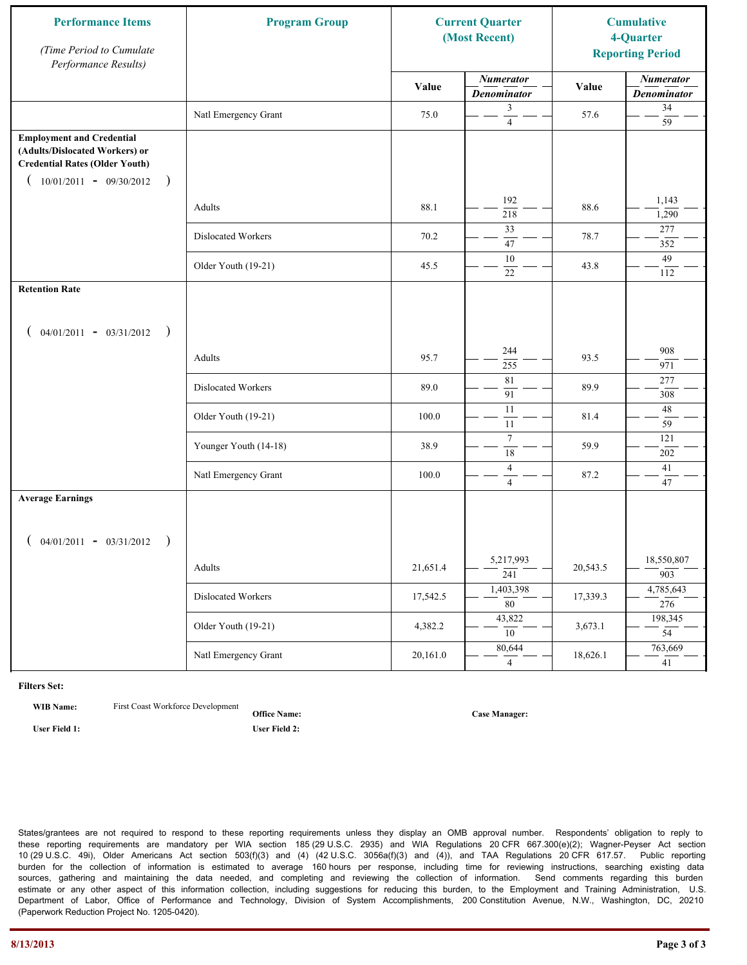| <b>Performance Items</b><br>(Time Period to Cumulate<br>Performance Results)                                                                              | <b>Program Group</b>  |          | <b>Current Quarter</b><br>(Most Recent) |          | <b>Cumulative</b><br>4-Quarter<br><b>Reporting Period</b> |
|-----------------------------------------------------------------------------------------------------------------------------------------------------------|-----------------------|----------|-----------------------------------------|----------|-----------------------------------------------------------|
|                                                                                                                                                           |                       | Value    | <b>Numerator</b><br><b>Denominator</b>  | Value    | <b>Numerator</b><br><b>Denominator</b>                    |
|                                                                                                                                                           | Natl Emergency Grant  | 75.0     | 3<br>$\overline{4}$                     | 57.6     | 34<br>59                                                  |
| <b>Employment and Credential</b><br>(Adults/Dislocated Workers) or<br><b>Credential Rates (Older Youth)</b><br>$10/01/2011 - 09/30/2012$<br>$\rightarrow$ |                       |          |                                         |          |                                                           |
|                                                                                                                                                           | Adults                | 88.1     | 192<br>218                              | 88.6     | 1,143<br>1,290                                            |
|                                                                                                                                                           | Dislocated Workers    | 70.2     | 33<br>47                                | 78.7     | 277<br>352                                                |
|                                                                                                                                                           | Older Youth (19-21)   | 45.5     | 10<br>22                                | 43.8     | 49<br>112                                                 |
| <b>Retention Rate</b>                                                                                                                                     |                       |          |                                         |          |                                                           |
| $04/01/2011 - 03/31/2012$ )                                                                                                                               |                       |          |                                         |          |                                                           |
|                                                                                                                                                           | Adults                | 95.7     | 244<br>255                              | 93.5     | 908<br>971                                                |
|                                                                                                                                                           | Dislocated Workers    | 89.0     | 81<br>91                                | 89.9     | 277<br>308                                                |
|                                                                                                                                                           | Older Youth (19-21)   | 100.0    | $\overline{11}$<br>11                   | 81.4     | 48<br>59                                                  |
|                                                                                                                                                           | Younger Youth (14-18) | 38.9     | $\tau$<br>$\overline{18}$               | 59.9     | 121<br>202                                                |
|                                                                                                                                                           | Natl Emergency Grant  | 100.0    | $\overline{4}$<br>$\overline{4}$        | 87.2     | 41<br>47                                                  |
| <b>Average Earnings</b>                                                                                                                                   |                       |          |                                         |          |                                                           |
| $04/01/2011 - 03/31/2012$ )                                                                                                                               |                       |          |                                         |          |                                                           |
|                                                                                                                                                           | Adults                | 21,651.4 | 5,217,993<br>$\overline{241}$           | 20,543.5 | 18,550,807<br>903                                         |
|                                                                                                                                                           | Dislocated Workers    | 17,542.5 | 1,403,398<br>$\overline{80}$            | 17,339.3 | 4,785,643<br>276                                          |
|                                                                                                                                                           | Older Youth (19-21)   | 4,382.2  | 43,822<br>10                            | 3,673.1  | 198,345<br>$\overline{54}$                                |
|                                                                                                                                                           | Natl Emergency Grant  | 20,161.0 | 80,644<br>$\overline{4}$                | 18,626.1 | 763,669<br>41                                             |

**WIB Name:** First Coast Workforce Development

**Office Name: User Field 1: User Field 2:**

**Case Manager:**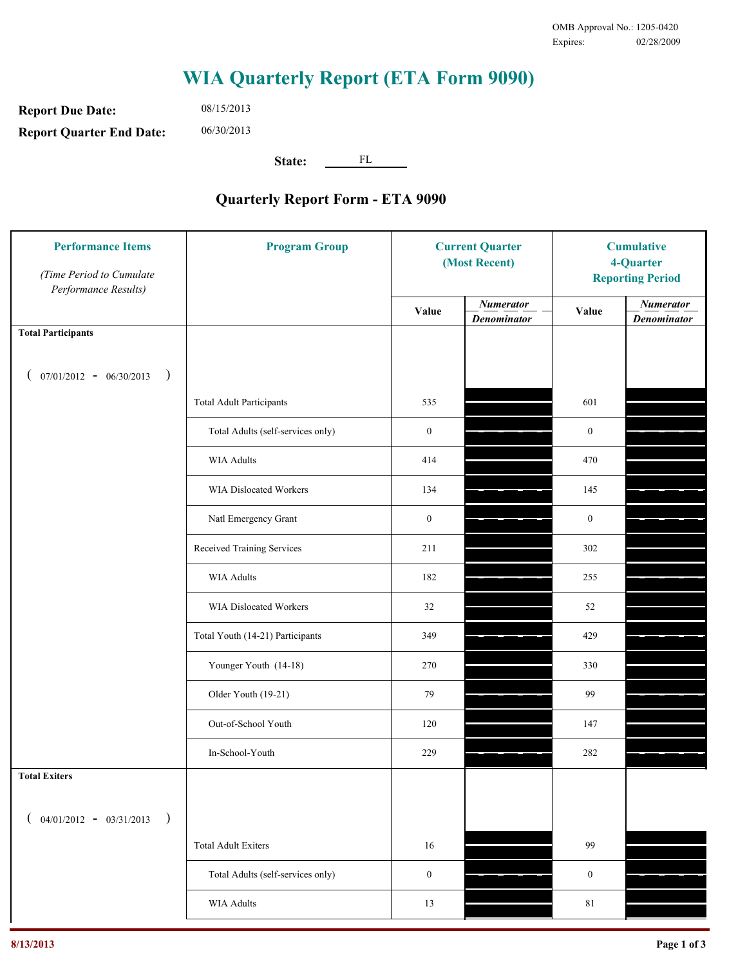**Report Due Date: Report Quarter End Date:** 06/30/2013

08/15/2013

**State:** FL

| <b>Performance Items</b><br>(Time Period to Cumulate<br>Performance Results) | <b>Program Group</b>              | <b>Current Quarter</b><br>(Most Recent) |                                        | <b>Cumulative</b><br>4-Quarter<br><b>Reporting Period</b> |                                        |
|------------------------------------------------------------------------------|-----------------------------------|-----------------------------------------|----------------------------------------|-----------------------------------------------------------|----------------------------------------|
|                                                                              |                                   | Value                                   | <b>Numerator</b><br><b>Denominator</b> | Value                                                     | <b>Numerator</b><br><b>Denominator</b> |
| <b>Total Participants</b>                                                    |                                   |                                         |                                        |                                                           |                                        |
| $07/01/2012 - 06/30/2013$ )                                                  |                                   |                                         |                                        |                                                           |                                        |
|                                                                              | <b>Total Adult Participants</b>   | 535                                     |                                        | 601                                                       |                                        |
|                                                                              | Total Adults (self-services only) | $\boldsymbol{0}$                        |                                        | $\boldsymbol{0}$                                          |                                        |
|                                                                              | <b>WIA Adults</b>                 | 414                                     |                                        | 470                                                       |                                        |
|                                                                              | WIA Dislocated Workers            | 134                                     |                                        | 145                                                       |                                        |
|                                                                              | Natl Emergency Grant              | $\boldsymbol{0}$                        |                                        | $\boldsymbol{0}$                                          |                                        |
|                                                                              | Received Training Services        | 211                                     |                                        | 302                                                       |                                        |
|                                                                              | <b>WIA Adults</b>                 | 182                                     |                                        | 255                                                       |                                        |
|                                                                              | WIA Dislocated Workers            | 32                                      |                                        | 52                                                        |                                        |
|                                                                              | Total Youth (14-21) Participants  | 349                                     |                                        | 429                                                       |                                        |
|                                                                              | Younger Youth (14-18)             | 270                                     |                                        | 330                                                       |                                        |
|                                                                              | Older Youth (19-21)               | 79                                      |                                        | 99                                                        |                                        |
|                                                                              | Out-of-School Youth               | 120                                     |                                        | 147                                                       |                                        |
|                                                                              | In-School-Youth                   | 229                                     |                                        | 282                                                       |                                        |
| <b>Total Exiters</b>                                                         |                                   |                                         |                                        |                                                           |                                        |
| $($ 04/01/2012 - 03/31/2013<br>$\rightarrow$                                 |                                   |                                         |                                        |                                                           |                                        |
|                                                                              | <b>Total Adult Exiters</b>        | 16                                      |                                        | 99                                                        |                                        |
|                                                                              | Total Adults (self-services only) | $\boldsymbol{0}$                        |                                        | $\boldsymbol{0}$                                          |                                        |
|                                                                              | WIA Adults                        | 13                                      |                                        | $8\sqrt{1}$                                               |                                        |
|                                                                              |                                   |                                         |                                        |                                                           |                                        |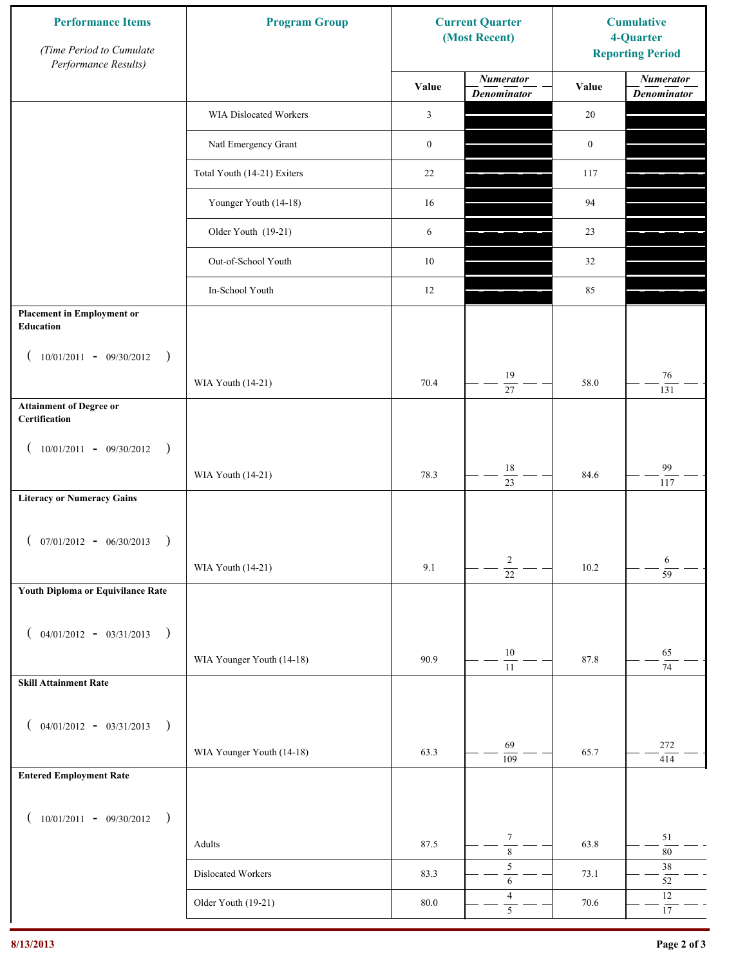| <b>Performance Items</b><br>(Time Period to Cumulate<br>Performance Results) | <b>Program Group</b>        |                  | <b>Current Quarter</b><br>(Most Recent) | <b>Cumulative</b><br>4-Quarter<br><b>Reporting Period</b> |                                        |
|------------------------------------------------------------------------------|-----------------------------|------------------|-----------------------------------------|-----------------------------------------------------------|----------------------------------------|
|                                                                              |                             | Value            | <b>Numerator</b><br><b>Denominator</b>  | Value                                                     | <b>Numerator</b><br><b>Denominator</b> |
|                                                                              | WIA Dislocated Workers      | 3                |                                         | 20                                                        |                                        |
|                                                                              | Natl Emergency Grant        | $\boldsymbol{0}$ |                                         | $\boldsymbol{0}$                                          |                                        |
|                                                                              | Total Youth (14-21) Exiters | 22               |                                         | 117                                                       |                                        |
|                                                                              | Younger Youth (14-18)       | 16               |                                         | 94                                                        |                                        |
|                                                                              | Older Youth (19-21)         | 6                |                                         | 23                                                        |                                        |
|                                                                              | Out-of-School Youth         | $10\,$           |                                         | 32                                                        |                                        |
|                                                                              | In-School Youth             | 12               |                                         | 85                                                        |                                        |
| <b>Placement in Employment or</b><br>Education                               |                             |                  |                                         |                                                           |                                        |
| $10/01/2011 - 09/30/2012$<br>$\rightarrow$                                   |                             |                  |                                         |                                                           |                                        |
|                                                                              | WIA Youth (14-21)           | 70.4             | 19<br>27                                | 58.0                                                      | $76\,$<br>131                          |
| <b>Attainment of Degree or</b><br>Certification                              |                             |                  |                                         |                                                           |                                        |
| $(10/01/2011 - 09/30/2012)$<br>$\rightarrow$                                 |                             |                  |                                         |                                                           |                                        |
|                                                                              | WIA Youth (14-21)           | 78.3             | $18\,$<br>$\overline{23}$               | 84.6                                                      | 99<br>117                              |
| <b>Literacy or Numeracy Gains</b>                                            |                             |                  |                                         |                                                           |                                        |
| $(07/01/2012 - 06/30/2013)$<br>$\rightarrow$                                 |                             |                  |                                         |                                                           |                                        |
|                                                                              | WIA Youth (14-21)           | 9.1              | $\overline{c}$<br>$\overline{22}$       | 10.2                                                      | 6<br>$\overline{59}$                   |
| Youth Diploma or Equivilance Rate                                            |                             |                  |                                         |                                                           |                                        |
|                                                                              |                             |                  |                                         |                                                           |                                        |
| $04/01/2012 - 03/31/2013$<br>$\rightarrow$<br>€                              | WIA Younger Youth (14-18)   | 90.9             | $10\,$                                  | 87.8                                                      | 65                                     |
| <b>Skill Attainment Rate</b>                                                 |                             |                  | 11                                      |                                                           | 74                                     |
|                                                                              |                             |                  |                                         |                                                           |                                        |
| $04/01/2012 - 03/31/2013$ )<br>€                                             |                             |                  | 69                                      |                                                           | 272                                    |
|                                                                              | WIA Younger Youth (14-18)   | 63.3             | $\overline{109}$                        | 65.7                                                      | 414                                    |
| <b>Entered Employment Rate</b>                                               |                             |                  |                                         |                                                           |                                        |
| $10/01/2011 - 09/30/2012$<br>$\rightarrow$                                   |                             |                  |                                         |                                                           |                                        |
|                                                                              | Adults                      | 87.5             | $\boldsymbol{7}$<br>$\overline{\bf 8}$  | 63.8                                                      | 51<br>$80\,$                           |
|                                                                              | Dislocated Workers          | 83.3             | $\sqrt{5}$<br>$\sqrt{6}$                | 73.1                                                      | $38\,$<br>$52\,$                       |
|                                                                              | Older Youth (19-21)         | $80.0\,$         | $\overline{4}$<br>$\overline{5}$        | 70.6                                                      | $12\,$<br>$17\,$                       |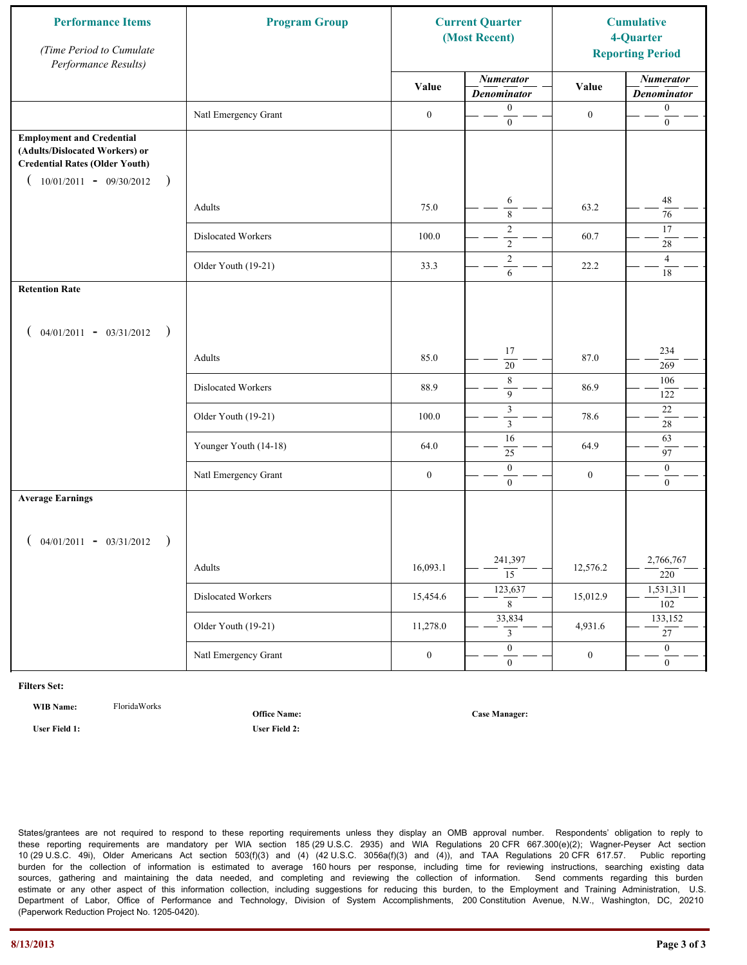| <b>Performance Items</b><br>(Time Period to Cumulate<br>Performance Results)                                                                              | <b>Program Group</b>  | <b>Current Quarter</b><br>(Most Recent) |                                        |                  |                                        |  | <b>Cumulative</b><br>4-Quarter<br><b>Reporting Period</b> |
|-----------------------------------------------------------------------------------------------------------------------------------------------------------|-----------------------|-----------------------------------------|----------------------------------------|------------------|----------------------------------------|--|-----------------------------------------------------------|
|                                                                                                                                                           |                       | Value                                   | <b>Numerator</b><br><b>Denominator</b> | Value            | <b>Numerator</b><br><b>Denominator</b> |  |                                                           |
|                                                                                                                                                           | Natl Emergency Grant  | $\boldsymbol{0}$                        | $\boldsymbol{0}$<br>$\mathbf{0}$       | $\boldsymbol{0}$ | $\boldsymbol{0}$<br>$\boldsymbol{0}$   |  |                                                           |
| <b>Employment and Credential</b><br>(Adults/Dislocated Workers) or<br><b>Credential Rates (Older Youth)</b><br>$10/01/2011 - 09/30/2012$<br>$\rightarrow$ |                       |                                         |                                        |                  |                                        |  |                                                           |
|                                                                                                                                                           | Adults                | 75.0                                    | 6<br>$\overline{\bf 8}$                | 63.2             | $48\,$<br>76                           |  |                                                           |
|                                                                                                                                                           | Dislocated Workers    | 100.0                                   | $\overline{c}$<br>$\overline{2}$       | 60.7             | 17<br>28                               |  |                                                           |
|                                                                                                                                                           | Older Youth (19-21)   | 33.3                                    | $\overline{2}$<br>6                    | 22.2             | $\overline{4}$<br>18                   |  |                                                           |
| <b>Retention Rate</b>                                                                                                                                     |                       |                                         |                                        |                  |                                        |  |                                                           |
| $04/01/2011 - 03/31/2012$ )                                                                                                                               |                       |                                         |                                        |                  |                                        |  |                                                           |
|                                                                                                                                                           | Adults                | 85.0                                    | 17<br>20                               | 87.0             | 234<br>269                             |  |                                                           |
|                                                                                                                                                           | Dislocated Workers    | 88.9                                    | $\,$ $\,$<br>9                         | 86.9             | 106<br>122                             |  |                                                           |
|                                                                                                                                                           | Older Youth (19-21)   | 100.0                                   | $\mathfrak{Z}$<br>$\overline{3}$       | 78.6             | 22<br>$\sqrt{28}$                      |  |                                                           |
|                                                                                                                                                           | Younger Youth (14-18) | 64.0                                    | 16<br>$25\,$                           | 64.9             | 63<br>97                               |  |                                                           |
|                                                                                                                                                           | Natl Emergency Grant  | $\boldsymbol{0}$                        | $\mathbf{0}$<br>$\overline{0}$         | $\boldsymbol{0}$ | $\boldsymbol{0}$<br>$\mathbf{0}$       |  |                                                           |
| <b>Average Earnings</b>                                                                                                                                   |                       |                                         |                                        |                  |                                        |  |                                                           |
| $04/01/2011 - 03/31/2012$ )                                                                                                                               |                       |                                         |                                        |                  |                                        |  |                                                           |
|                                                                                                                                                           | Adults                | 16,093.1                                | 241,397<br>$\overline{15}$             | 12,576.2         | 2,766,767<br>220                       |  |                                                           |
|                                                                                                                                                           | Dislocated Workers    | 15,454.6                                | 123,637<br>$\overline{8}$              | 15,012.9         | 1,531,311<br>102                       |  |                                                           |
|                                                                                                                                                           | Older Youth (19-21)   | 11,278.0                                | 33,834<br>$\mathfrak{Z}$               | 4,931.6          | 133,152<br>$\overline{27}$             |  |                                                           |
|                                                                                                                                                           | Natl Emergency Grant  | $\boldsymbol{0}$                        | $\overline{0}$<br>$\mathbf{0}$         | $\boldsymbol{0}$ | $\overline{0}$<br>$\overline{0}$       |  |                                                           |

**WIB Name:** FloridaWorks

**Office Name:**

**Case Manager:**

**User Field 1: User Field 2:**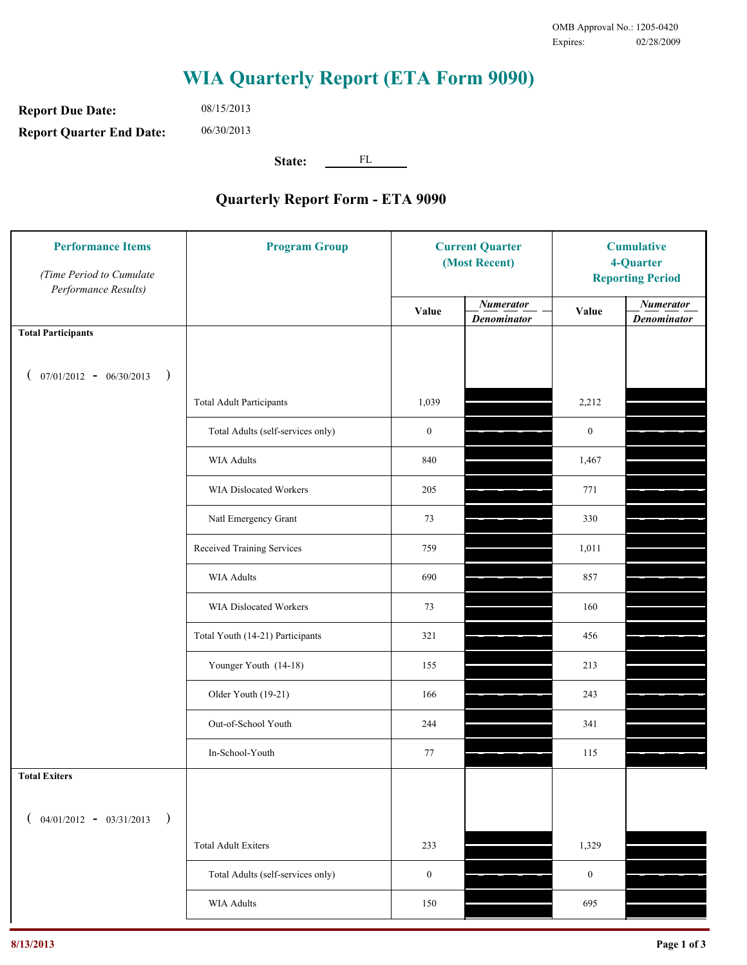**Report Due Date: Report Quarter End Date:** 08/15/2013 06/30/2013

**State:** FL

| <b>Performance Items</b><br>(Time Period to Cumulate<br>Performance Results) | <b>Program Group</b>              | <b>Current Quarter</b><br>(Most Recent) |                                        | <b>Cumulative</b><br>4-Quarter<br><b>Reporting Period</b> |                                        |
|------------------------------------------------------------------------------|-----------------------------------|-----------------------------------------|----------------------------------------|-----------------------------------------------------------|----------------------------------------|
|                                                                              |                                   | Value                                   | <b>Numerator</b><br><b>Denominator</b> | Value                                                     | <b>Numerator</b><br><b>Denominator</b> |
| <b>Total Participants</b>                                                    |                                   |                                         |                                        |                                                           |                                        |
| $07/01/2012 - 06/30/2013$<br>$\big)$<br>€                                    |                                   |                                         |                                        |                                                           |                                        |
|                                                                              | <b>Total Adult Participants</b>   | 1,039                                   |                                        | 2,212                                                     |                                        |
|                                                                              | Total Adults (self-services only) | $\boldsymbol{0}$                        |                                        | $\boldsymbol{0}$                                          |                                        |
|                                                                              | WIA Adults                        | 840                                     |                                        | 1,467                                                     |                                        |
|                                                                              | <b>WIA Dislocated Workers</b>     | 205                                     |                                        | 771                                                       |                                        |
|                                                                              | Natl Emergency Grant              | 73                                      |                                        | 330                                                       |                                        |
|                                                                              | Received Training Services        | 759                                     |                                        | 1,011                                                     |                                        |
|                                                                              | WIA Adults                        | 690                                     |                                        | 857                                                       |                                        |
|                                                                              | WIA Dislocated Workers            | 73                                      |                                        | 160                                                       |                                        |
|                                                                              | Total Youth (14-21) Participants  | 321                                     |                                        | 456                                                       |                                        |
|                                                                              | Younger Youth (14-18)             | 155                                     |                                        | 213                                                       |                                        |
|                                                                              | Older Youth (19-21)               | 166                                     |                                        | 243                                                       |                                        |
|                                                                              | Out-of-School Youth               | 244                                     |                                        | 341                                                       |                                        |
|                                                                              | In-School-Youth                   | 77                                      |                                        | 115                                                       |                                        |
| <b>Total Exiters</b>                                                         |                                   |                                         |                                        |                                                           |                                        |
| $($ 04/01/2012 - 03/31/2013<br>$\lambda$                                     |                                   |                                         |                                        |                                                           |                                        |
|                                                                              | <b>Total Adult Exiters</b>        | 233                                     |                                        | 1,329                                                     |                                        |
|                                                                              | Total Adults (self-services only) | $\boldsymbol{0}$                        |                                        | $\boldsymbol{0}$                                          |                                        |
|                                                                              | <b>WIA Adults</b>                 | 150                                     |                                        | 695                                                       |                                        |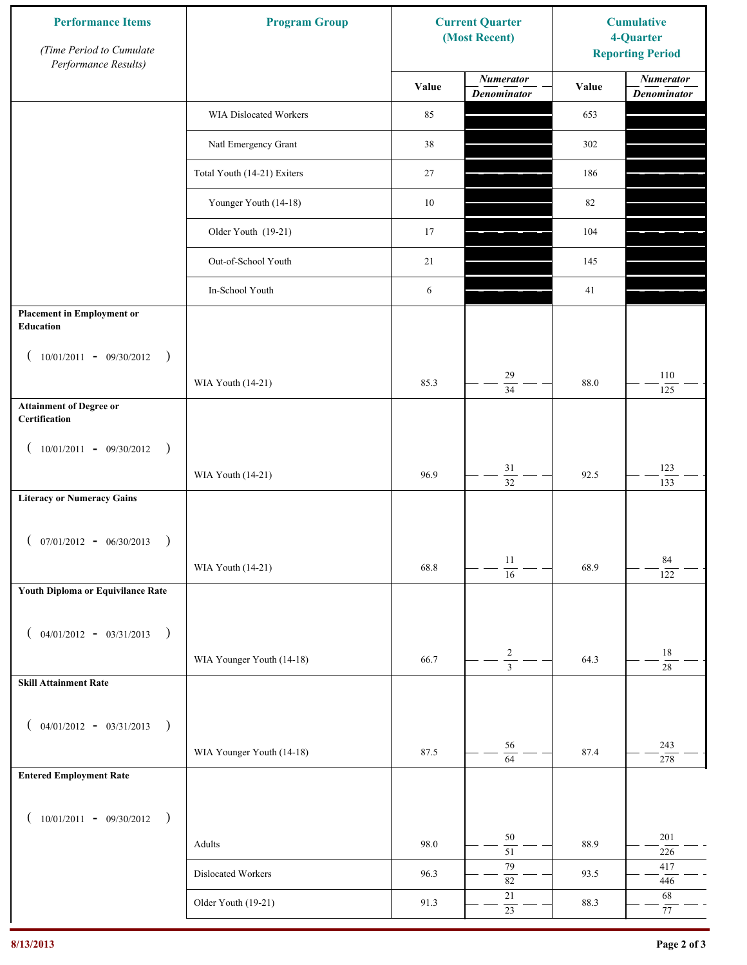| <b>Performance Items</b><br>(Time Period to Cumulate<br>Performance Results) | <b>Program Group</b>        |        | <b>Current Quarter</b><br>(Most Recent) | <b>Cumulative</b><br>4-Quarter<br><b>Reporting Period</b> |                                        |
|------------------------------------------------------------------------------|-----------------------------|--------|-----------------------------------------|-----------------------------------------------------------|----------------------------------------|
|                                                                              |                             | Value  | <b>Numerator</b><br><b>Denominator</b>  | Value                                                     | <b>Numerator</b><br><b>Denominator</b> |
|                                                                              | WIA Dislocated Workers      | 85     |                                         | 653                                                       |                                        |
|                                                                              | Natl Emergency Grant        | 38     |                                         | 302                                                       |                                        |
|                                                                              | Total Youth (14-21) Exiters | 27     |                                         | 186                                                       |                                        |
|                                                                              | Younger Youth (14-18)       | $10\,$ |                                         | 82                                                        |                                        |
|                                                                              | Older Youth (19-21)         | 17     |                                         | 104                                                       |                                        |
|                                                                              | Out-of-School Youth         | 21     |                                         | 145                                                       |                                        |
|                                                                              | In-School Youth             | 6      |                                         | 41                                                        |                                        |
| <b>Placement in Employment or</b><br>Education                               |                             |        |                                         |                                                           |                                        |
| $10/01/2011 - 09/30/2012$<br>$\rightarrow$                                   |                             |        |                                         |                                                           |                                        |
|                                                                              | WIA Youth (14-21)           | 85.3   | 29<br>$\overline{34}$                   | 88.0                                                      | 110<br>125                             |
| <b>Attainment of Degree or</b><br>Certification                              |                             |        |                                         |                                                           |                                        |
| $(10/01/2011 - 09/30/2012)$<br>$\rightarrow$                                 |                             |        |                                         |                                                           |                                        |
|                                                                              | WIA Youth (14-21)           | 96.9   | 31<br>$\overline{32}$                   | 92.5                                                      | 123<br>133                             |
| <b>Literacy or Numeracy Gains</b>                                            |                             |        |                                         |                                                           |                                        |
| $(07/01/2012 - 06/30/2013)$<br>$\rightarrow$                                 |                             |        |                                         |                                                           |                                        |
|                                                                              | WIA Youth (14-21)           | 68.8   | $11\,$<br>$\overline{16}$               | 68.9                                                      | 84<br>122                              |
| Youth Diploma or Equivilance Rate                                            |                             |        |                                         |                                                           |                                        |
|                                                                              |                             |        |                                         |                                                           |                                        |
| $04/01/2012 - 03/31/2013$ )                                                  | WIA Younger Youth (14-18)   | 66.7   | $\overline{\mathbf{c}}$                 | 64.3                                                      | $18\,$                                 |
| <b>Skill Attainment Rate</b>                                                 |                             |        | $\overline{3}$                          |                                                           | $28\,$                                 |
|                                                                              |                             |        |                                         |                                                           |                                        |
| $04/01/2012 - 03/31/2013$ )                                                  |                             |        |                                         |                                                           |                                        |
|                                                                              | WIA Younger Youth (14-18)   | 87.5   | 56<br>$\overline{64}$                   | 87.4                                                      | 243<br>278                             |
| <b>Entered Employment Rate</b>                                               |                             |        |                                         |                                                           |                                        |
| $10/01/2011 - 09/30/2012$ )                                                  |                             |        |                                         |                                                           |                                        |
|                                                                              | Adults                      | 98.0   | 50<br>$\overline{51}$                   | 88.9                                                      | 201<br>$226\,$                         |
|                                                                              | Dislocated Workers          | 96.3   | 79<br>$82\,$                            | 93.5                                                      | 417<br>446                             |
|                                                                              | Older Youth (19-21)         | 91.3   | $21\,$<br>$23\,$                        | 88.3                                                      | 68<br>$77\,$                           |
|                                                                              |                             |        |                                         |                                                           |                                        |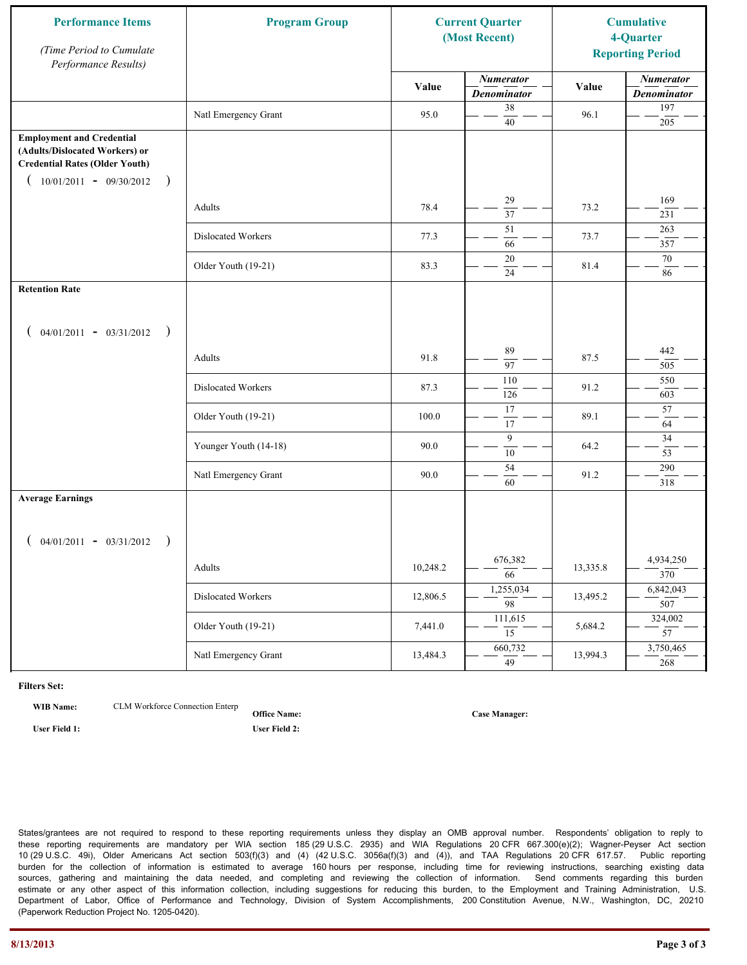| <b>Performance Items</b><br>(Time Period to Cumulate<br>Performance Results)                                                                              | <b>Program Group</b>  |          | <b>Current Quarter</b><br>(Most Recent) |          | <b>Cumulative</b><br>4-Quarter<br><b>Reporting Period</b> |
|-----------------------------------------------------------------------------------------------------------------------------------------------------------|-----------------------|----------|-----------------------------------------|----------|-----------------------------------------------------------|
|                                                                                                                                                           |                       | Value    | <b>Numerator</b><br><b>Denominator</b>  | Value    | <b>Numerator</b><br><b>Denominator</b>                    |
|                                                                                                                                                           | Natl Emergency Grant  | 95.0     | 38<br>40                                | 96.1     | 197<br>205                                                |
| <b>Employment and Credential</b><br>(Adults/Dislocated Workers) or<br><b>Credential Rates (Older Youth)</b><br>$10/01/2011 - 09/30/2012$<br>$\rightarrow$ |                       |          |                                         |          |                                                           |
|                                                                                                                                                           | Adults                | 78.4     | 29<br>$\overline{37}$                   | 73.2     | 169<br>231                                                |
|                                                                                                                                                           | Dislocated Workers    | 77.3     | 51<br>66                                | 73.7     | 263<br>357                                                |
|                                                                                                                                                           | Older Youth (19-21)   | 83.3     | $20\,$<br>24                            | 81.4     | 70<br>86                                                  |
| <b>Retention Rate</b>                                                                                                                                     |                       |          |                                         |          |                                                           |
| $04/01/2011 - 03/31/2012$ )                                                                                                                               |                       |          |                                         |          |                                                           |
|                                                                                                                                                           | Adults                | 91.8     | 89<br>97                                | 87.5     | 442<br>505                                                |
|                                                                                                                                                           | Dislocated Workers    | 87.3     | 110<br>126                              | 91.2     | 550<br>603                                                |
|                                                                                                                                                           | Older Youth (19-21)   | 100.0    | 17<br>17                                | 89.1     | 57<br>64                                                  |
|                                                                                                                                                           | Younger Youth (14-18) | 90.0     | 9<br>$\overline{10}$                    | 64.2     | 34<br>53                                                  |
|                                                                                                                                                           | Natl Emergency Grant  | 90.0     | 54<br>60                                | 91.2     | 290<br>318                                                |
| <b>Average Earnings</b>                                                                                                                                   |                       |          |                                         |          |                                                           |
| $04/01/2011 - 03/31/2012$ )                                                                                                                               |                       |          |                                         |          |                                                           |
|                                                                                                                                                           | Adults                | 10,248.2 | 676,382<br>$\overline{66}$              | 13,335.8 | 4,934,250<br>370                                          |
|                                                                                                                                                           | Dislocated Workers    | 12,806.5 | 1,255,034<br>$\overline{98}$            | 13,495.2 | 6,842,043<br>507                                          |
|                                                                                                                                                           | Older Youth (19-21)   | 7,441.0  | 111,615<br>$\overline{15}$              | 5,684.2  | 324,002<br>$\overline{57}$                                |
|                                                                                                                                                           | Natl Emergency Grant  | 13,484.3 | 660,732<br>49                           | 13,994.3 | 3,750,465<br>268                                          |

**WIB Name:** CLM Workforce Connection Enterp

**Office Name: User Field 1: User Field 2:**

**Case Manager:**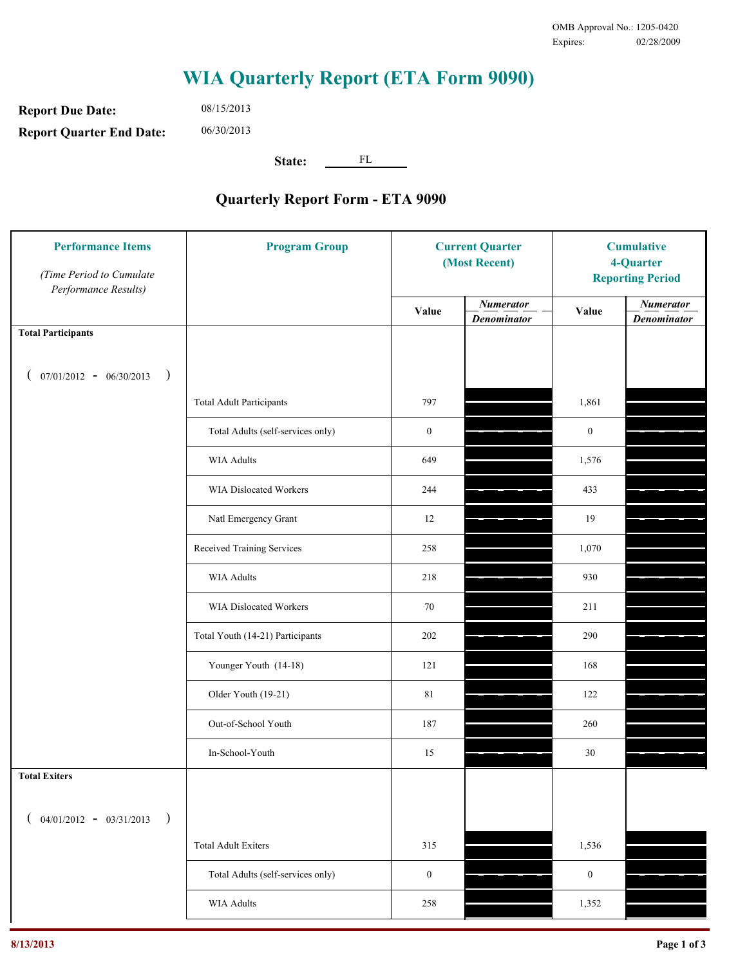**Report Due Date: Report Quarter End Date:** 08/15/2013 06/30/2013

**State:** FL

| <b>Performance Items</b><br>(Time Period to Cumulate<br>Performance Results) | <b>Program Group</b>              | <b>Current Quarter</b><br>(Most Recent) |                                        | <b>Cumulative</b><br>4-Quarter<br><b>Reporting Period</b> |                                        |
|------------------------------------------------------------------------------|-----------------------------------|-----------------------------------------|----------------------------------------|-----------------------------------------------------------|----------------------------------------|
|                                                                              |                                   | Value                                   | <b>Numerator</b><br><b>Denominator</b> | Value                                                     | <b>Numerator</b><br><b>Denominator</b> |
| <b>Total Participants</b>                                                    |                                   |                                         |                                        |                                                           |                                        |
| $07/01/2012 - 06/30/2013$ )                                                  |                                   |                                         |                                        |                                                           |                                        |
|                                                                              | <b>Total Adult Participants</b>   | 797                                     |                                        | 1,861                                                     |                                        |
|                                                                              | Total Adults (self-services only) | $\boldsymbol{0}$                        |                                        | $\boldsymbol{0}$                                          |                                        |
|                                                                              | <b>WIA Adults</b>                 | 649                                     |                                        | 1,576                                                     |                                        |
|                                                                              | <b>WIA Dislocated Workers</b>     | 244                                     |                                        | 433                                                       |                                        |
|                                                                              | Natl Emergency Grant              | 12                                      |                                        | 19                                                        |                                        |
|                                                                              | Received Training Services        | 258                                     |                                        | 1,070                                                     |                                        |
|                                                                              | <b>WIA Adults</b>                 | 218                                     |                                        | 930                                                       |                                        |
|                                                                              | WIA Dislocated Workers            | 70                                      |                                        | 211                                                       |                                        |
|                                                                              | Total Youth (14-21) Participants  | 202                                     |                                        | 290                                                       |                                        |
|                                                                              | Younger Youth (14-18)             | 121                                     |                                        | 168                                                       |                                        |
|                                                                              | Older Youth (19-21)               | 81                                      |                                        | 122                                                       |                                        |
|                                                                              | Out-of-School Youth               | 187                                     |                                        | 260                                                       |                                        |
|                                                                              | In-School-Youth                   | 15                                      |                                        | 30                                                        |                                        |
| <b>Total Exiters</b>                                                         |                                   |                                         |                                        |                                                           |                                        |
| $($ 04/01/2012 - 03/31/2013<br>$\rightarrow$                                 |                                   |                                         |                                        |                                                           |                                        |
|                                                                              | <b>Total Adult Exiters</b>        | 315                                     |                                        | 1,536                                                     |                                        |
|                                                                              | Total Adults (self-services only) | $\boldsymbol{0}$                        |                                        | $\boldsymbol{0}$                                          |                                        |
|                                                                              | WIA Adults                        | 258                                     |                                        | 1,352                                                     |                                        |
|                                                                              |                                   |                                         |                                        |                                                           |                                        |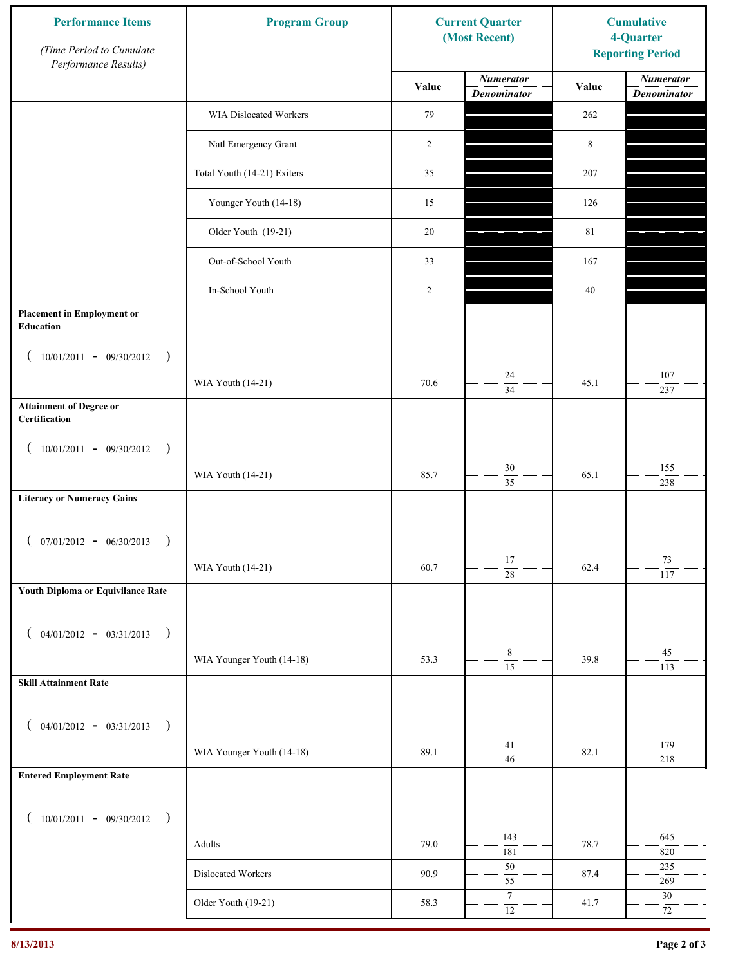| <b>Performance Items</b><br>(Time Period to Cumulate<br>Performance Results) | <b>Program Group</b>        | <b>Current Quarter</b><br>(Most Recent) |                                        | <b>Cumulative</b><br>4-Quarter<br><b>Reporting Period</b> |                                        |
|------------------------------------------------------------------------------|-----------------------------|-----------------------------------------|----------------------------------------|-----------------------------------------------------------|----------------------------------------|
|                                                                              |                             | Value                                   | <b>Numerator</b><br><b>Denominator</b> | Value                                                     | <b>Numerator</b><br><b>Denominator</b> |
|                                                                              | WIA Dislocated Workers      | 79                                      |                                        | 262                                                       |                                        |
|                                                                              | Natl Emergency Grant        | 2                                       |                                        | 8                                                         |                                        |
|                                                                              | Total Youth (14-21) Exiters | 35                                      |                                        | 207                                                       |                                        |
|                                                                              | Younger Youth (14-18)       | 15                                      |                                        | 126                                                       |                                        |
|                                                                              | Older Youth (19-21)         | 20                                      |                                        | 81                                                        |                                        |
|                                                                              | Out-of-School Youth         | 33                                      |                                        | 167                                                       |                                        |
|                                                                              | In-School Youth             | 2                                       |                                        | 40                                                        |                                        |
| <b>Placement in Employment or</b><br>Education                               |                             |                                         |                                        |                                                           |                                        |
| $10/01/2011 - 09/30/2012$<br>$\rightarrow$                                   |                             |                                         |                                        |                                                           |                                        |
|                                                                              | WIA Youth (14-21)           | 70.6                                    | 24<br>$\overline{34}$                  | 45.1                                                      | 107<br>237                             |
| <b>Attainment of Degree or</b><br>Certification                              |                             |                                         |                                        |                                                           |                                        |
| $(10/01/2011 - 09/30/2012)$<br>$\rightarrow$                                 |                             |                                         |                                        |                                                           |                                        |
|                                                                              | WIA Youth (14-21)           | 85.7                                    | $30\,$<br>$\overline{35}$              | 65.1                                                      | 155<br>238                             |
| <b>Literacy or Numeracy Gains</b>                                            |                             |                                         |                                        |                                                           |                                        |
| $(07/01/2012 - 06/30/2013)$<br>$\rightarrow$                                 |                             |                                         |                                        |                                                           |                                        |
|                                                                              | WIA Youth (14-21)           | 60.7                                    | 17<br>$\overline{28}$                  | 62.4                                                      | 73<br>117                              |
| Youth Diploma or Equivilance Rate                                            |                             |                                         |                                        |                                                           |                                        |
| $04/01/2012 - 03/31/2013$ )<br>€                                             |                             |                                         |                                        |                                                           |                                        |
|                                                                              | WIA Younger Youth (14-18)   | 53.3                                    | $\,8\,$                                | 39.8                                                      | 45                                     |
| <b>Skill Attainment Rate</b>                                                 |                             |                                         | $\overline{15}$                        |                                                           | 113                                    |
|                                                                              |                             |                                         |                                        |                                                           |                                        |
| $04/01/2012 - 03/31/2013$ )<br>$\overline{ }$                                |                             | 89.1                                    | 41                                     | 82.1                                                      | 179                                    |
| <b>Entered Employment Rate</b>                                               | WIA Younger Youth (14-18)   |                                         | $\overline{46}$                        |                                                           | 218                                    |
|                                                                              |                             |                                         |                                        |                                                           |                                        |
| $10/01/2011 - 09/30/2012$ )<br>€                                             |                             |                                         | 143                                    |                                                           | 645                                    |
|                                                                              | Adults                      | 79.0                                    | 181                                    | 78.7                                                      | 820                                    |
|                                                                              | Dislocated Workers          | 90.9                                    | $50\,$<br>$\overline{55}$              | 87.4                                                      | 235<br>269                             |
|                                                                              | Older Youth (19-21)         | 58.3                                    | $\boldsymbol{7}$<br>$\overline{12}$    | 41.7                                                      | $30\,$<br>72                           |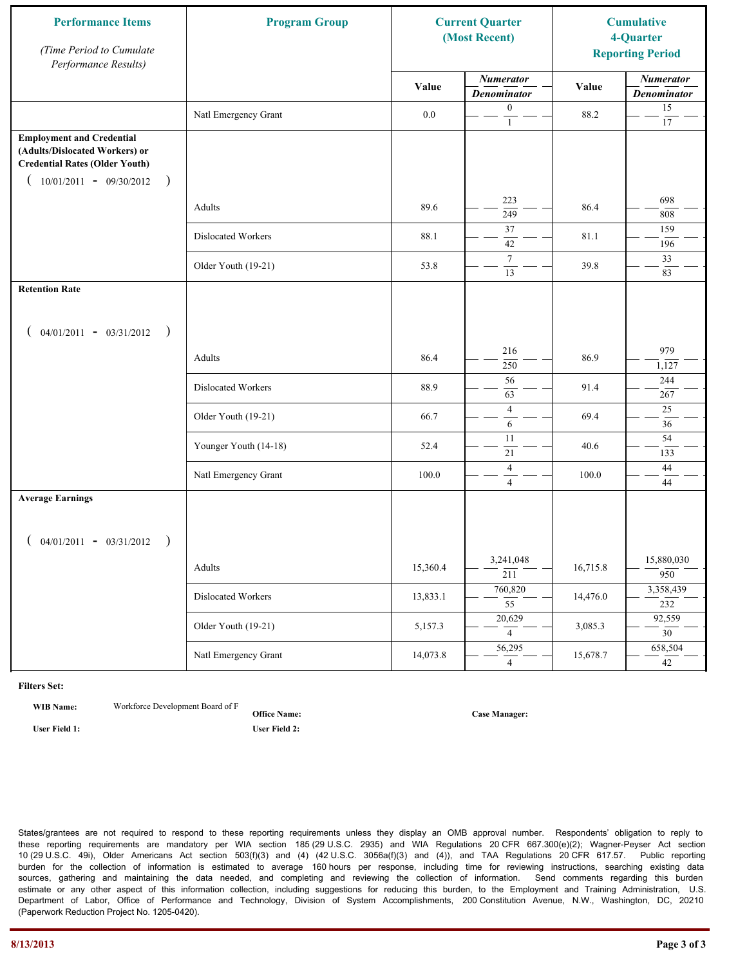| <b>Performance Items</b><br>(Time Period to Cumulate<br>Performance Results)                                                                              | <b>Program Group</b>  |          | <b>Current Quarter</b><br>(Most Recent) |          | <b>Cumulative</b><br>4-Quarter<br><b>Reporting Period</b> |
|-----------------------------------------------------------------------------------------------------------------------------------------------------------|-----------------------|----------|-----------------------------------------|----------|-----------------------------------------------------------|
|                                                                                                                                                           |                       | Value    | <b>Numerator</b><br><b>Denominator</b>  | Value    | <b>Numerator</b><br><b>Denominator</b>                    |
|                                                                                                                                                           | Natl Emergency Grant  | 0.0      | $\boldsymbol{0}$<br>$\mathbf{1}$        | 88.2     | 15<br>$17\,$                                              |
| <b>Employment and Credential</b><br>(Adults/Dislocated Workers) or<br><b>Credential Rates (Older Youth)</b><br>$10/01/2011 - 09/30/2012$<br>$\rightarrow$ |                       |          |                                         |          |                                                           |
|                                                                                                                                                           | Adults                | 89.6     | 223<br>$\overline{249}$                 | 86.4     | 698<br>808                                                |
|                                                                                                                                                           | Dislocated Workers    | 88.1     | 37<br>42                                | 81.1     | 159<br>196                                                |
|                                                                                                                                                           | Older Youth (19-21)   | 53.8     | $\tau$<br>13                            | 39.8     | 33<br>83                                                  |
| <b>Retention Rate</b>                                                                                                                                     |                       |          |                                         |          |                                                           |
| $04/01/2011 - 03/31/2012$ )                                                                                                                               |                       |          |                                         |          |                                                           |
|                                                                                                                                                           | Adults                | 86.4     | 216<br>250                              | 86.9     | 979<br>1,127                                              |
|                                                                                                                                                           | Dislocated Workers    | 88.9     | 56<br>63                                | 91.4     | 244<br>267                                                |
|                                                                                                                                                           | Older Youth (19-21)   | 66.7     | $\overline{4}$<br>6                     | 69.4     | $25\,$<br>36                                              |
|                                                                                                                                                           | Younger Youth (14-18) | 52.4     | 11<br>21                                | 40.6     | 54<br>133                                                 |
|                                                                                                                                                           | Natl Emergency Grant  | 100.0    | $\overline{4}$<br>$\overline{4}$        | 100.0    | 44<br>$\overline{44}$                                     |
| <b>Average Earnings</b>                                                                                                                                   |                       |          |                                         |          |                                                           |
| $04/01/2011 - 03/31/2012$ )                                                                                                                               |                       |          |                                         |          |                                                           |
|                                                                                                                                                           | Adults                | 15,360.4 | 3,241,048<br>$\overline{211}$           | 16,715.8 | 15,880,030<br>950                                         |
|                                                                                                                                                           | Dislocated Workers    | 13,833.1 | 760,820<br>$\overline{55}$              | 14,476.0 | 3,358,439<br>232                                          |
|                                                                                                                                                           | Older Youth (19-21)   | 5,157.3  | 20,629<br>$\overline{4}$                | 3,085.3  | 92,559<br>$\overline{30}$                                 |
|                                                                                                                                                           | Natl Emergency Grant  | 14,073.8 | 56,295<br>4                             | 15,678.7 | 658,504<br>42                                             |

**WIB Name:** Workforce Development Board of F

**Office Name: User Field 1: User Field 2:**

**Case Manager:**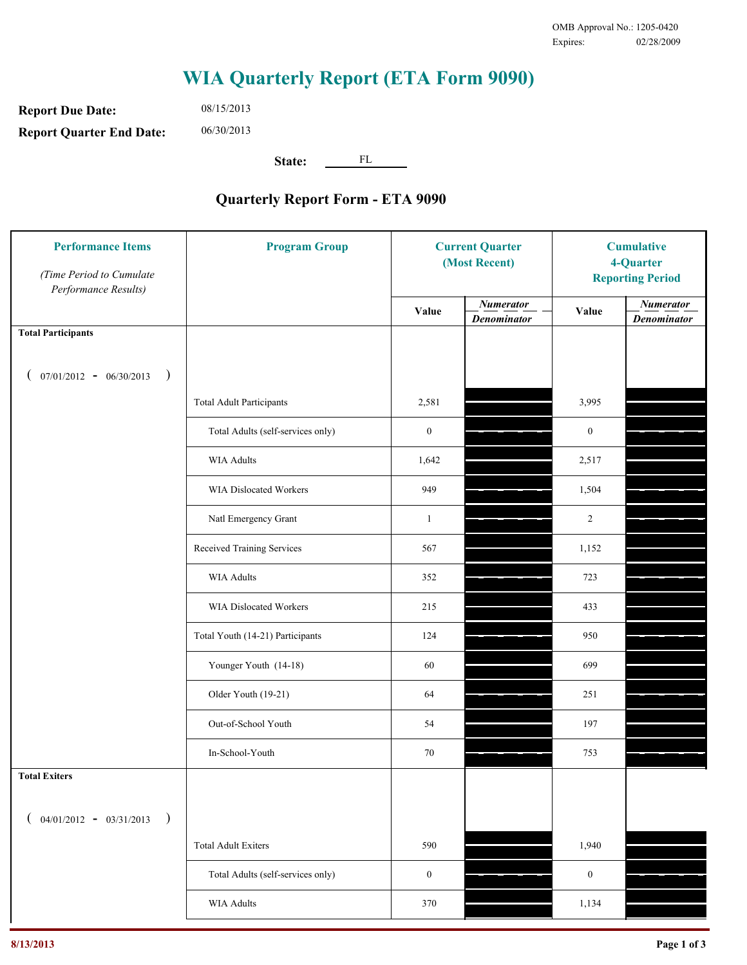**Report Due Date: Report Quarter End Date:** 08/15/2013 06/30/2013

**State:** FL

| <b>Performance Items</b><br>(Time Period to Cumulate<br>Performance Results) | <b>Program Group</b>              | <b>Current Quarter</b><br>(Most Recent) |                                        | <b>Cumulative</b><br>4-Quarter<br><b>Reporting Period</b> |                                        |
|------------------------------------------------------------------------------|-----------------------------------|-----------------------------------------|----------------------------------------|-----------------------------------------------------------|----------------------------------------|
|                                                                              |                                   | Value                                   | <b>Numerator</b><br><b>Denominator</b> | Value                                                     | <b>Numerator</b><br><b>Denominator</b> |
| <b>Total Participants</b>                                                    |                                   |                                         |                                        |                                                           |                                        |
| $07/01/2012 - 06/30/2013$<br>$\big)$<br>€                                    |                                   |                                         |                                        |                                                           |                                        |
|                                                                              | <b>Total Adult Participants</b>   | 2,581                                   |                                        | 3,995                                                     |                                        |
|                                                                              | Total Adults (self-services only) | $\boldsymbol{0}$                        |                                        | $\mathbf{0}$                                              |                                        |
|                                                                              | WIA Adults                        | 1,642                                   |                                        | 2,517                                                     |                                        |
|                                                                              | WIA Dislocated Workers            | 949                                     |                                        | 1,504                                                     |                                        |
|                                                                              | Natl Emergency Grant              | $\mathbf{1}$                            |                                        | $\overline{2}$                                            |                                        |
|                                                                              | Received Training Services        | 567                                     |                                        | 1,152                                                     |                                        |
|                                                                              | WIA Adults                        | 352                                     |                                        | 723                                                       |                                        |
|                                                                              | WIA Dislocated Workers            | 215                                     |                                        | 433                                                       |                                        |
|                                                                              | Total Youth (14-21) Participants  | 124                                     |                                        | 950                                                       |                                        |
|                                                                              | Younger Youth (14-18)             | 60                                      |                                        | 699                                                       |                                        |
|                                                                              | Older Youth (19-21)               | 64                                      |                                        | 251                                                       |                                        |
|                                                                              | Out-of-School Youth               | 54                                      |                                        | 197                                                       |                                        |
|                                                                              | In-School-Youth                   | 70                                      |                                        | 753                                                       |                                        |
| <b>Total Exiters</b>                                                         |                                   |                                         |                                        |                                                           |                                        |
| $($ 04/01/2012 - 03/31/2013<br>$\lambda$                                     |                                   |                                         |                                        |                                                           |                                        |
|                                                                              | <b>Total Adult Exiters</b>        | 590                                     |                                        | 1,940                                                     |                                        |
|                                                                              | Total Adults (self-services only) | $\boldsymbol{0}$                        |                                        | $\boldsymbol{0}$                                          |                                        |
|                                                                              | <b>WIA Adults</b>                 | 370                                     |                                        | 1,134                                                     |                                        |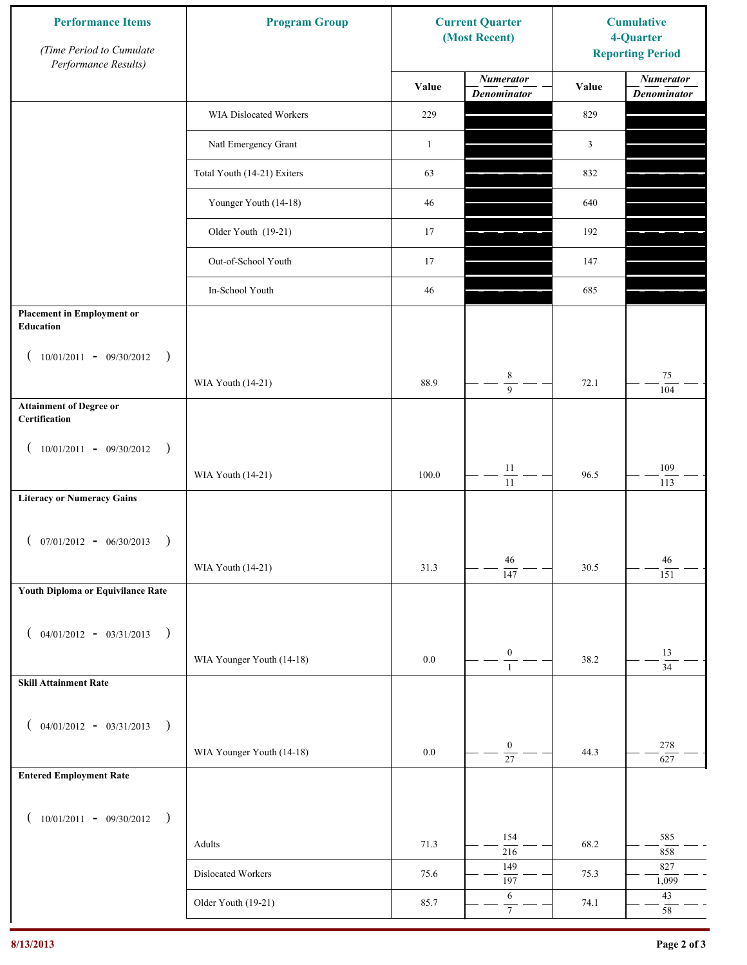| <b>Performance Items</b><br>(Time Period to Cumulate<br>Performance Results) | <b>Program Group</b>        |              | <b>Current Quarter</b><br>(Most Recent) |                | <b>Cumulative</b><br>4-Quarter<br><b>Reporting Period</b> |
|------------------------------------------------------------------------------|-----------------------------|--------------|-----------------------------------------|----------------|-----------------------------------------------------------|
|                                                                              |                             | Value        | <b>Numerator</b><br><b>Denominator</b>  | Value          | <b>Numerator</b><br><b>Denominator</b>                    |
|                                                                              | WIA Dislocated Workers      | 229          |                                         | 829            |                                                           |
|                                                                              | Natl Emergency Grant        | $\mathbf{1}$ |                                         | $\mathfrak{Z}$ |                                                           |
|                                                                              | Total Youth (14-21) Exiters | 63           |                                         | 832            |                                                           |
|                                                                              | Younger Youth (14-18)       | 46           |                                         | 640            |                                                           |
|                                                                              | Older Youth (19-21)         | 17           |                                         | 192            |                                                           |
|                                                                              | Out-of-School Youth         | 17           |                                         | 147            |                                                           |
|                                                                              | In-School Youth             | 46           |                                         | 685            |                                                           |
| <b>Placement in Employment or</b><br>Education                               |                             |              |                                         |                |                                                           |
| $10/01/2011 - 09/30/2012$<br>$\rightarrow$                                   |                             |              |                                         |                |                                                           |
|                                                                              | WIA Youth (14-21)           | 88.9         | 8<br>$\overline{9}$                     | 72.1           | 75<br>104                                                 |
| <b>Attainment of Degree or</b><br>Certification                              |                             |              |                                         |                |                                                           |
| $(10/01/2011 - 09/30/2012)$<br>$\rightarrow$                                 |                             |              |                                         |                |                                                           |
|                                                                              | WIA Youth (14-21)           | 100.0        | $11\,$<br>$\overline{11}$               | 96.5           | 109<br>113                                                |
| <b>Literacy or Numeracy Gains</b>                                            |                             |              |                                         |                |                                                           |
| $(07/01/2012 - 06/30/2013)$<br>$\rightarrow$                                 |                             |              |                                         |                |                                                           |
|                                                                              | WIA Youth (14-21)           | 31.3         | 46<br>$\overline{147}$                  | 30.5           | 46<br>151                                                 |
| Youth Diploma or Equivilance Rate                                            |                             |              |                                         |                |                                                           |
| $04/01/2012 - 03/31/2013$ )                                                  |                             |              |                                         |                |                                                           |
|                                                                              | WIA Younger Youth (14-18)   | $0.0\,$      | $\boldsymbol{0}$                        | 38.2           | 13                                                        |
| <b>Skill Attainment Rate</b>                                                 |                             |              | $\mathbf{1}$                            |                | $\overline{34}$                                           |
|                                                                              |                             |              |                                         |                |                                                           |
| $04/01/2012 - 03/31/2013$ )<br>€                                             |                             |              | $\boldsymbol{0}$                        |                | 278                                                       |
| <b>Entered Employment Rate</b>                                               | WIA Younger Youth (14-18)   | $0.0\,$      | $\overline{27}$                         | 44.3           | 627                                                       |
|                                                                              |                             |              |                                         |                |                                                           |
| $10/01/2011 - 09/30/2012$ )<br>€                                             |                             |              |                                         |                |                                                           |
|                                                                              | Adults                      | 71.3         | 154<br>216                              | 68.2           | 585<br>858                                                |
|                                                                              | Dislocated Workers          | 75.6         | 149<br>197                              | 75.3           | 827<br>1,099                                              |
|                                                                              | Older Youth (19-21)         | 85.7         | 6<br>$\tau$                             | 74.1           | 43<br>$58\,$                                              |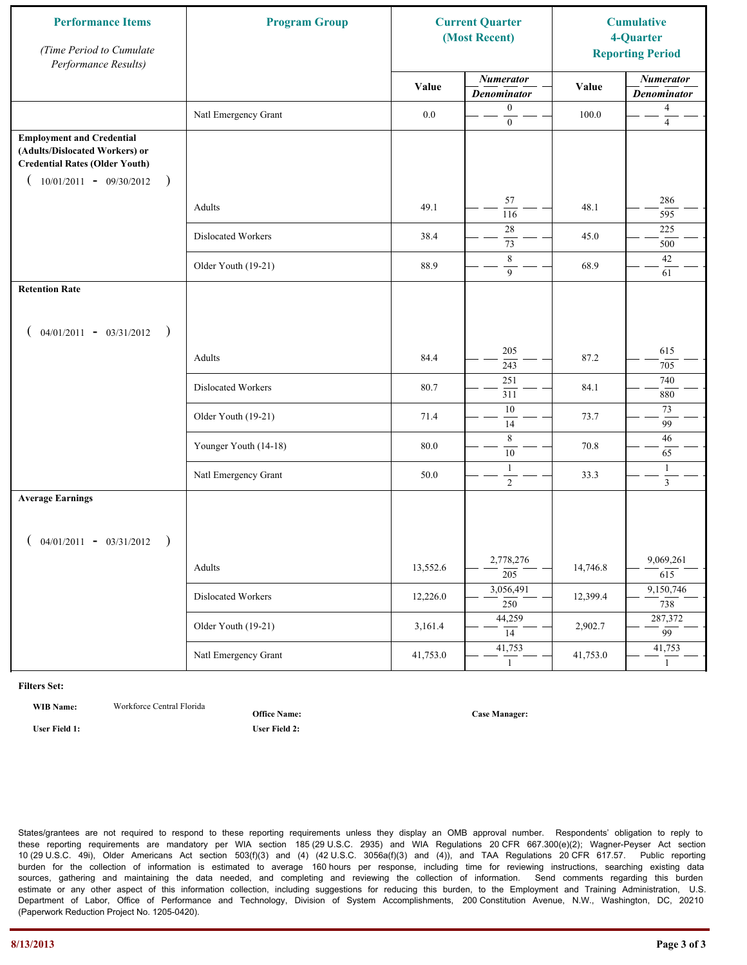| <b>Performance Items</b><br>(Time Period to Cumulate<br>Performance Results)                                                                              | <b>Program Group</b>  | <b>Current Quarter</b><br>(Most Recent) |                                        | <b>Cumulative</b><br>4-Quarter<br><b>Reporting Period</b> |                                        |
|-----------------------------------------------------------------------------------------------------------------------------------------------------------|-----------------------|-----------------------------------------|----------------------------------------|-----------------------------------------------------------|----------------------------------------|
|                                                                                                                                                           |                       | Value                                   | <b>Numerator</b><br><b>Denominator</b> | Value                                                     | <b>Numerator</b><br><b>Denominator</b> |
|                                                                                                                                                           | Natl Emergency Grant  | 0.0                                     | $\boldsymbol{0}$<br>$\mathbf{0}$       | 100.0                                                     | $\overline{4}$<br>$\overline{4}$       |
| <b>Employment and Credential</b><br>(Adults/Dislocated Workers) or<br><b>Credential Rates (Older Youth)</b><br>$10/01/2011 - 09/30/2012$<br>$\rightarrow$ |                       |                                         |                                        |                                                           |                                        |
|                                                                                                                                                           | Adults                | 49.1                                    | 57<br>116                              | 48.1                                                      | 286<br>595                             |
|                                                                                                                                                           | Dislocated Workers    | 38.4                                    | 28<br>73                               | 45.0                                                      | 225<br>500                             |
|                                                                                                                                                           | Older Youth (19-21)   | 88.9                                    | 8<br>9                                 | 68.9                                                      | 42<br>61                               |
| <b>Retention Rate</b>                                                                                                                                     |                       |                                         |                                        |                                                           |                                        |
| $04/01/2011 - 03/31/2012$ )                                                                                                                               |                       |                                         |                                        |                                                           |                                        |
|                                                                                                                                                           | Adults                | 84.4                                    | 205<br>243                             | 87.2                                                      | 615<br>705                             |
|                                                                                                                                                           | Dislocated Workers    | 80.7                                    | 251<br>311                             | 84.1                                                      | 740<br>880                             |
|                                                                                                                                                           | Older Youth (19-21)   | 71.4                                    | 10<br>14                               | 73.7                                                      | 73<br>99                               |
|                                                                                                                                                           | Younger Youth (14-18) | 80.0                                    | 8<br>10                                | 70.8                                                      | 46<br>65                               |
|                                                                                                                                                           | Natl Emergency Grant  | 50.0                                    | 1<br>$\overline{2}$                    | 33.3                                                      | $\mathbf{1}$<br>$\mathfrak{Z}$         |
| <b>Average Earnings</b>                                                                                                                                   |                       |                                         |                                        |                                                           |                                        |
| $04/01/2011 - 03/31/2012$ )                                                                                                                               |                       |                                         |                                        |                                                           |                                        |
|                                                                                                                                                           | Adults                | 13,552.6                                | 2,778,276<br>$\overline{205}$          | 14,746.8                                                  | 9,069,261<br>615                       |
|                                                                                                                                                           | Dislocated Workers    | 12,226.0                                | 3,056,491<br>$\overline{250}$          | 12,399.4                                                  | 9,150,746<br>738                       |
|                                                                                                                                                           | Older Youth (19-21)   | 3,161.4                                 | 44,259<br>14                           | 2,902.7                                                   | 287,372<br>$\overline{99}$             |
|                                                                                                                                                           | Natl Emergency Grant  | 41,753.0                                | 41,753<br>$\mathbf{1}$                 | 41,753.0                                                  | 41,753<br>$\mathbf{1}$                 |

**WIB Name:** Workforce Central Florida

**Office Name:**

**User Field 1: User Field 2:**

**Case Manager:**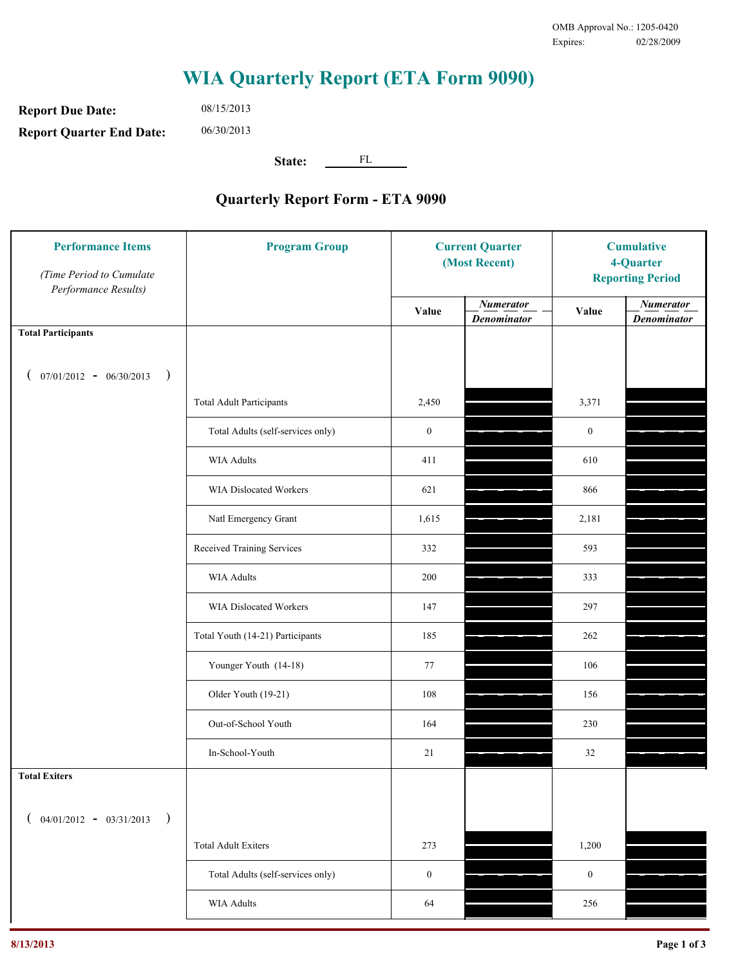**Report Due Date: Report Quarter End Date:** 06/30/2013

08/15/2013

**State:** FL

| <b>Performance Items</b><br>(Time Period to Cumulate<br>Performance Results) | <b>Program Group</b>              | <b>Current Quarter</b><br>(Most Recent) |                                        | <b>Cumulative</b><br>4-Quarter<br><b>Reporting Period</b> |                                        |
|------------------------------------------------------------------------------|-----------------------------------|-----------------------------------------|----------------------------------------|-----------------------------------------------------------|----------------------------------------|
|                                                                              |                                   | Value                                   | <b>Numerator</b><br><b>Denominator</b> | Value                                                     | <b>Numerator</b><br><b>Denominator</b> |
| <b>Total Participants</b>                                                    |                                   |                                         |                                        |                                                           |                                        |
| $07/01/2012 - 06/30/2013$<br>$\big)$<br>€                                    |                                   |                                         |                                        |                                                           |                                        |
|                                                                              | <b>Total Adult Participants</b>   | 2,450                                   |                                        | 3,371                                                     |                                        |
|                                                                              | Total Adults (self-services only) | $\boldsymbol{0}$                        |                                        | $\boldsymbol{0}$                                          |                                        |
|                                                                              | WIA Adults                        | 411                                     |                                        | 610                                                       |                                        |
|                                                                              | WIA Dislocated Workers            | 621                                     |                                        | 866                                                       |                                        |
|                                                                              | Natl Emergency Grant              | 1,615                                   |                                        | 2,181                                                     |                                        |
|                                                                              | Received Training Services        | 332                                     |                                        | 593                                                       |                                        |
|                                                                              | WIA Adults                        | 200                                     |                                        | 333                                                       |                                        |
|                                                                              | WIA Dislocated Workers            | 147                                     |                                        | 297                                                       |                                        |
|                                                                              | Total Youth (14-21) Participants  | 185                                     |                                        | 262                                                       |                                        |
|                                                                              | Younger Youth (14-18)             | 77                                      |                                        | 106                                                       |                                        |
|                                                                              | Older Youth (19-21)               | 108                                     |                                        | 156                                                       |                                        |
|                                                                              | Out-of-School Youth               | 164                                     |                                        | 230                                                       |                                        |
|                                                                              | In-School-Youth                   | 21                                      |                                        | 32                                                        |                                        |
| <b>Total Exiters</b>                                                         |                                   |                                         |                                        |                                                           |                                        |
| $($ 04/01/2012 - 03/31/2013<br>$\lambda$                                     |                                   |                                         |                                        |                                                           |                                        |
|                                                                              | <b>Total Adult Exiters</b>        | 273                                     |                                        | 1,200                                                     |                                        |
|                                                                              | Total Adults (self-services only) | $\boldsymbol{0}$                        |                                        | $\boldsymbol{0}$                                          |                                        |
|                                                                              | <b>WIA Adults</b>                 | 64                                      |                                        | 256                                                       |                                        |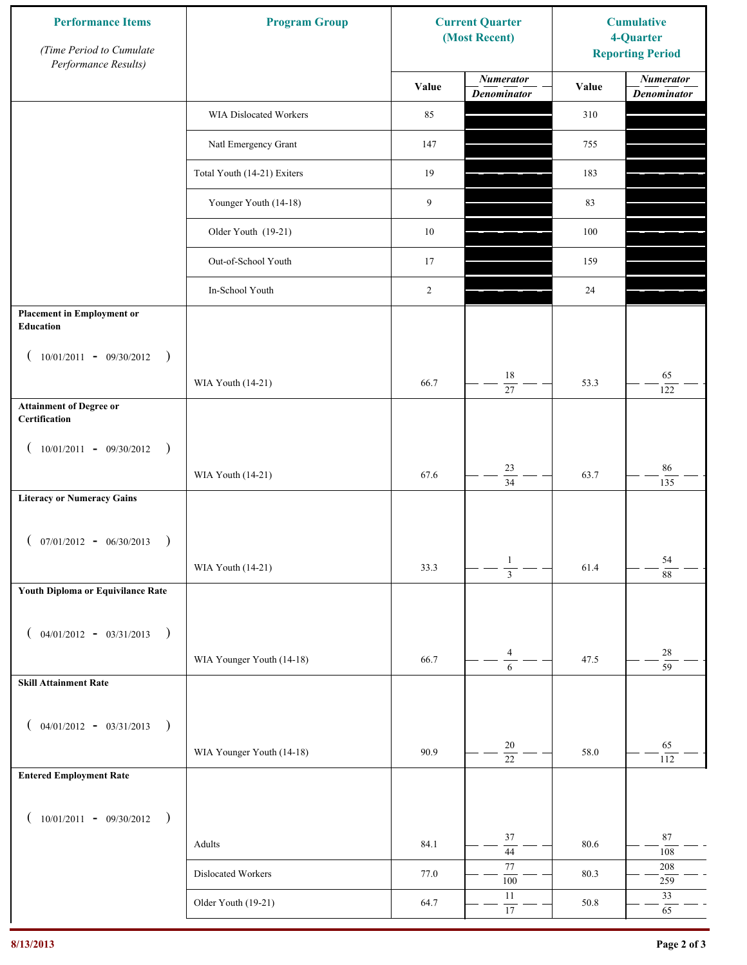| <b>Performance Items</b><br>(Time Period to Cumulate<br>Performance Results) | <b>Program Group</b>        | <b>Current Quarter</b><br>(Most Recent) |                                        | <b>Cumulative</b><br>4-Quarter<br><b>Reporting Period</b> |                                        |
|------------------------------------------------------------------------------|-----------------------------|-----------------------------------------|----------------------------------------|-----------------------------------------------------------|----------------------------------------|
|                                                                              |                             | Value                                   | <b>Numerator</b><br><b>Denominator</b> | Value                                                     | <b>Numerator</b><br><b>Denominator</b> |
|                                                                              | WIA Dislocated Workers      | 85                                      |                                        | 310                                                       |                                        |
|                                                                              | Natl Emergency Grant        | 147                                     |                                        | 755                                                       |                                        |
|                                                                              | Total Youth (14-21) Exiters | 19                                      |                                        | 183                                                       |                                        |
|                                                                              | Younger Youth (14-18)       | 9                                       |                                        | 83                                                        |                                        |
|                                                                              | Older Youth (19-21)         | $10\,$                                  |                                        | 100                                                       |                                        |
|                                                                              | Out-of-School Youth         | 17                                      |                                        | 159                                                       |                                        |
|                                                                              | In-School Youth             | 2                                       |                                        | $24\,$                                                    |                                        |
| <b>Placement in Employment or</b><br>Education                               |                             |                                         |                                        |                                                           |                                        |
| $10/01/2011 - 09/30/2012$<br>$\rightarrow$                                   |                             |                                         |                                        |                                                           |                                        |
|                                                                              | WIA Youth (14-21)           | 66.7                                    | 18<br>27                               | 53.3                                                      | 65<br>122                              |
| <b>Attainment of Degree or</b><br>Certification                              |                             |                                         |                                        |                                                           |                                        |
| $(10/01/2011 - 09/30/2012)$<br>$\rightarrow$                                 |                             |                                         |                                        |                                                           |                                        |
|                                                                              | WIA Youth (14-21)           | 67.6                                    | $23\,$<br>$\overline{34}$              | 63.7                                                      | $86\,$<br>135                          |
| <b>Literacy or Numeracy Gains</b>                                            |                             |                                         |                                        |                                                           |                                        |
| $(07/01/2012 - 06/30/2013)$<br>$\rightarrow$                                 |                             |                                         |                                        |                                                           |                                        |
|                                                                              | WIA Youth (14-21)           | 33.3                                    | $\mathbf{1}$<br>$\overline{3}$         | 61.4                                                      | 54<br>88                               |
| Youth Diploma or Equivilance Rate                                            |                             |                                         |                                        |                                                           |                                        |
| $04/01/2012 - 03/31/2013$<br>$\rightarrow$                                   |                             |                                         |                                        |                                                           |                                        |
|                                                                              | WIA Younger Youth (14-18)   | 66.7                                    | 4                                      | 47.5                                                      | $28\,$                                 |
| <b>Skill Attainment Rate</b>                                                 |                             |                                         | 6                                      |                                                           | $\overline{59}$                        |
|                                                                              |                             |                                         |                                        |                                                           |                                        |
| $04/01/2012 - 03/31/2013$ )                                                  | WIA Younger Youth (14-18)   | 90.9                                    | 20                                     | 58.0                                                      | 65                                     |
| <b>Entered Employment Rate</b>                                               |                             |                                         | $\overline{22}$                        |                                                           | 112                                    |
|                                                                              |                             |                                         |                                        |                                                           |                                        |
| $10/01/2011 - 09/30/2012$ )                                                  |                             |                                         | 37                                     |                                                           | $87\,$                                 |
|                                                                              | Adults                      | 84.1                                    | $\overline{44}$                        | 80.6                                                      | 108                                    |
|                                                                              | Dislocated Workers          | 77.0                                    | 77<br>100                              | 80.3                                                      | 208<br>259                             |
|                                                                              | Older Youth (19-21)         | 64.7                                    | $11\,$<br>17                           | 50.8                                                      | 33<br>65                               |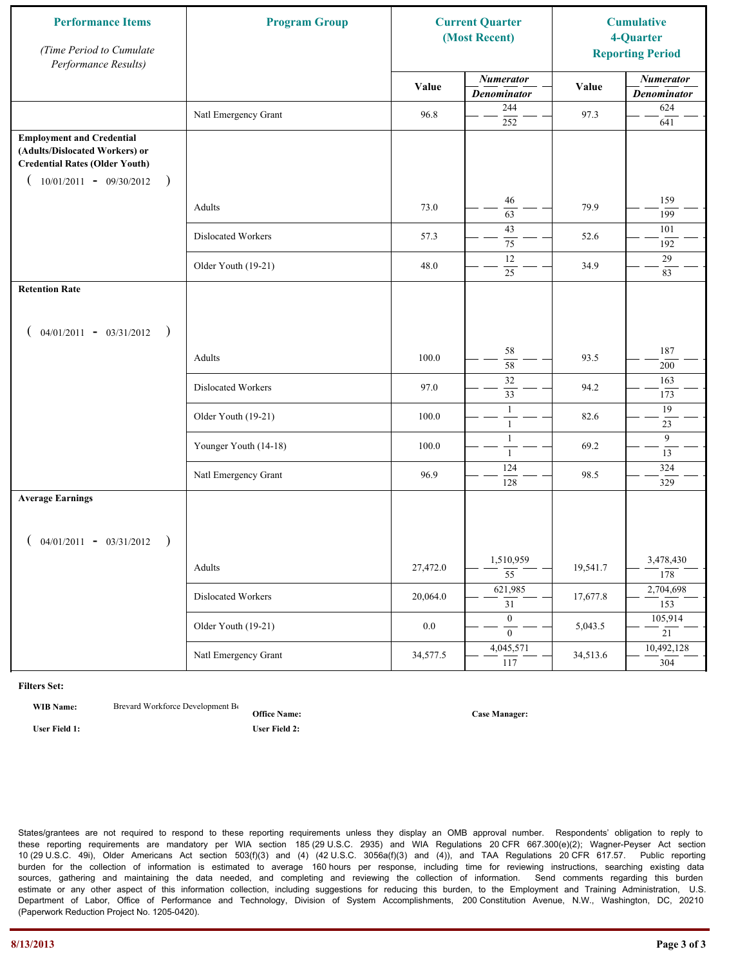| <b>Performance Items</b><br>(Time Period to Cumulate<br>Performance Results)                                                                              | <b>Program Group</b>  |          | <b>Current Quarter</b><br>(Most Recent) |          | <b>Cumulative</b><br>4-Quarter<br><b>Reporting Period</b> |
|-----------------------------------------------------------------------------------------------------------------------------------------------------------|-----------------------|----------|-----------------------------------------|----------|-----------------------------------------------------------|
|                                                                                                                                                           |                       | Value    | <b>Numerator</b><br><b>Denominator</b>  | Value    | <b>Numerator</b><br><b>Denominator</b>                    |
|                                                                                                                                                           | Natl Emergency Grant  | 96.8     | 244<br>252                              | 97.3     | 624<br>641                                                |
| <b>Employment and Credential</b><br>(Adults/Dislocated Workers) or<br><b>Credential Rates (Older Youth)</b><br>$10/01/2011 - 09/30/2012$<br>$\rightarrow$ |                       |          |                                         |          |                                                           |
|                                                                                                                                                           | Adults                | 73.0     | 46<br>63                                | 79.9     | 159<br>199                                                |
|                                                                                                                                                           | Dislocated Workers    | 57.3     | 43<br>75                                | 52.6     | 101<br>192                                                |
|                                                                                                                                                           | Older Youth (19-21)   | 48.0     | 12<br>25                                | 34.9     | 29<br>83                                                  |
| <b>Retention Rate</b>                                                                                                                                     |                       |          |                                         |          |                                                           |
| $04/01/2011 - 03/31/2012$ )                                                                                                                               |                       |          |                                         |          |                                                           |
|                                                                                                                                                           | Adults                | 100.0    | 58<br>58                                | 93.5     | 187<br>200                                                |
|                                                                                                                                                           | Dislocated Workers    | 97.0     | $\overline{32}$<br>33                   | 94.2     | 163<br>173                                                |
|                                                                                                                                                           | Older Youth (19-21)   | 100.0    | $\mathbf{1}$<br>$\mathbf{1}$            | 82.6     | 19<br>23                                                  |
|                                                                                                                                                           | Younger Youth (14-18) | 100.0    | $\mathbf{1}$<br>$\mathbf{1}$            | 69.2     | 9<br>13                                                   |
|                                                                                                                                                           | Natl Emergency Grant  | 96.9     | 124<br>128                              | 98.5     | 324<br>329                                                |
| <b>Average Earnings</b>                                                                                                                                   |                       |          |                                         |          |                                                           |
| $04/01/2011 - 03/31/2012$ )                                                                                                                               |                       |          |                                         |          |                                                           |
|                                                                                                                                                           | Adults                | 27,472.0 | 1,510,959<br>$\overline{55}$            | 19,541.7 | 3,478,430<br>$\overline{178}$                             |
|                                                                                                                                                           | Dislocated Workers    | 20,064.0 | 621,985<br>$\overline{31}$              | 17,677.8 | 2,704,698<br>153                                          |
|                                                                                                                                                           | Older Youth (19-21)   | $0.0\,$  | $\overline{0}$<br>$\overline{0}$        | 5,043.5  | 105,914<br>21                                             |
|                                                                                                                                                           | Natl Emergency Grant  | 34,577.5 | 4,045,571<br>117                        | 34,513.6 | 10,492,128<br>304                                         |

**WIB Name:** Brevard Workforce Development Board Inc.

**Office Name:**

**User Field 1: User Field 2:**

**Case Manager:**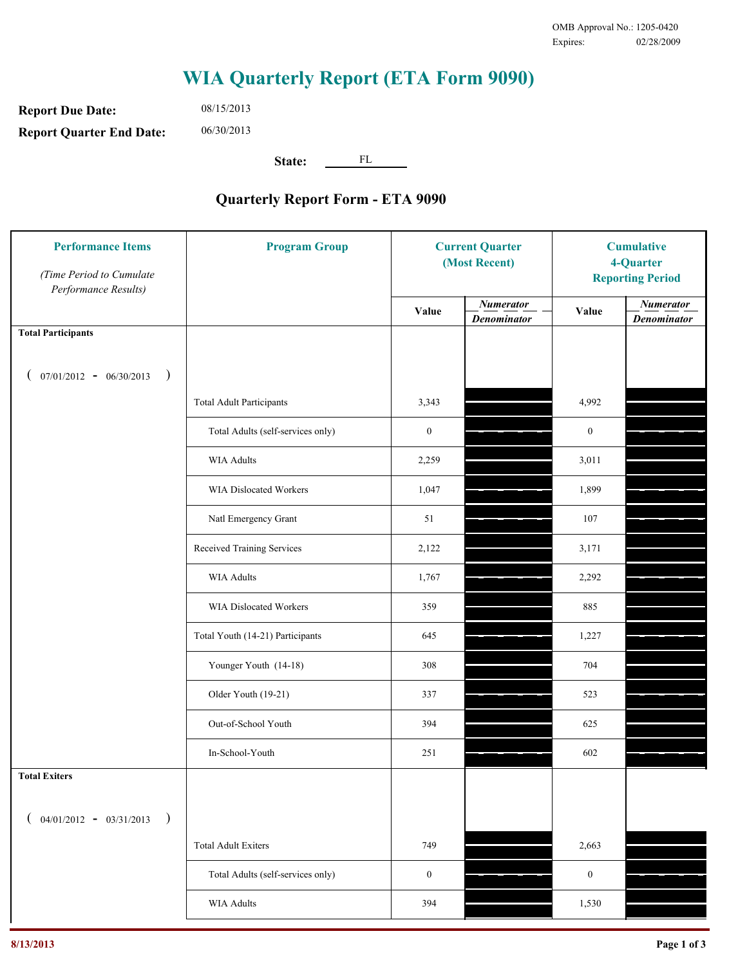**Report Due Date: Report Quarter End Date:** 08/15/2013 06/30/2013

**State:** FL

| <b>Performance Items</b><br>(Time Period to Cumulate<br>Performance Results) | <b>Program Group</b>              |                  | <b>Current Quarter</b><br>(Most Recent) |                  | <b>Cumulative</b><br>4-Quarter<br><b>Reporting Period</b> |  |
|------------------------------------------------------------------------------|-----------------------------------|------------------|-----------------------------------------|------------------|-----------------------------------------------------------|--|
|                                                                              |                                   | Value            | <b>Numerator</b><br><b>Denominator</b>  | Value            | <b>Numerator</b><br><b>Denominator</b>                    |  |
| <b>Total Participants</b>                                                    |                                   |                  |                                         |                  |                                                           |  |
| $07/01/2012 - 06/30/2013$ )                                                  |                                   |                  |                                         |                  |                                                           |  |
|                                                                              | <b>Total Adult Participants</b>   | 3,343            |                                         | 4,992            |                                                           |  |
|                                                                              | Total Adults (self-services only) | $\boldsymbol{0}$ |                                         | $\boldsymbol{0}$ |                                                           |  |
|                                                                              | <b>WIA Adults</b>                 | 2,259            |                                         | 3,011            |                                                           |  |
|                                                                              | <b>WIA Dislocated Workers</b>     | 1,047            |                                         | 1,899            |                                                           |  |
|                                                                              | Natl Emergency Grant              | 51               |                                         | 107              |                                                           |  |
|                                                                              | Received Training Services        | 2,122            |                                         | 3,171            |                                                           |  |
|                                                                              | <b>WIA Adults</b>                 | 1,767            |                                         | 2,292            |                                                           |  |
|                                                                              | WIA Dislocated Workers            | 359              |                                         | 885              |                                                           |  |
|                                                                              | Total Youth (14-21) Participants  | 645              |                                         | 1,227            |                                                           |  |
|                                                                              | Younger Youth (14-18)             | 308              |                                         | 704              |                                                           |  |
|                                                                              | Older Youth (19-21)               | 337              |                                         | 523              |                                                           |  |
|                                                                              | Out-of-School Youth               | 394              |                                         | 625              |                                                           |  |
|                                                                              | In-School-Youth                   | 251              |                                         | 602              |                                                           |  |
| <b>Total Exiters</b>                                                         |                                   |                  |                                         |                  |                                                           |  |
| $04/01/2012 - 03/31/2013$<br>$\rightarrow$                                   |                                   |                  |                                         |                  |                                                           |  |
|                                                                              | <b>Total Adult Exiters</b>        | 749              |                                         | 2,663            |                                                           |  |
|                                                                              | Total Adults (self-services only) | $\boldsymbol{0}$ |                                         | $\boldsymbol{0}$ |                                                           |  |
|                                                                              | <b>WIA Adults</b>                 | 394              |                                         | 1,530            |                                                           |  |
|                                                                              |                                   |                  |                                         |                  |                                                           |  |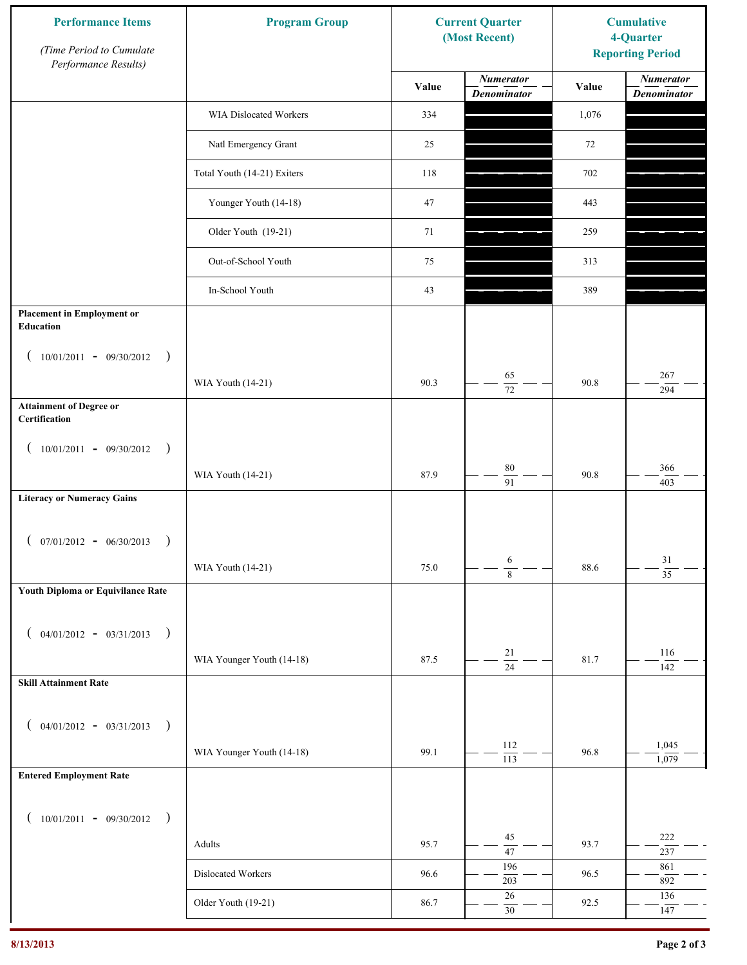| <b>Performance Items</b><br>(Time Period to Cumulate<br>Performance Results) | <b>Program Group</b>        |       | <b>Current Quarter</b><br>(Most Recent) | <b>Cumulative</b><br>4-Quarter<br><b>Reporting Period</b> |                                        |
|------------------------------------------------------------------------------|-----------------------------|-------|-----------------------------------------|-----------------------------------------------------------|----------------------------------------|
|                                                                              |                             | Value | <b>Numerator</b><br><b>Denominator</b>  | Value                                                     | <b>Numerator</b><br><b>Denominator</b> |
|                                                                              | WIA Dislocated Workers      | 334   |                                         | 1,076                                                     |                                        |
|                                                                              | Natl Emergency Grant        | 25    |                                         | 72                                                        |                                        |
|                                                                              | Total Youth (14-21) Exiters | 118   |                                         | 702                                                       |                                        |
|                                                                              | Younger Youth (14-18)       | 47    |                                         | 443                                                       |                                        |
|                                                                              | Older Youth (19-21)         | 71    |                                         | 259                                                       |                                        |
|                                                                              | Out-of-School Youth         | 75    |                                         | 313                                                       |                                        |
|                                                                              | In-School Youth             | 43    |                                         | 389                                                       |                                        |
| <b>Placement in Employment or</b><br><b>Education</b>                        |                             |       |                                         |                                                           |                                        |
| $10/01/2011 - 09/30/2012$<br>$\rightarrow$                                   |                             |       |                                         |                                                           |                                        |
|                                                                              | WIA Youth (14-21)           | 90.3  | 65<br>$\overline{72}$                   | 90.8                                                      | 267<br>294                             |
| <b>Attainment of Degree or</b><br>Certification                              |                             |       |                                         |                                                           |                                        |
| $(10/01/2011 - 09/30/2012)$<br>$\rightarrow$                                 |                             |       |                                         |                                                           |                                        |
|                                                                              | WIA Youth (14-21)           | 87.9  | $80\,$<br>$\overline{91}$               | 90.8                                                      | 366<br>403                             |
| <b>Literacy or Numeracy Gains</b>                                            |                             |       |                                         |                                                           |                                        |
| $($ 07/01/2012 - 06/30/2013<br>$\rightarrow$                                 |                             |       |                                         |                                                           |                                        |
|                                                                              | WIA Youth (14-21)           | 75.0  | 6<br>$\overline{8}$                     | 88.6                                                      | $31\,$<br>$\overline{35}$              |
| Youth Diploma or Equivilance Rate                                            |                             |       |                                         |                                                           |                                        |
| $04/01/2012 - 03/31/2013$ )                                                  |                             |       |                                         |                                                           |                                        |
|                                                                              | WIA Younger Youth (14-18)   | 87.5  | $21\,$                                  | 81.7                                                      | 116                                    |
| <b>Skill Attainment Rate</b>                                                 |                             |       | $\overline{24}$                         |                                                           | 142                                    |
|                                                                              |                             |       |                                         |                                                           |                                        |
| $04/01/2012 - 03/31/2013$ )<br>$\overline{ }$                                |                             |       | 112                                     |                                                           | 1,045                                  |
| <b>Entered Employment Rate</b>                                               | WIA Younger Youth (14-18)   | 99.1  | $\overline{113}$                        | 96.8                                                      | 1,079                                  |
|                                                                              |                             |       |                                         |                                                           |                                        |
| $10/01/2011 - 09/30/2012$ )                                                  |                             |       |                                         |                                                           |                                        |
|                                                                              | Adults                      | 95.7  | 45<br>47                                | 93.7                                                      | 222<br>237                             |
|                                                                              | Dislocated Workers          | 96.6  | 196<br>203                              | 96.5                                                      | 861<br>892                             |
|                                                                              | Older Youth (19-21)         | 86.7  | $26\,$<br>$30\,$                        | 92.5                                                      | 136<br>147                             |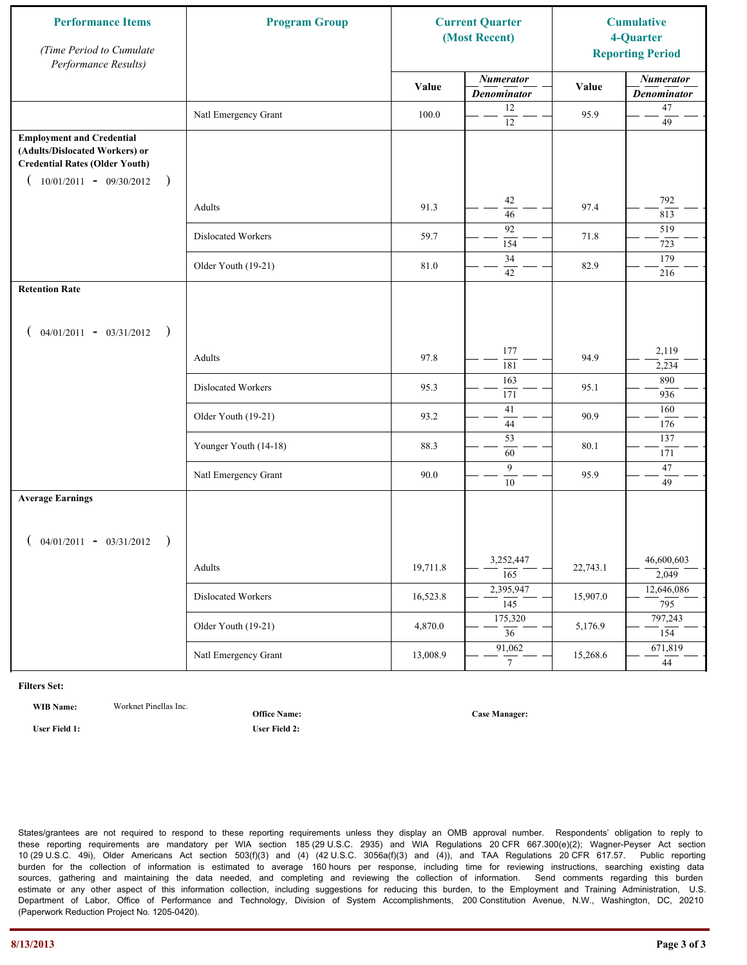| <b>Performance Items</b><br>(Time Period to Cumulate<br>Performance Results)                                                                              | <b>Program Group</b>  |          | <b>Current Quarter</b><br>(Most Recent) |          | <b>Cumulative</b><br>4-Quarter<br><b>Reporting Period</b> |
|-----------------------------------------------------------------------------------------------------------------------------------------------------------|-----------------------|----------|-----------------------------------------|----------|-----------------------------------------------------------|
|                                                                                                                                                           |                       | Value    | <b>Numerator</b><br><b>Denominator</b>  | Value    | <b>Numerator</b><br><b>Denominator</b>                    |
|                                                                                                                                                           | Natl Emergency Grant  | 100.0    | 12<br>$\overline{12}$                   | 95.9     | $47\,$<br>49                                              |
| <b>Employment and Credential</b><br>(Adults/Dislocated Workers) or<br><b>Credential Rates (Older Youth)</b><br>$10/01/2011 - 09/30/2012$<br>$\rightarrow$ |                       |          |                                         |          |                                                           |
|                                                                                                                                                           | Adults                | 91.3     | 42<br>46                                | 97.4     | 792<br>813                                                |
|                                                                                                                                                           | Dislocated Workers    | 59.7     | 92<br>154                               | 71.8     | 519<br>723                                                |
|                                                                                                                                                           | Older Youth (19-21)   | 81.0     | 34<br>42                                | 82.9     | 179<br>216                                                |
| <b>Retention Rate</b>                                                                                                                                     |                       |          |                                         |          |                                                           |
| $04/01/2011 - 03/31/2012$ )                                                                                                                               |                       |          |                                         |          |                                                           |
|                                                                                                                                                           | Adults                | 97.8     | 177<br>181                              | 94.9     | 2,119<br>2,234                                            |
|                                                                                                                                                           | Dislocated Workers    | 95.3     | 163<br>171                              | 95.1     | 890<br>936                                                |
|                                                                                                                                                           | Older Youth (19-21)   | 93.2     | 41<br>44                                | 90.9     | 160<br>176                                                |
|                                                                                                                                                           | Younger Youth (14-18) | 88.3     | $\overline{53}$<br>60                   | 80.1     | 137<br>171                                                |
|                                                                                                                                                           | Natl Emergency Grant  | 90.0     | 9<br>$10\,$                             | 95.9     | 47<br>49                                                  |
| <b>Average Earnings</b>                                                                                                                                   |                       |          |                                         |          |                                                           |
| $04/01/2011 - 03/31/2012$ )                                                                                                                               |                       |          | 3,252,447                               |          | 46,600,603                                                |
|                                                                                                                                                           | Adults                | 19,711.8 | $\overline{165}$<br>2,395,947           | 22,743.1 | 2,049<br>12,646,086                                       |
|                                                                                                                                                           | Dislocated Workers    | 16,523.8 | $\overline{145}$<br>175,320             | 15,907.0 | 795<br>797,243                                            |
|                                                                                                                                                           | Older Youth (19-21)   | 4,870.0  | $\overline{36}$                         | 5,176.9  | 154                                                       |
|                                                                                                                                                           | Natl Emergency Grant  | 13,008.9 | 91,062<br>$7\phantom{.0}$               | 15,268.6 | 671,819<br>44                                             |

**WIB Name:** Worknet Pinellas Inc.

**Office Name:**

**User Field 1: User Field 2:**

**Case Manager:**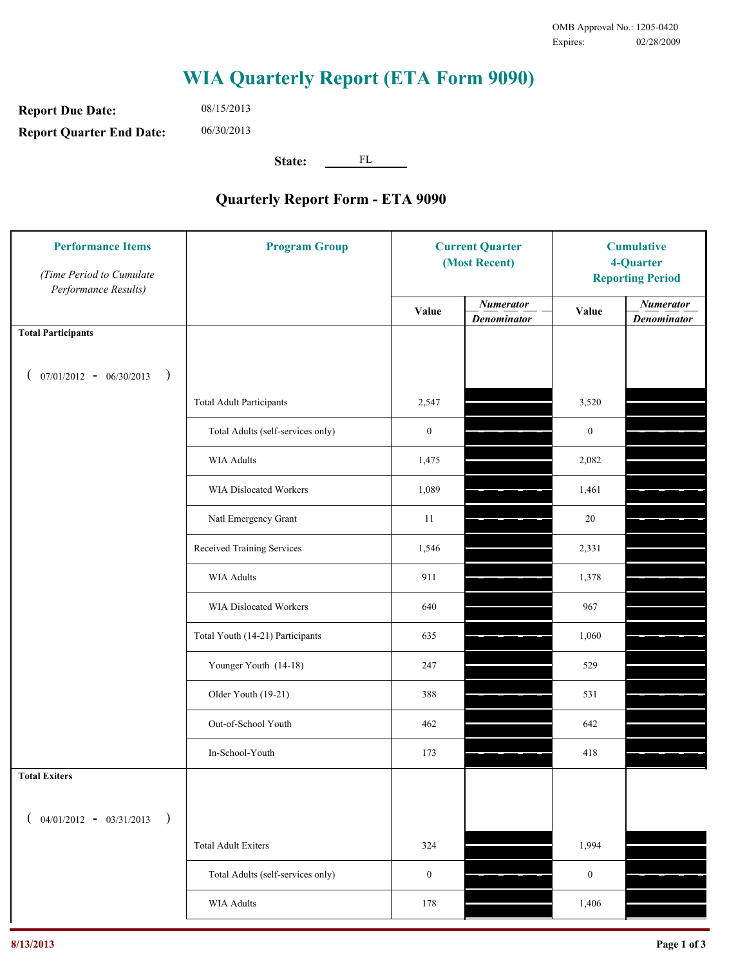**Report Due Date: Report Quarter End Date:** 08/15/2013 06/30/2013

**State:** FL

| <b>Performance Items</b><br>(Time Period to Cumulate<br>Performance Results) | <b>Program Group</b>              | <b>Current Quarter</b><br>(Most Recent) |                                        | <b>Cumulative</b><br>4-Quarter<br><b>Reporting Period</b> |                                        |
|------------------------------------------------------------------------------|-----------------------------------|-----------------------------------------|----------------------------------------|-----------------------------------------------------------|----------------------------------------|
|                                                                              |                                   | Value                                   | <b>Numerator</b><br><b>Denominator</b> | Value                                                     | <b>Numerator</b><br><b>Denominator</b> |
| <b>Total Participants</b>                                                    |                                   |                                         |                                        |                                                           |                                        |
| $07/01/2012 - 06/30/2013$<br>$\big)$<br>€                                    |                                   |                                         |                                        |                                                           |                                        |
|                                                                              | <b>Total Adult Participants</b>   | 2,547                                   |                                        | 3,520                                                     |                                        |
|                                                                              | Total Adults (self-services only) | $\boldsymbol{0}$                        |                                        | $\boldsymbol{0}$                                          |                                        |
|                                                                              | WIA Adults                        | 1,475                                   |                                        | 2,082                                                     |                                        |
|                                                                              | <b>WIA Dislocated Workers</b>     | 1,089                                   |                                        | 1,461                                                     |                                        |
|                                                                              | Natl Emergency Grant              | 11                                      |                                        | $20\,$                                                    |                                        |
|                                                                              | Received Training Services        | 1,546                                   |                                        | 2,331                                                     |                                        |
|                                                                              | WIA Adults                        | 911                                     |                                        | 1,378                                                     |                                        |
|                                                                              | WIA Dislocated Workers            | 640                                     |                                        | 967                                                       |                                        |
|                                                                              | Total Youth (14-21) Participants  | 635                                     |                                        | 1,060                                                     |                                        |
|                                                                              | Younger Youth (14-18)             | 247                                     |                                        | 529                                                       |                                        |
|                                                                              | Older Youth (19-21)               | 388                                     |                                        | 531                                                       |                                        |
|                                                                              | Out-of-School Youth               | 462                                     |                                        | 642                                                       |                                        |
|                                                                              | In-School-Youth                   | 173                                     |                                        | 418                                                       |                                        |
| <b>Total Exiters</b>                                                         |                                   |                                         |                                        |                                                           |                                        |
| $($ 04/01/2012 - 03/31/2013<br>$\lambda$                                     |                                   |                                         |                                        |                                                           |                                        |
|                                                                              | <b>Total Adult Exiters</b>        | 324                                     |                                        | 1,994                                                     |                                        |
|                                                                              | Total Adults (self-services only) | $\boldsymbol{0}$                        |                                        | $\boldsymbol{0}$                                          |                                        |
|                                                                              | <b>WIA Adults</b>                 | 178                                     |                                        | 1,406                                                     |                                        |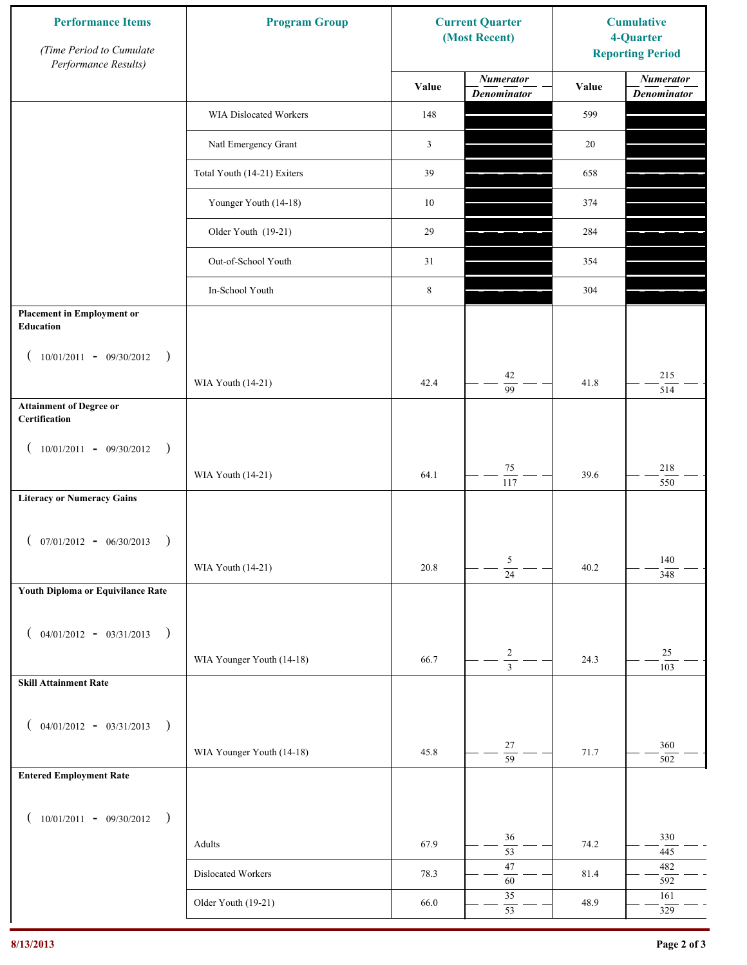| <b>Performance Items</b><br>(Time Period to Cumulate<br>Performance Results) | <b>Program Group</b>        | <b>Current Quarter</b><br>(Most Recent) |                                        | <b>Cumulative</b><br>4-Quarter<br><b>Reporting Period</b> |                                        |
|------------------------------------------------------------------------------|-----------------------------|-----------------------------------------|----------------------------------------|-----------------------------------------------------------|----------------------------------------|
|                                                                              |                             | Value                                   | <b>Numerator</b><br><b>Denominator</b> | Value                                                     | <b>Numerator</b><br><b>Denominator</b> |
|                                                                              | WIA Dislocated Workers      | 148                                     |                                        | 599                                                       |                                        |
|                                                                              | Natl Emergency Grant        | $\mathfrak{Z}$                          |                                        | 20                                                        |                                        |
|                                                                              | Total Youth (14-21) Exiters | 39                                      |                                        | 658                                                       |                                        |
|                                                                              | Younger Youth (14-18)       | $10\,$                                  |                                        | 374                                                       |                                        |
|                                                                              | Older Youth (19-21)         | 29                                      |                                        | 284                                                       |                                        |
|                                                                              | Out-of-School Youth         | 31                                      |                                        | 354                                                       |                                        |
|                                                                              | In-School Youth             | $\,$ 8 $\,$                             |                                        | 304                                                       |                                        |
| <b>Placement in Employment or</b><br>Education                               |                             |                                         |                                        |                                                           |                                        |
| $10/01/2011 - 09/30/2012$<br>$\rightarrow$                                   |                             |                                         | 42                                     |                                                           | 215                                    |
|                                                                              | WIA Youth (14-21)           | 42.4                                    | 99                                     | 41.8                                                      | 514                                    |
| <b>Attainment of Degree or</b><br>Certification                              |                             |                                         |                                        |                                                           |                                        |
| $(10/01/2011 - 09/30/2012)$<br>$\rightarrow$                                 |                             |                                         |                                        |                                                           |                                        |
|                                                                              | WIA Youth (14-21)           | 64.1                                    | $75\,$<br>$\overline{117}$             | 39.6                                                      | 218<br>550                             |
| <b>Literacy or Numeracy Gains</b>                                            |                             |                                         |                                        |                                                           |                                        |
| $(07/01/2012 - 06/30/2013)$<br>$\rightarrow$                                 |                             |                                         |                                        |                                                           |                                        |
|                                                                              | WIA Youth (14-21)           | 20.8                                    | 5<br>$\overline{24}$                   | 40.2                                                      | 140<br>348                             |
| Youth Diploma or Equivilance Rate                                            |                             |                                         |                                        |                                                           |                                        |
|                                                                              |                             |                                         |                                        |                                                           |                                        |
| $04/01/2012 - 03/31/2013$<br>$\rightarrow$                                   | WIA Younger Youth (14-18)   | 66.7                                    | $\overline{\mathbf{c}}$                | 24.3                                                      | $25\,$                                 |
| <b>Skill Attainment Rate</b>                                                 |                             |                                         | $\overline{3}$                         |                                                           | 103                                    |
|                                                                              |                             |                                         |                                        |                                                           |                                        |
| $04/01/2012 - 03/31/2013$ )                                                  |                             |                                         |                                        |                                                           |                                        |
|                                                                              | WIA Younger Youth (14-18)   | 45.8                                    | $27\,$<br>$\overline{59}$              | 71.7                                                      | 360<br>502                             |
| <b>Entered Employment Rate</b>                                               |                             |                                         |                                        |                                                           |                                        |
| $10/01/2011 - 09/30/2012$ )                                                  |                             |                                         |                                        |                                                           |                                        |
|                                                                              | Adults                      | 67.9                                    | 36<br>$\overline{53}$                  | 74.2                                                      | 330<br>445                             |
|                                                                              | Dislocated Workers          | 78.3                                    | $47\,$<br>$60\,$                       | 81.4                                                      | 482<br>592                             |
|                                                                              | Older Youth (19-21)         | 66.0                                    | $35\,$                                 | 48.9                                                      | 161                                    |
|                                                                              |                             |                                         | 53                                     |                                                           | 329                                    |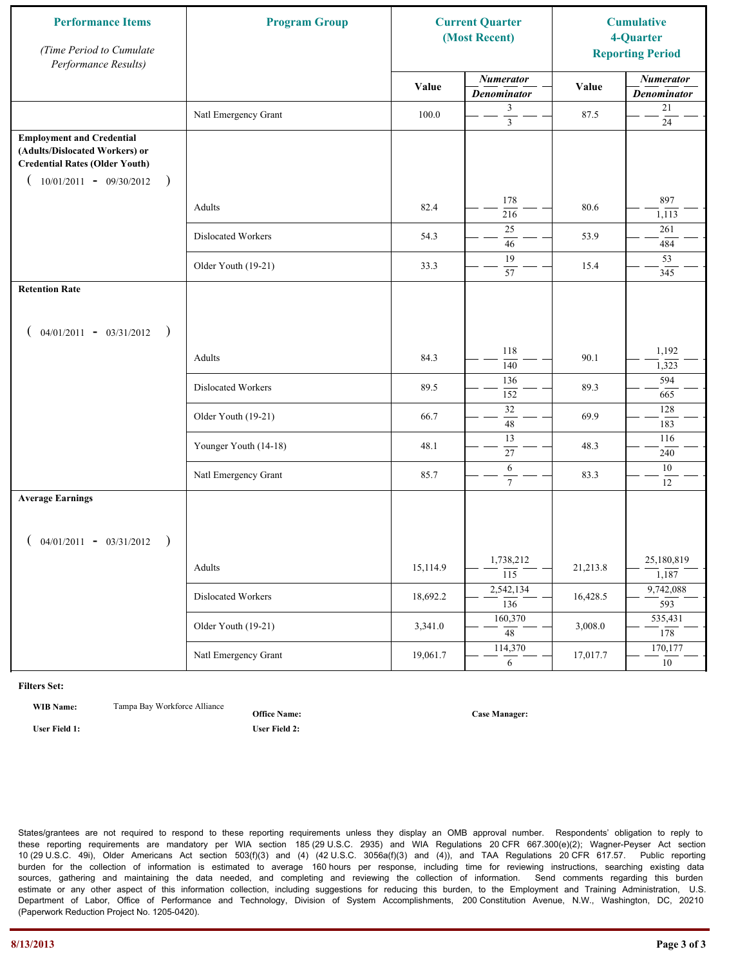| <b>Performance Items</b><br>(Time Period to Cumulate<br>Performance Results)                                                                              | <b>Program Group</b>  |          | <b>Current Quarter</b><br>(Most Recent) |          | <b>Cumulative</b><br>4-Quarter<br><b>Reporting Period</b> |
|-----------------------------------------------------------------------------------------------------------------------------------------------------------|-----------------------|----------|-----------------------------------------|----------|-----------------------------------------------------------|
|                                                                                                                                                           |                       | Value    | <b>Numerator</b><br><b>Denominator</b>  | Value    | <b>Numerator</b><br><b>Denominator</b>                    |
|                                                                                                                                                           | Natl Emergency Grant  | 100.0    | 3<br>$\overline{\mathbf{3}}$            | 87.5     | $21\,$<br>$24\,$                                          |
| <b>Employment and Credential</b><br>(Adults/Dislocated Workers) or<br><b>Credential Rates (Older Youth)</b><br>$10/01/2011 - 09/30/2012$<br>$\rightarrow$ |                       |          |                                         |          |                                                           |
|                                                                                                                                                           | Adults                | 82.4     | 178<br>216                              | 80.6     | 897<br>1,113                                              |
|                                                                                                                                                           | Dislocated Workers    | 54.3     | 25<br>46                                | 53.9     | 261<br>484                                                |
|                                                                                                                                                           | Older Youth (19-21)   | 33.3     | 19<br>57                                | 15.4     | 53<br>345                                                 |
| <b>Retention Rate</b>                                                                                                                                     |                       |          |                                         |          |                                                           |
| $04/01/2011 - 03/31/2012$ )                                                                                                                               |                       |          |                                         |          |                                                           |
|                                                                                                                                                           | Adults                | 84.3     | 118<br>140                              | 90.1     | 1,192<br>1,323                                            |
|                                                                                                                                                           | Dislocated Workers    | 89.5     | 136<br>152                              | 89.3     | 594<br>665                                                |
|                                                                                                                                                           | Older Youth (19-21)   | 66.7     | 32<br>48                                | 69.9     | 128<br>183                                                |
|                                                                                                                                                           | Younger Youth (14-18) | 48.1     | 13<br>27                                | 48.3     | 116<br>240                                                |
|                                                                                                                                                           | Natl Emergency Grant  | 85.7     | 6<br>$\tau$                             | 83.3     | $10\,$<br>12                                              |
| <b>Average Earnings</b><br>$04/01/2011 - 03/31/2012$ )                                                                                                    |                       |          |                                         |          |                                                           |
|                                                                                                                                                           | Adults                | 15,114.9 | 1,738,212<br>$\overline{115}$           | 21,213.8 | 25,180,819<br>1,187                                       |
|                                                                                                                                                           | Dislocated Workers    | 18,692.2 | 2,542,134<br>$\overline{136}$           | 16,428.5 | 9,742,088<br>593                                          |
|                                                                                                                                                           | Older Youth (19-21)   | 3,341.0  | 160,370<br>$\overline{48}$              | 3,008.0  | 535,431<br>178                                            |
|                                                                                                                                                           | Natl Emergency Grant  | 19,061.7 | 114,370<br>6                            | 17,017.7 | 170,177<br>10                                             |

**WIB Name:** Tampa Bay Workforce Alliance

**Office Name:**

**User Field 1: User Field 2:**

**Case Manager:**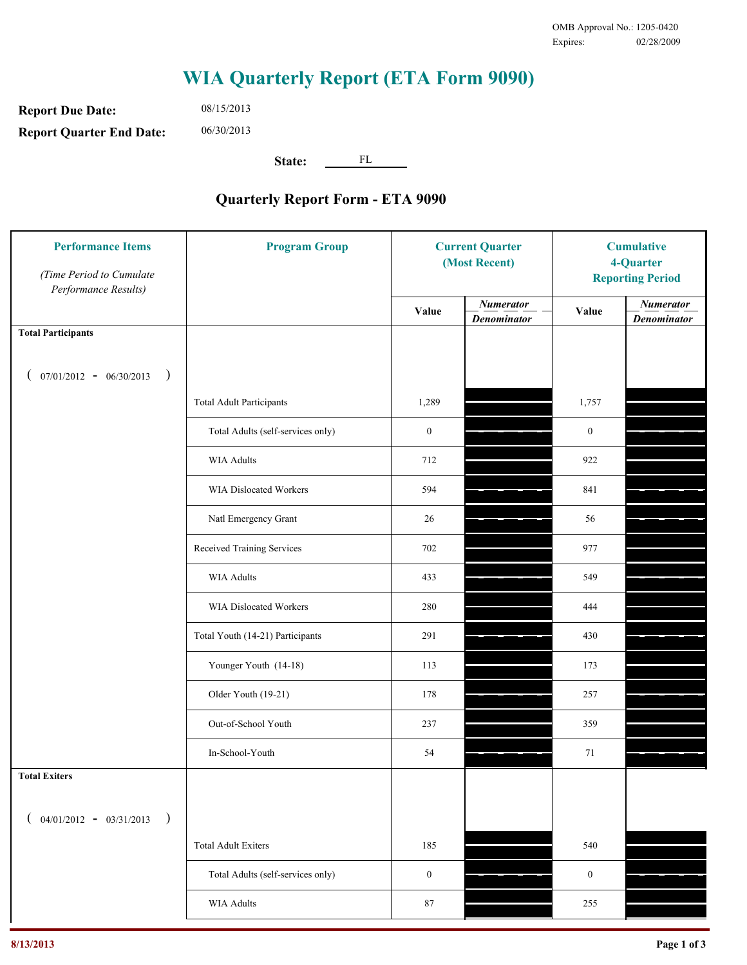**Report Due Date: Report Quarter End Date:** 08/15/2013 06/30/2013

**State:** FL

| <b>Performance Items</b><br>(Time Period to Cumulate<br>Performance Results) | <b>Program Group</b>              |                  | <b>Current Quarter</b><br>(Most Recent) |                  | <b>Cumulative</b><br>4-Quarter<br><b>Reporting Period</b> |  |
|------------------------------------------------------------------------------|-----------------------------------|------------------|-----------------------------------------|------------------|-----------------------------------------------------------|--|
|                                                                              |                                   | Value            | <b>Numerator</b><br><b>Denominator</b>  | Value            | <b>Numerator</b><br><b>Denominator</b>                    |  |
| <b>Total Participants</b>                                                    |                                   |                  |                                         |                  |                                                           |  |
| $07/01/2012 - 06/30/2013$ )                                                  |                                   |                  |                                         |                  |                                                           |  |
|                                                                              | <b>Total Adult Participants</b>   | 1,289            |                                         | 1,757            |                                                           |  |
|                                                                              | Total Adults (self-services only) | $\boldsymbol{0}$ |                                         | $\boldsymbol{0}$ |                                                           |  |
|                                                                              | <b>WIA Adults</b>                 | 712              |                                         | 922              |                                                           |  |
|                                                                              | WIA Dislocated Workers            | 594              |                                         | 841              |                                                           |  |
|                                                                              | Natl Emergency Grant              | 26               |                                         | 56               |                                                           |  |
|                                                                              | Received Training Services        | 702              |                                         | 977              |                                                           |  |
|                                                                              | <b>WIA Adults</b>                 | 433              |                                         | 549              |                                                           |  |
|                                                                              | WIA Dislocated Workers            | 280              |                                         | 444              |                                                           |  |
|                                                                              | Total Youth (14-21) Participants  | 291              |                                         | 430              |                                                           |  |
|                                                                              | Younger Youth (14-18)             | 113              |                                         | 173              |                                                           |  |
|                                                                              | Older Youth (19-21)               | 178              |                                         | 257              |                                                           |  |
|                                                                              | Out-of-School Youth               | 237              |                                         | 359              |                                                           |  |
|                                                                              | In-School-Youth                   | 54               |                                         | 71               |                                                           |  |
| <b>Total Exiters</b>                                                         |                                   |                  |                                         |                  |                                                           |  |
| $($ 04/01/2012 - 03/31/2013<br>$\rightarrow$                                 |                                   |                  |                                         |                  |                                                           |  |
|                                                                              | <b>Total Adult Exiters</b>        | 185              |                                         | 540              |                                                           |  |
|                                                                              | Total Adults (self-services only) | $\boldsymbol{0}$ |                                         | $\boldsymbol{0}$ |                                                           |  |
|                                                                              | <b>WIA Adults</b>                 | 87               |                                         | 255              |                                                           |  |
|                                                                              |                                   |                  |                                         |                  |                                                           |  |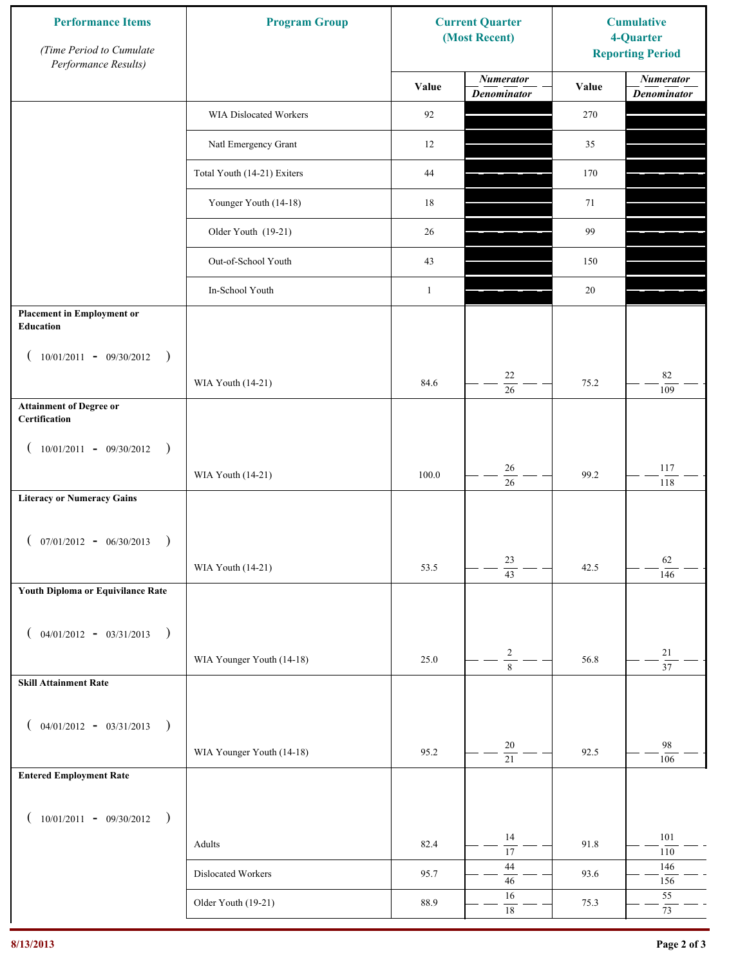| <b>Performance Items</b><br>(Time Period to Cumulate<br>Performance Results) | <b>Program Group</b>        | <b>Current Quarter</b><br>(Most Recent) |                                        | <b>Cumulative</b><br>4-Quarter<br><b>Reporting Period</b> |                                        |
|------------------------------------------------------------------------------|-----------------------------|-----------------------------------------|----------------------------------------|-----------------------------------------------------------|----------------------------------------|
|                                                                              |                             | Value                                   | <b>Numerator</b><br><b>Denominator</b> | Value                                                     | <b>Numerator</b><br><b>Denominator</b> |
|                                                                              | WIA Dislocated Workers      | 92                                      |                                        | 270                                                       |                                        |
|                                                                              | Natl Emergency Grant        | 12                                      |                                        | 35                                                        |                                        |
|                                                                              | Total Youth (14-21) Exiters | 44                                      |                                        | 170                                                       |                                        |
|                                                                              | Younger Youth (14-18)       | 18                                      |                                        | 71                                                        |                                        |
|                                                                              | Older Youth (19-21)         | 26                                      |                                        | 99                                                        |                                        |
|                                                                              | Out-of-School Youth         | 43                                      |                                        | 150                                                       |                                        |
|                                                                              | In-School Youth             | $\mathbf{1}$                            |                                        | 20                                                        |                                        |
| <b>Placement in Employment or</b><br>Education                               |                             |                                         |                                        |                                                           |                                        |
| $10/01/2011 - 09/30/2012$<br>$\rightarrow$                                   |                             |                                         |                                        |                                                           |                                        |
|                                                                              | WIA Youth (14-21)           | 84.6                                    | 22<br>$\overline{26}$                  | 75.2                                                      | $82\,$<br>109                          |
| <b>Attainment of Degree or</b><br>Certification                              |                             |                                         |                                        |                                                           |                                        |
| $(10/01/2011 - 09/30/2012)$<br>$\rightarrow$                                 |                             |                                         |                                        |                                                           |                                        |
|                                                                              | WIA Youth (14-21)           | 100.0                                   | 26<br>$\overline{26}$                  | 99.2                                                      | 117<br>118                             |
| <b>Literacy or Numeracy Gains</b>                                            |                             |                                         |                                        |                                                           |                                        |
| $(07/01/2012 - 06/30/2013)$<br>$\rightarrow$                                 |                             |                                         |                                        |                                                           |                                        |
|                                                                              | WIA Youth (14-21)           | 53.5                                    | 23<br>$\overline{43}$                  | 42.5                                                      | 62<br>146                              |
| Youth Diploma or Equivilance Rate                                            |                             |                                         |                                        |                                                           |                                        |
| $04/01/2012 - 03/31/2013$ )<br>€                                             |                             |                                         |                                        |                                                           |                                        |
|                                                                              | WIA Younger Youth (14-18)   | 25.0                                    | $\sqrt{2}$                             | 56.8                                                      | $21\,$                                 |
| <b>Skill Attainment Rate</b>                                                 |                             |                                         | $\overline{8}$                         |                                                           | $\overline{37}$                        |
|                                                                              |                             |                                         |                                        |                                                           |                                        |
| $04/01/2012 - 03/31/2013$ )<br>€                                             |                             |                                         | 20                                     |                                                           | 98                                     |
| <b>Entered Employment Rate</b>                                               | WIA Younger Youth (14-18)   | 95.2                                    | $\overline{21}$                        | 92.5                                                      | 106                                    |
|                                                                              |                             |                                         |                                        |                                                           |                                        |
| $10/01/2011 - 09/30/2012$ )<br>€                                             |                             |                                         | 14                                     |                                                           | 101                                    |
|                                                                              | Adults                      | 82.4                                    | $\overline{17}$                        | 91.8                                                      | $110\,$                                |
|                                                                              | Dislocated Workers          | 95.7                                    | 44<br>$46\,$                           | 93.6                                                      | 146<br>156                             |
|                                                                              | Older Youth (19-21)         | 88.9                                    | 16<br>$18\,$                           | 75.3                                                      | 55<br>73                               |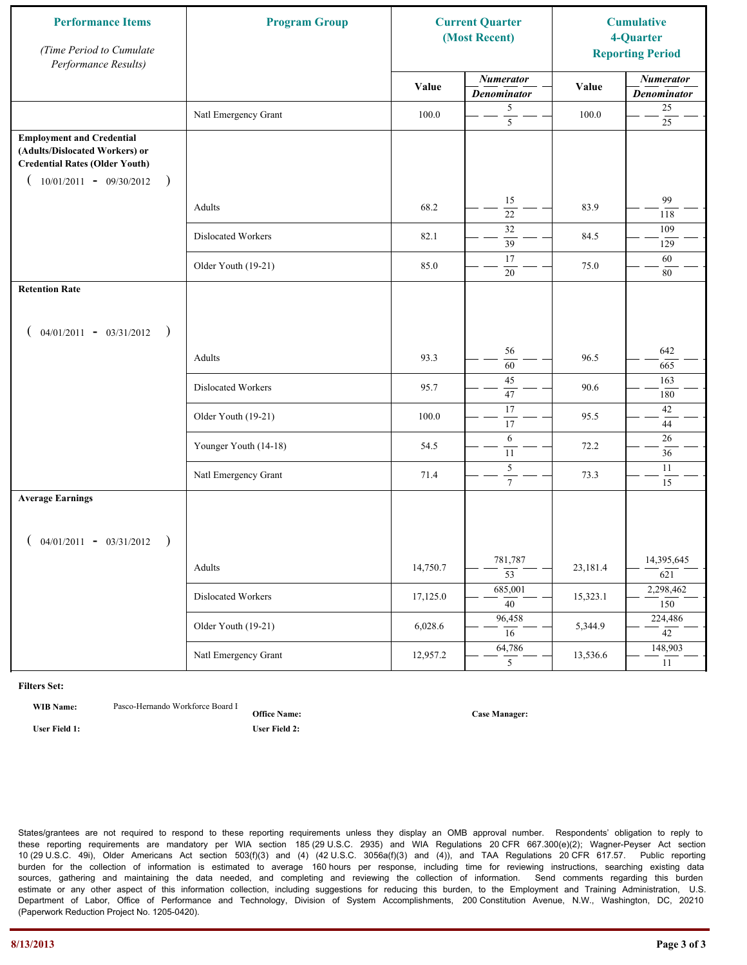| <b>Performance Items</b><br>(Time Period to Cumulate<br>Performance Results)                                                                              | <b>Program Group</b>  |          | <b>Current Quarter</b><br>(Most Recent) |          | <b>Cumulative</b><br>4-Quarter<br><b>Reporting Period</b> |
|-----------------------------------------------------------------------------------------------------------------------------------------------------------|-----------------------|----------|-----------------------------------------|----------|-----------------------------------------------------------|
|                                                                                                                                                           |                       | Value    | <b>Numerator</b><br><b>Denominator</b>  | Value    | <b>Numerator</b><br><b>Denominator</b>                    |
|                                                                                                                                                           | Natl Emergency Grant  | 100.0    | 5<br>$\overline{5}$                     | 100.0    | $25\,$<br>$25\,$                                          |
| <b>Employment and Credential</b><br>(Adults/Dislocated Workers) or<br><b>Credential Rates (Older Youth)</b><br>$10/01/2011 - 09/30/2012$<br>$\rightarrow$ |                       |          |                                         |          |                                                           |
|                                                                                                                                                           | Adults                | 68.2     | 15<br>$\overline{22}$                   | 83.9     | 99<br>118                                                 |
|                                                                                                                                                           | Dislocated Workers    | 82.1     | 32<br>39                                | 84.5     | 109<br>129                                                |
|                                                                                                                                                           | Older Youth (19-21)   | 85.0     | 17<br>20                                | 75.0     | 60<br>$80\,$                                              |
| <b>Retention Rate</b>                                                                                                                                     |                       |          |                                         |          |                                                           |
| $04/01/2011 - 03/31/2012$ )                                                                                                                               |                       |          |                                         |          |                                                           |
|                                                                                                                                                           | Adults                | 93.3     | 56<br>60                                | 96.5     | 642<br>665                                                |
|                                                                                                                                                           | Dislocated Workers    | 95.7     | 45<br>47                                | 90.6     | 163<br>180                                                |
|                                                                                                                                                           | Older Youth (19-21)   | 100.0    | 17<br>17                                | 95.5     | 42<br>44                                                  |
|                                                                                                                                                           | Younger Youth (14-18) | 54.5     | 6<br>11                                 | 72.2     | 26<br>36                                                  |
|                                                                                                                                                           | Natl Emergency Grant  | 71.4     | $\overline{5}$<br>$\mathcal{I}$         | 73.3     | 11<br>15                                                  |
| <b>Average Earnings</b>                                                                                                                                   |                       |          |                                         |          |                                                           |
| $04/01/2011 - 03/31/2012$<br>$\rightarrow$                                                                                                                |                       |          |                                         |          |                                                           |
|                                                                                                                                                           | Adults                | 14,750.7 | 781,787<br>$\overline{53}$              | 23,181.4 | 14,395,645<br>621                                         |
|                                                                                                                                                           | Dislocated Workers    | 17,125.0 | 685,001<br>$\overline{40}$              | 15,323.1 | 2,298,462<br>150                                          |
|                                                                                                                                                           | Older Youth (19-21)   | 6,028.6  | 96,458<br>16                            | 5,344.9  | 224,486<br>42                                             |
|                                                                                                                                                           | Natl Emergency Grant  | 12,957.2 | 64,786<br>5                             | 13,536.6 | 148,903<br>11                                             |

**WIB Name:** Pasco-Hernando Workforce Board I

**Office Name: User Field 1: User Field 2:**

**Case Manager:**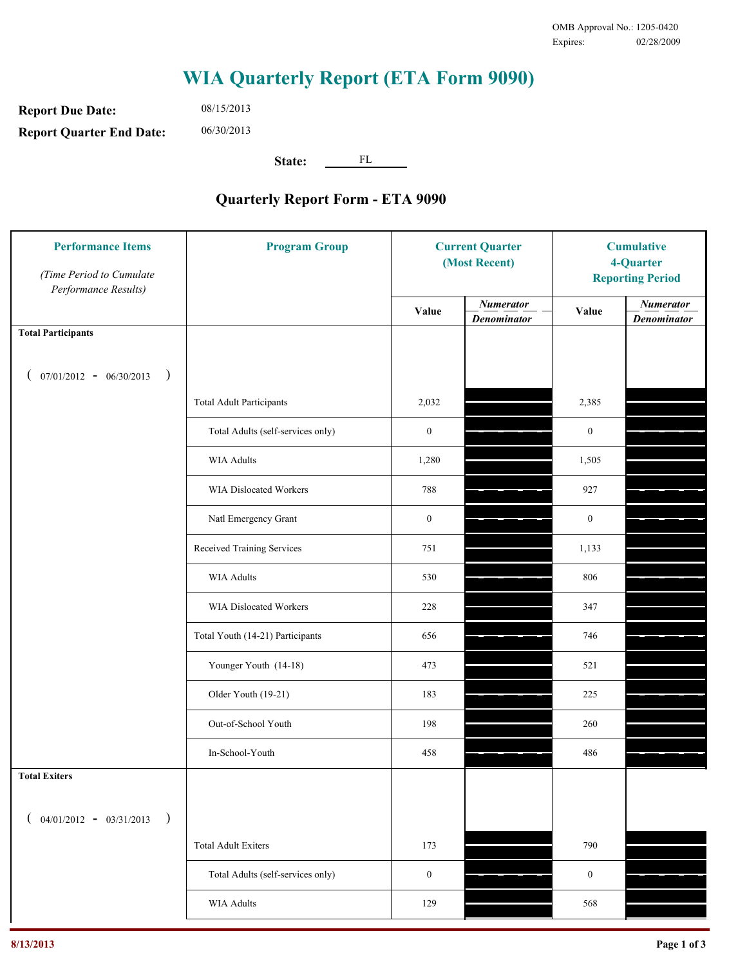**Report Due Date: Report Quarter End Date:** 08/15/2013 06/30/2013

**State:** FL

| <b>Performance Items</b><br>(Time Period to Cumulate<br>Performance Results) | <b>Program Group</b>              | <b>Current Quarter</b><br>(Most Recent) |                                        | <b>Cumulative</b><br>4-Quarter<br><b>Reporting Period</b> |                                        |
|------------------------------------------------------------------------------|-----------------------------------|-----------------------------------------|----------------------------------------|-----------------------------------------------------------|----------------------------------------|
|                                                                              |                                   | Value                                   | <b>Numerator</b><br><b>Denominator</b> | Value                                                     | <b>Numerator</b><br><b>Denominator</b> |
| <b>Total Participants</b>                                                    |                                   |                                         |                                        |                                                           |                                        |
| $07/01/2012 - 06/30/2013$ )                                                  |                                   |                                         |                                        |                                                           |                                        |
|                                                                              | <b>Total Adult Participants</b>   | 2,032                                   |                                        | 2,385                                                     |                                        |
|                                                                              | Total Adults (self-services only) | $\boldsymbol{0}$                        |                                        | $\boldsymbol{0}$                                          |                                        |
|                                                                              | <b>WIA Adults</b>                 | 1,280                                   |                                        | 1,505                                                     |                                        |
|                                                                              | WIA Dislocated Workers            | 788                                     |                                        | 927                                                       |                                        |
|                                                                              | Natl Emergency Grant              | $\boldsymbol{0}$                        |                                        | $\boldsymbol{0}$                                          |                                        |
|                                                                              | Received Training Services        | 751                                     |                                        | 1,133                                                     |                                        |
|                                                                              | <b>WIA Adults</b>                 | 530                                     |                                        | 806                                                       |                                        |
|                                                                              | WIA Dislocated Workers            | 228                                     |                                        | 347                                                       |                                        |
|                                                                              | Total Youth (14-21) Participants  | 656                                     |                                        | 746                                                       |                                        |
|                                                                              | Younger Youth (14-18)             | 473                                     |                                        | 521                                                       |                                        |
|                                                                              | Older Youth (19-21)               | 183                                     |                                        | 225                                                       |                                        |
|                                                                              | Out-of-School Youth               | 198                                     |                                        | 260                                                       |                                        |
|                                                                              | In-School-Youth                   | 458                                     |                                        | 486                                                       |                                        |
| <b>Total Exiters</b>                                                         |                                   |                                         |                                        |                                                           |                                        |
| $04/01/2012 - 03/31/2013$<br>$\rightarrow$                                   |                                   |                                         |                                        |                                                           |                                        |
|                                                                              | <b>Total Adult Exiters</b>        | 173                                     |                                        | 790                                                       |                                        |
|                                                                              | Total Adults (self-services only) | $\boldsymbol{0}$                        |                                        | $\boldsymbol{0}$                                          |                                        |
|                                                                              | WIA Adults                        | 129                                     |                                        | 568                                                       |                                        |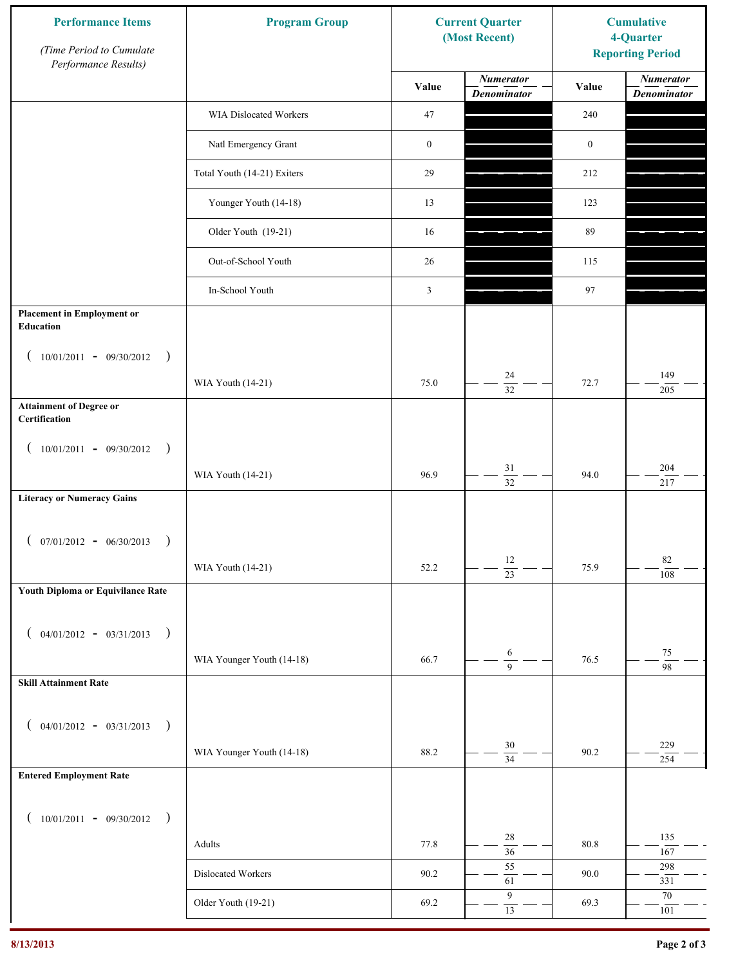| <b>Performance Items</b><br>(Time Period to Cumulate<br>Performance Results) | <b>Program Group</b>        | <b>Current Quarter</b><br>(Most Recent) |                                        | <b>Cumulative</b><br>4-Quarter<br><b>Reporting Period</b> |                                        |
|------------------------------------------------------------------------------|-----------------------------|-----------------------------------------|----------------------------------------|-----------------------------------------------------------|----------------------------------------|
|                                                                              |                             | Value                                   | <b>Numerator</b><br><b>Denominator</b> | Value                                                     | <b>Numerator</b><br><b>Denominator</b> |
|                                                                              | WIA Dislocated Workers      | 47                                      |                                        | 240                                                       |                                        |
|                                                                              | Natl Emergency Grant        | $\boldsymbol{0}$                        |                                        | $\boldsymbol{0}$                                          |                                        |
|                                                                              | Total Youth (14-21) Exiters | 29                                      |                                        | 212                                                       |                                        |
|                                                                              | Younger Youth (14-18)       | 13                                      |                                        | 123                                                       |                                        |
|                                                                              | Older Youth (19-21)         | 16                                      |                                        | 89                                                        |                                        |
|                                                                              | Out-of-School Youth         | 26                                      |                                        | 115                                                       |                                        |
|                                                                              | In-School Youth             | 3                                       |                                        | 97                                                        |                                        |
| <b>Placement in Employment or</b><br>Education                               |                             |                                         |                                        |                                                           |                                        |
| $10/01/2011 - 09/30/2012$<br>$\rightarrow$                                   |                             |                                         |                                        |                                                           |                                        |
|                                                                              | WIA Youth (14-21)           | 75.0                                    | 24<br>$\overline{32}$                  | 72.7                                                      | 149<br>205                             |
| <b>Attainment of Degree or</b><br>Certification                              |                             |                                         |                                        |                                                           |                                        |
| $(10/01/2011 - 09/30/2012)$<br>$\rightarrow$                                 |                             |                                         |                                        |                                                           |                                        |
|                                                                              | WIA Youth (14-21)           | 96.9                                    | $31\,$<br>$\overline{32}$              | 94.0                                                      | 204<br>217                             |
| <b>Literacy or Numeracy Gains</b>                                            |                             |                                         |                                        |                                                           |                                        |
| $(07/01/2012 - 06/30/2013)$<br>$\rightarrow$                                 |                             |                                         |                                        |                                                           |                                        |
|                                                                              | WIA Youth (14-21)           | 52.2                                    | 12<br>$\overline{23}$                  | 75.9                                                      | 82<br>108                              |
| Youth Diploma or Equivilance Rate                                            |                             |                                         |                                        |                                                           |                                        |
|                                                                              |                             |                                         |                                        |                                                           |                                        |
| $04/01/2012 - 03/31/2013$<br>$\rightarrow$                                   | WIA Younger Youth (14-18)   | 66.7                                    | 6                                      | 76.5                                                      | $75\,$                                 |
| <b>Skill Attainment Rate</b>                                                 |                             |                                         | $\overline{9}$                         |                                                           | $\overline{98}$                        |
|                                                                              |                             |                                         |                                        |                                                           |                                        |
| $04/01/2012 - 03/31/2013$ )                                                  |                             |                                         |                                        |                                                           |                                        |
|                                                                              | WIA Younger Youth (14-18)   | 88.2                                    | 30<br>$\overline{34}$                  | 90.2                                                      | 229<br>254                             |
| <b>Entered Employment Rate</b>                                               |                             |                                         |                                        |                                                           |                                        |
| $10/01/2011 - 09/30/2012$ )                                                  |                             |                                         |                                        |                                                           |                                        |
|                                                                              | Adults                      | 77.8                                    | 28<br>$\overline{36}$                  | 80.8                                                      | 135<br>167                             |
|                                                                              | Dislocated Workers          | 90.2                                    | 55<br>61                               | 90.0                                                      | 298<br>331                             |
|                                                                              | Older Youth (19-21)         | 69.2                                    | $\boldsymbol{9}$                       | 69.3                                                      | 70                                     |
|                                                                              |                             |                                         | $\overline{13}$                        |                                                           | 101                                    |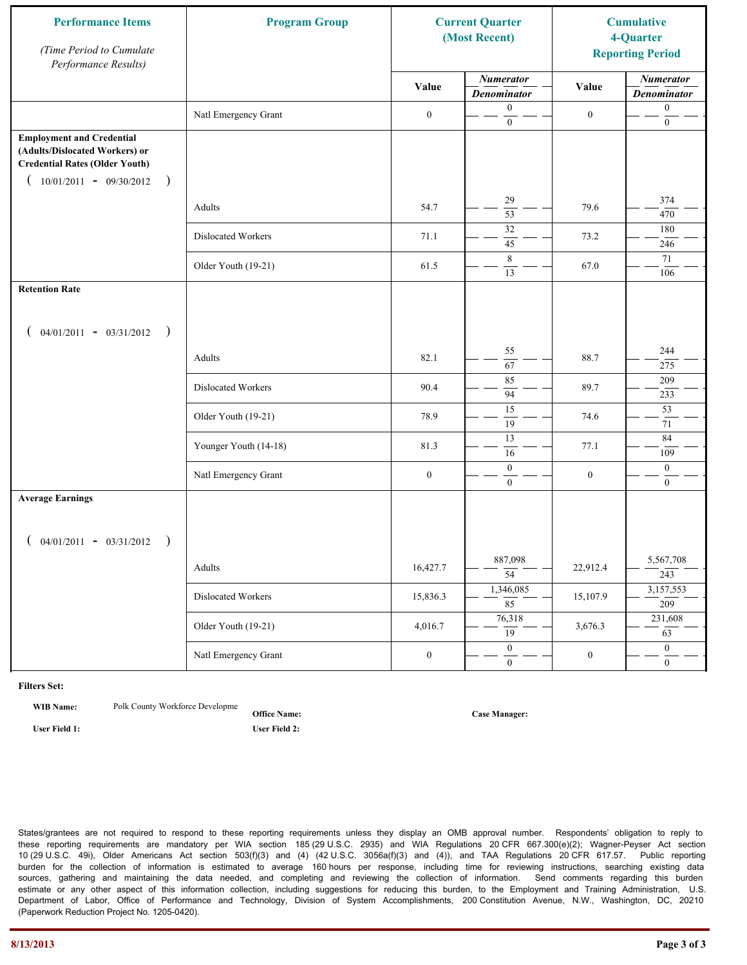| <b>Performance Items</b><br>(Time Period to Cumulate<br>Performance Results)                                                                              | <b>Program Group</b>  | <b>Current Quarter</b><br>(Most Recent) |                                        | <b>Cumulative</b><br>4-Quarter<br><b>Reporting Period</b> |                                        |
|-----------------------------------------------------------------------------------------------------------------------------------------------------------|-----------------------|-----------------------------------------|----------------------------------------|-----------------------------------------------------------|----------------------------------------|
|                                                                                                                                                           |                       | Value                                   | <b>Numerator</b><br><b>Denominator</b> | Value                                                     | <b>Numerator</b><br><b>Denominator</b> |
|                                                                                                                                                           | Natl Emergency Grant  | $\boldsymbol{0}$                        | $\boldsymbol{0}$<br>$\overline{0}$     | $\boldsymbol{0}$                                          | $\boldsymbol{0}$<br>$\boldsymbol{0}$   |
| <b>Employment and Credential</b><br>(Adults/Dislocated Workers) or<br><b>Credential Rates (Older Youth)</b><br>$10/01/2011 - 09/30/2012$<br>$\rightarrow$ |                       |                                         |                                        |                                                           |                                        |
|                                                                                                                                                           | Adults                | 54.7                                    | 29<br>$\overline{53}$                  | 79.6                                                      | 374<br>470                             |
|                                                                                                                                                           | Dislocated Workers    | 71.1                                    | 32<br>45                               | 73.2                                                      | 180<br>246                             |
|                                                                                                                                                           | Older Youth (19-21)   | 61.5                                    | 8<br>13                                | 67.0                                                      | 71<br>106                              |
| <b>Retention Rate</b>                                                                                                                                     |                       |                                         |                                        |                                                           |                                        |
| $04/01/2011 - 03/31/2012$ )                                                                                                                               |                       |                                         |                                        |                                                           |                                        |
|                                                                                                                                                           | Adults                | 82.1                                    | 55<br>67                               | 88.7                                                      | 244<br>275                             |
|                                                                                                                                                           | Dislocated Workers    | 90.4                                    | 85<br>94                               | 89.7                                                      | 209<br>233                             |
|                                                                                                                                                           | Older Youth (19-21)   | 78.9                                    | $\overline{15}$<br>$\overline{19}$     | 74.6                                                      | $\overline{53}$<br>71                  |
|                                                                                                                                                           | Younger Youth (14-18) | 81.3                                    | 13<br>16                               | 77.1                                                      | 84<br>109                              |
|                                                                                                                                                           | Natl Emergency Grant  | $\boldsymbol{0}$                        | $\boldsymbol{0}$<br>$\overline{0}$     | $\boldsymbol{0}$                                          | $\boldsymbol{0}$<br>$\boldsymbol{0}$   |
| <b>Average Earnings</b>                                                                                                                                   |                       |                                         |                                        |                                                           |                                        |
| $04/01/2011 - 03/31/2012$<br>$\big)$                                                                                                                      |                       |                                         |                                        |                                                           |                                        |
|                                                                                                                                                           | Adults                | 16,427.7                                | 887,098<br>$\overline{54}$             | 22,912.4                                                  | 5,567,708<br>243                       |
|                                                                                                                                                           | Dislocated Workers    | 15,836.3                                | 1,346,085<br>$\overline{85}$           | 15,107.9                                                  | 3,157,553<br>209                       |
|                                                                                                                                                           | Older Youth (19-21)   | 4,016.7                                 | 76,318<br>$\overline{19}$              | 3,676.3                                                   | 231,608<br>63                          |
|                                                                                                                                                           | Natl Emergency Grant  | $\boldsymbol{0}$                        | $\overline{0}$<br>$\overline{0}$       | $\boldsymbol{0}$                                          | $\overline{0}$<br>$\boldsymbol{0}$     |

**WIB Name:** Polk County Workforce Developme

**Office Name: User Field 1: User Field 2:**

**Case Manager:**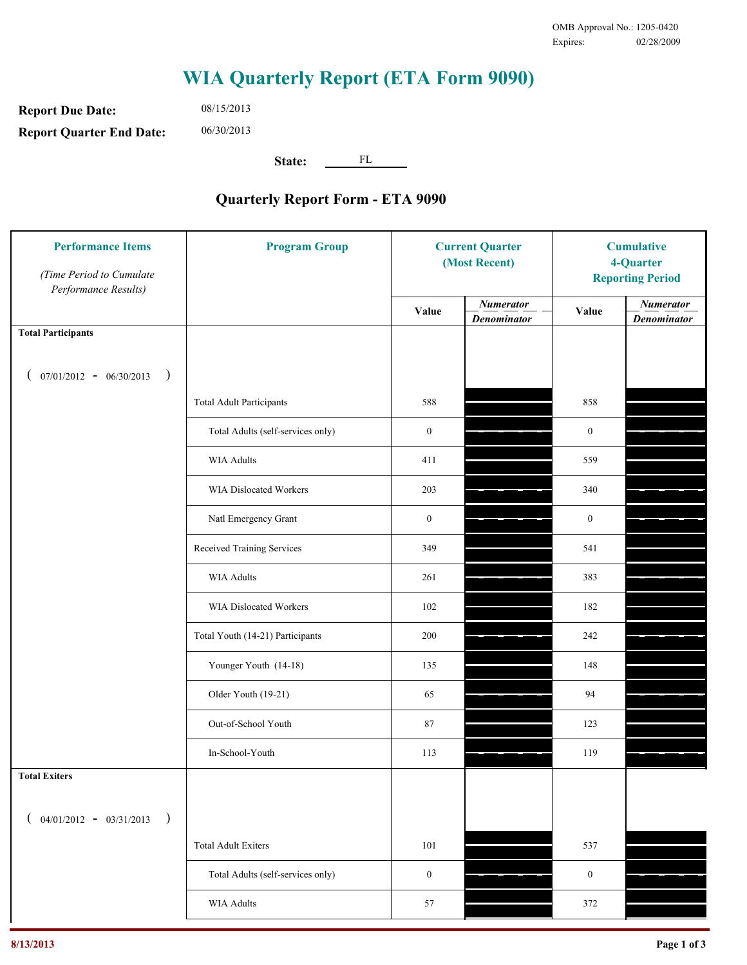**Report Due Date: Report Quarter End Date:** 08/15/2013 06/30/2013

**State:** FL

| <b>Performance Items</b><br>(Time Period to Cumulate<br>Performance Results) | <b>Program Group</b>              | <b>Current Quarter</b><br>(Most Recent) |                                        | <b>Cumulative</b><br>4-Quarter<br><b>Reporting Period</b> |                                        |
|------------------------------------------------------------------------------|-----------------------------------|-----------------------------------------|----------------------------------------|-----------------------------------------------------------|----------------------------------------|
|                                                                              |                                   | Value                                   | <b>Numerator</b><br><b>Denominator</b> | Value                                                     | <b>Numerator</b><br><b>Denominator</b> |
| <b>Total Participants</b>                                                    |                                   |                                         |                                        |                                                           |                                        |
| $07/01/2012 - 06/30/2013$ )                                                  |                                   |                                         |                                        |                                                           |                                        |
|                                                                              | <b>Total Adult Participants</b>   | 588                                     |                                        | 858                                                       |                                        |
|                                                                              | Total Adults (self-services only) | $\boldsymbol{0}$                        |                                        | $\boldsymbol{0}$                                          |                                        |
|                                                                              | <b>WIA Adults</b>                 | 411                                     |                                        | 559                                                       |                                        |
|                                                                              | WIA Dislocated Workers            | 203                                     |                                        | 340                                                       |                                        |
|                                                                              | Natl Emergency Grant              | $\boldsymbol{0}$                        |                                        | $\boldsymbol{0}$                                          |                                        |
|                                                                              | Received Training Services        | 349                                     |                                        | 541                                                       |                                        |
|                                                                              | <b>WIA Adults</b>                 | 261                                     |                                        | 383                                                       |                                        |
|                                                                              | WIA Dislocated Workers            | 102                                     |                                        | 182                                                       |                                        |
|                                                                              | Total Youth (14-21) Participants  | 200                                     |                                        | 242                                                       |                                        |
|                                                                              | Younger Youth (14-18)             | 135                                     |                                        | 148                                                       |                                        |
|                                                                              | Older Youth (19-21)               | 65                                      |                                        | 94                                                        |                                        |
|                                                                              | Out-of-School Youth               | 87                                      |                                        | 123                                                       |                                        |
|                                                                              | In-School-Youth                   | 113                                     |                                        | 119                                                       |                                        |
| <b>Total Exiters</b>                                                         |                                   |                                         |                                        |                                                           |                                        |
| $($ 04/01/2012 - 03/31/2013<br>$\rightarrow$                                 |                                   |                                         |                                        |                                                           |                                        |
|                                                                              | <b>Total Adult Exiters</b>        | 101                                     |                                        | 537                                                       |                                        |
|                                                                              | Total Adults (self-services only) | $\boldsymbol{0}$                        |                                        | $\boldsymbol{0}$                                          |                                        |
|                                                                              | <b>WIA Adults</b>                 | 57                                      |                                        | 372                                                       |                                        |
|                                                                              |                                   |                                         |                                        |                                                           |                                        |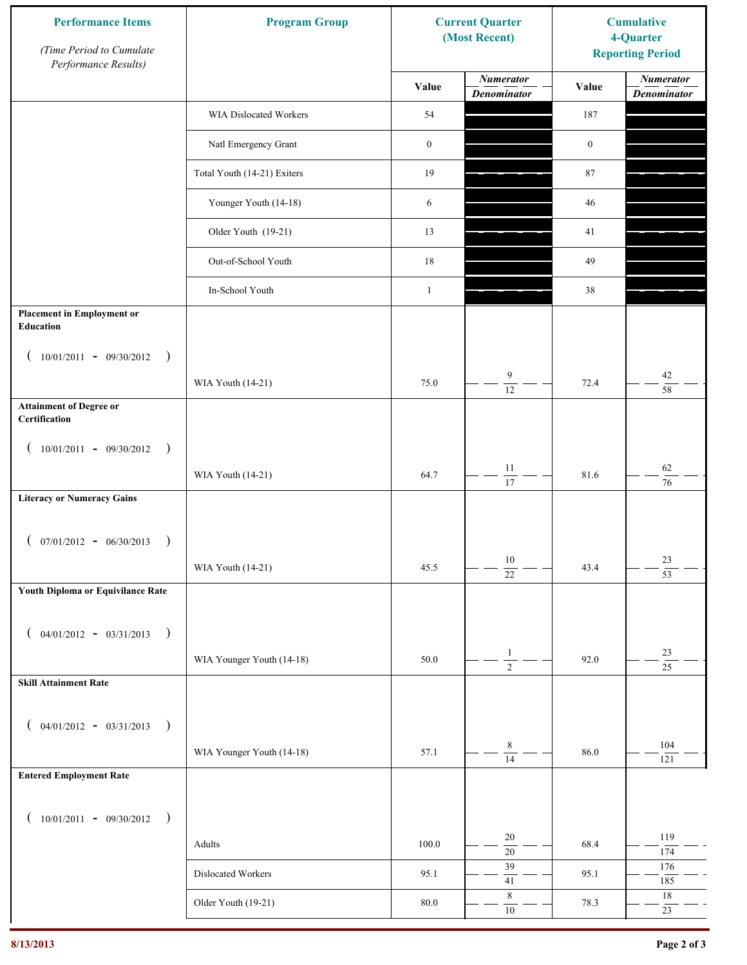| <b>Performance Items</b><br>(Time Period to Cumulate<br>Performance Results) | <b>Program Group</b>        |                  | <b>Current Quarter</b><br>(Most Recent) | <b>Cumulative</b><br>4-Quarter<br><b>Reporting Period</b> |                                        |
|------------------------------------------------------------------------------|-----------------------------|------------------|-----------------------------------------|-----------------------------------------------------------|----------------------------------------|
|                                                                              |                             | Value            | <b>Numerator</b><br><b>Denominator</b>  | Value                                                     | <b>Numerator</b><br><b>Denominator</b> |
|                                                                              | WIA Dislocated Workers      | 54               |                                         | 187                                                       |                                        |
|                                                                              | Natl Emergency Grant        | $\boldsymbol{0}$ |                                         | $\boldsymbol{0}$                                          |                                        |
|                                                                              | Total Youth (14-21) Exiters | 19               |                                         | 87                                                        |                                        |
|                                                                              | Younger Youth (14-18)       | 6                |                                         | 46                                                        |                                        |
|                                                                              | Older Youth (19-21)         | 13               |                                         | 41                                                        |                                        |
|                                                                              | Out-of-School Youth         | 18               |                                         | 49                                                        |                                        |
|                                                                              | In-School Youth             | $\mathbf{1}$     |                                         | 38                                                        |                                        |
| <b>Placement in Employment or</b><br>Education                               |                             |                  |                                         |                                                           |                                        |
| $10/01/2011 - 09/30/2012$<br>$\rightarrow$                                   |                             |                  |                                         |                                                           |                                        |
|                                                                              | WIA Youth (14-21)           | 75.0             | 9<br>$\overline{12}$                    | 72.4                                                      | 42<br>58                               |
| <b>Attainment of Degree or</b><br>Certification                              |                             |                  |                                         |                                                           |                                        |
| $(10/01/2011 - 09/30/2012)$<br>$\rightarrow$                                 |                             |                  |                                         |                                                           |                                        |
|                                                                              | WIA Youth (14-21)           | 64.7             | $11\,$<br>$\overline{17}$               | 81.6                                                      | $62\,$<br>$\overline{76}$              |
| <b>Literacy or Numeracy Gains</b>                                            |                             |                  |                                         |                                                           |                                        |
| $(07/01/2012 - 06/30/2013)$<br>$\rightarrow$                                 |                             |                  |                                         |                                                           |                                        |
|                                                                              | WIA Youth (14-21)           | 45.5             | $10\,$<br>$\overline{22}$               | 43.4                                                      | 23<br>$\overline{53}$                  |
| Youth Diploma or Equivilance Rate                                            |                             |                  |                                         |                                                           |                                        |
| $04/01/2012 - 03/31/2013$<br>$\rightarrow$<br>€                              |                             |                  |                                         |                                                           |                                        |
|                                                                              | WIA Younger Youth (14-18)   | 50.0             | $\mathbf{1}$                            | 92.0                                                      | 23                                     |
| <b>Skill Attainment Rate</b>                                                 |                             |                  | $\overline{2}$                          |                                                           | $\overline{25}$                        |
|                                                                              |                             |                  |                                         |                                                           |                                        |
| $04/01/2012 - 03/31/2013$ )<br>$\overline{ }$                                |                             |                  | $\,8\,$                                 |                                                           | 104                                    |
| <b>Entered Employment Rate</b>                                               | WIA Younger Youth (14-18)   | 57.1             | $\overline{14}$                         | 86.0                                                      | 121                                    |
|                                                                              |                             |                  |                                         |                                                           |                                        |
| $10/01/2011 - 09/30/2012$ )<br>€                                             |                             |                  |                                         |                                                           |                                        |
|                                                                              | Adults                      | 100.0            | 20<br>$\overline{20}$                   | 68.4                                                      | 119<br>174                             |
|                                                                              | Dislocated Workers          | 95.1             | 39<br>$41\,$                            | 95.1                                                      | 176<br>185                             |
|                                                                              | Older Youth (19-21)         | 80.0             | $\,$ 8 $\,$<br>$10\,$                   | 78.3                                                      | $18\,$<br>23                           |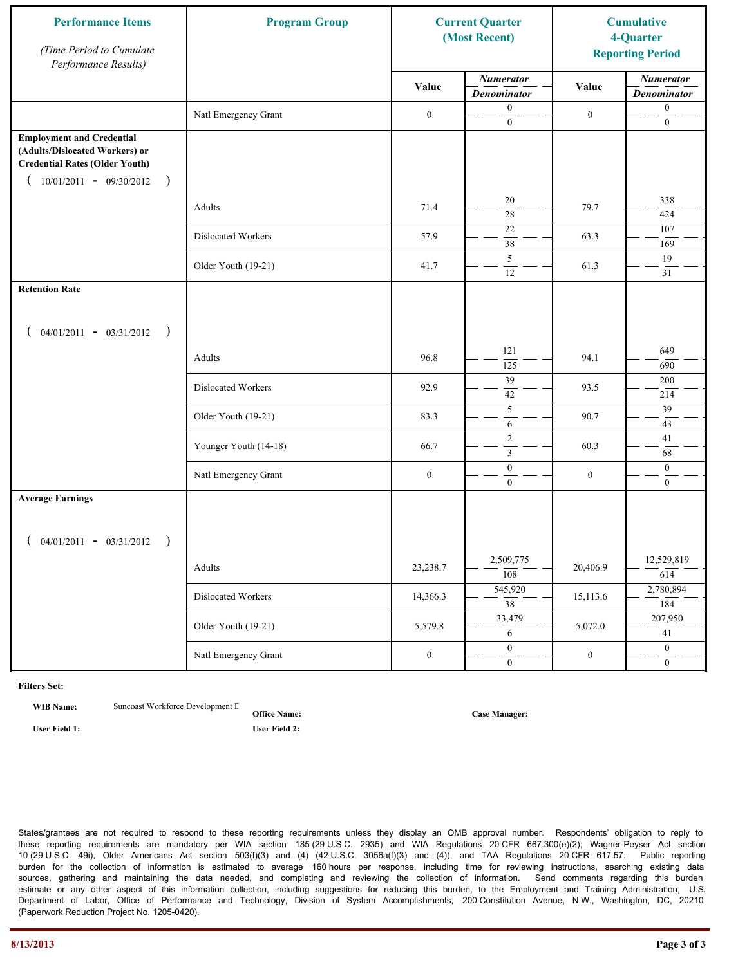| <b>Performance Items</b><br>(Time Period to Cumulate<br>Performance Results)                                                                              | <b>Program Group</b>  | <b>Current Quarter</b><br>(Most Recent) |                                        | <b>Cumulative</b><br>4-Quarter<br><b>Reporting Period</b> |                                        |
|-----------------------------------------------------------------------------------------------------------------------------------------------------------|-----------------------|-----------------------------------------|----------------------------------------|-----------------------------------------------------------|----------------------------------------|
|                                                                                                                                                           |                       | Value                                   | <b>Numerator</b><br><b>Denominator</b> | Value                                                     | <b>Numerator</b><br><b>Denominator</b> |
|                                                                                                                                                           | Natl Emergency Grant  | $\boldsymbol{0}$                        | $\boldsymbol{0}$<br>$\mathbf{0}$       | $\boldsymbol{0}$                                          | $\boldsymbol{0}$<br>$\boldsymbol{0}$   |
| <b>Employment and Credential</b><br>(Adults/Dislocated Workers) or<br><b>Credential Rates (Older Youth)</b><br>$10/01/2011 - 09/30/2012$<br>$\rightarrow$ |                       |                                         |                                        |                                                           |                                        |
|                                                                                                                                                           | Adults                | 71.4                                    | 20<br>$\overline{28}$                  | 79.7                                                      | 338<br>424                             |
|                                                                                                                                                           | Dislocated Workers    | 57.9                                    | $22\,$<br>38                           | 63.3                                                      | 107<br>169                             |
|                                                                                                                                                           | Older Youth (19-21)   | 41.7                                    | 5<br>12                                | 61.3                                                      | 19<br>31                               |
| <b>Retention Rate</b>                                                                                                                                     |                       |                                         |                                        |                                                           |                                        |
| $04/01/2011 - 03/31/2012$ )                                                                                                                               |                       |                                         |                                        |                                                           |                                        |
|                                                                                                                                                           | Adults                | 96.8                                    | 121<br>125                             | 94.1                                                      | 649<br>690                             |
|                                                                                                                                                           | Dislocated Workers    | 92.9                                    | 39<br>42                               | 93.5                                                      | 200<br>214                             |
|                                                                                                                                                           | Older Youth (19-21)   | 83.3                                    | $\sqrt{5}$<br>6                        | 90.7                                                      | 39<br>43                               |
|                                                                                                                                                           | Younger Youth (14-18) | 66.7                                    | $\overline{2}$<br>$\mathfrak{Z}$       | 60.3                                                      | 41<br>68                               |
|                                                                                                                                                           | Natl Emergency Grant  | $\boldsymbol{0}$                        | $\boldsymbol{0}$<br>$\mathbf{0}$       | $\boldsymbol{0}$                                          | $\mathbf{0}$<br>$\overline{0}$         |
| <b>Average Earnings</b>                                                                                                                                   |                       |                                         |                                        |                                                           |                                        |
| $04/01/2011 - 03/31/2012$ )                                                                                                                               |                       |                                         |                                        |                                                           |                                        |
|                                                                                                                                                           | Adults                | 23,238.7                                | 2,509,775<br>$\overline{108}$          | 20,406.9                                                  | 12,529,819<br>614                      |
|                                                                                                                                                           | Dislocated Workers    | 14,366.3                                | 545,920<br>$\overline{38}$             | 15,113.6                                                  | 2,780,894<br>184                       |
|                                                                                                                                                           | Older Youth (19-21)   | 5,579.8                                 | 33,479<br>6                            | 5,072.0                                                   | 207,950<br>41                          |
|                                                                                                                                                           | Natl Emergency Grant  | $\boldsymbol{0}$                        | $\theta$<br>$\overline{0}$             | $\boldsymbol{0}$                                          | $\overline{0}$<br>$\overline{0}$       |

**WIB Name:** Suncoast Workforce Development E

**Office Name: User Field 1: User Field 2:**

**Case Manager:**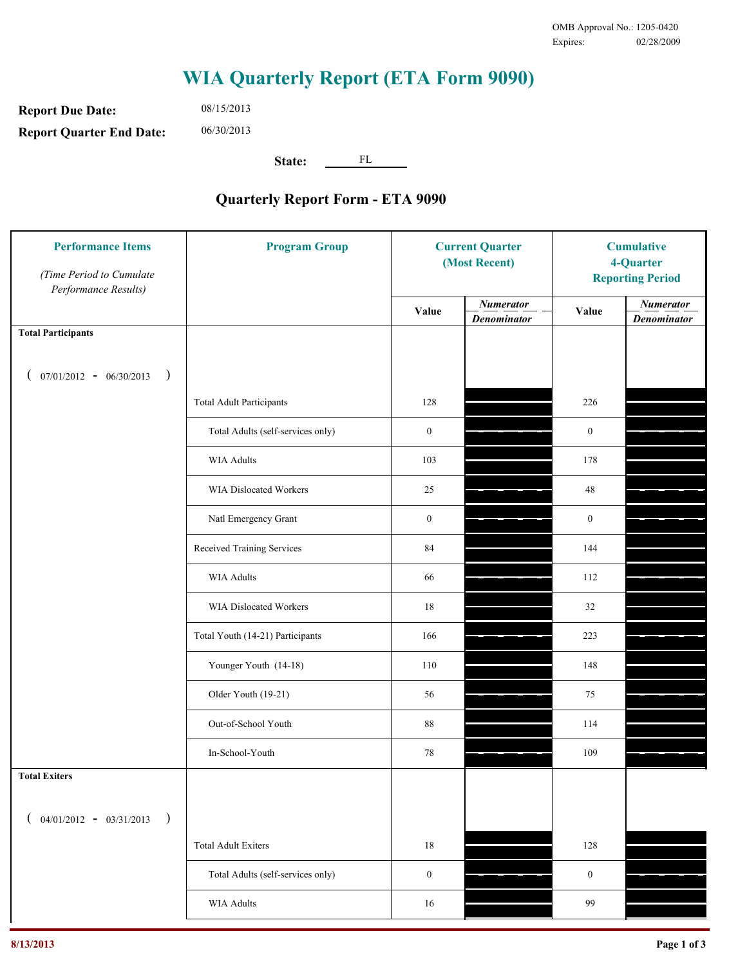**Report Due Date: Report Quarter End Date:** 08/15/2013 06/30/2013

**State:** FL

| <b>Performance Items</b><br>(Time Period to Cumulate<br>Performance Results) | <b>Program Group</b>              | <b>Current Quarter</b><br>(Most Recent) |                                        | <b>Cumulative</b><br>4-Quarter<br><b>Reporting Period</b> |                                        |
|------------------------------------------------------------------------------|-----------------------------------|-----------------------------------------|----------------------------------------|-----------------------------------------------------------|----------------------------------------|
|                                                                              |                                   | Value                                   | <b>Numerator</b><br><b>Denominator</b> | Value                                                     | <b>Numerator</b><br><b>Denominator</b> |
| <b>Total Participants</b>                                                    |                                   |                                         |                                        |                                                           |                                        |
| $07/01/2012 - 06/30/2013$ )                                                  |                                   |                                         |                                        |                                                           |                                        |
|                                                                              | <b>Total Adult Participants</b>   | 128                                     |                                        | 226                                                       |                                        |
|                                                                              | Total Adults (self-services only) | $\boldsymbol{0}$                        |                                        | $\boldsymbol{0}$                                          |                                        |
|                                                                              | <b>WIA Adults</b>                 | 103                                     |                                        | 178                                                       |                                        |
|                                                                              | WIA Dislocated Workers            | $25\,$                                  |                                        | 48                                                        |                                        |
|                                                                              | Natl Emergency Grant              | $\boldsymbol{0}$                        |                                        | $\boldsymbol{0}$                                          |                                        |
|                                                                              | Received Training Services        | 84                                      |                                        | 144                                                       |                                        |
|                                                                              | <b>WIA Adults</b>                 | 66                                      |                                        | 112                                                       |                                        |
|                                                                              | WIA Dislocated Workers            | 18                                      |                                        | 32                                                        |                                        |
|                                                                              | Total Youth (14-21) Participants  | 166                                     |                                        | 223                                                       |                                        |
|                                                                              | Younger Youth (14-18)             | 110                                     |                                        | 148                                                       |                                        |
|                                                                              | Older Youth (19-21)               | 56                                      |                                        | 75                                                        |                                        |
|                                                                              | Out-of-School Youth               | $88\,$                                  |                                        | 114                                                       |                                        |
|                                                                              | In-School-Youth                   | $78\,$                                  |                                        | 109                                                       |                                        |
| <b>Total Exiters</b>                                                         |                                   |                                         |                                        |                                                           |                                        |
| $04/01/2012 - 03/31/2013$<br>$\rightarrow$                                   |                                   |                                         |                                        |                                                           |                                        |
|                                                                              | <b>Total Adult Exiters</b>        | 18                                      |                                        | 128                                                       |                                        |
|                                                                              | Total Adults (self-services only) | $\boldsymbol{0}$                        |                                        | $\boldsymbol{0}$                                          |                                        |
|                                                                              | <b>WIA Adults</b>                 | 16                                      |                                        | 99                                                        |                                        |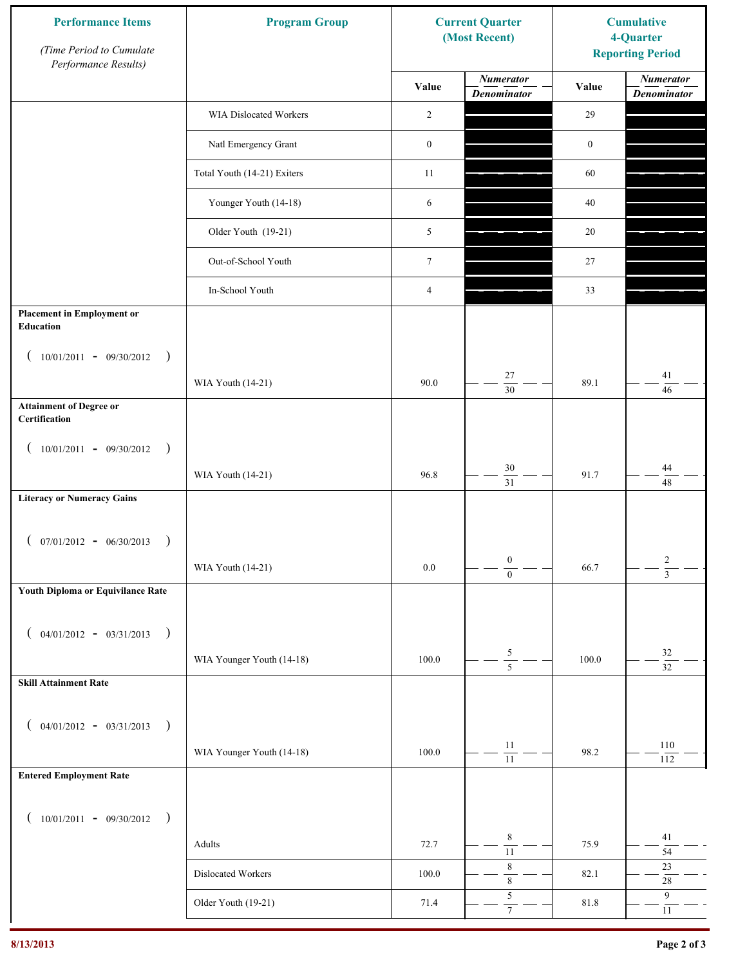| <b>Performance Items</b><br>(Time Period to Cumulate<br>Performance Results) | <b>Program Group</b>        |                  | <b>Current Quarter</b><br>(Most Recent) | <b>Cumulative</b><br>4-Quarter<br><b>Reporting Period</b> |                                        |
|------------------------------------------------------------------------------|-----------------------------|------------------|-----------------------------------------|-----------------------------------------------------------|----------------------------------------|
|                                                                              |                             | Value            | <b>Numerator</b><br><b>Denominator</b>  | Value                                                     | <b>Numerator</b><br><b>Denominator</b> |
|                                                                              | WIA Dislocated Workers      | 2                |                                         | 29                                                        |                                        |
|                                                                              | Natl Emergency Grant        | $\boldsymbol{0}$ |                                         | $\boldsymbol{0}$                                          |                                        |
|                                                                              | Total Youth (14-21) Exiters | 11               |                                         | 60                                                        |                                        |
|                                                                              | Younger Youth (14-18)       | 6                |                                         | 40                                                        |                                        |
|                                                                              | Older Youth (19-21)         | 5                |                                         | 20                                                        |                                        |
|                                                                              | Out-of-School Youth         | $\boldsymbol{7}$ |                                         | 27                                                        |                                        |
|                                                                              | In-School Youth             | $\overline{4}$   |                                         | 33                                                        |                                        |
| <b>Placement in Employment or</b><br>Education                               |                             |                  |                                         |                                                           |                                        |
| $10/01/2011 - 09/30/2012$<br>$\rightarrow$                                   |                             |                  |                                         |                                                           |                                        |
|                                                                              | WIA Youth (14-21)           | 90.0             | 27<br>$\overline{30}$                   | 89.1                                                      | 41<br>46                               |
| <b>Attainment of Degree or</b><br>Certification                              |                             |                  |                                         |                                                           |                                        |
| $(10/01/2011 - 09/30/2012)$<br>$\rightarrow$                                 |                             |                  |                                         |                                                           |                                        |
|                                                                              | WIA Youth (14-21)           | 96.8             | $30\,$<br>$\overline{31}$               | 91.7                                                      | 44<br>48                               |
| <b>Literacy or Numeracy Gains</b>                                            |                             |                  |                                         |                                                           |                                        |
| $(07/01/2012 - 06/30/2013)$<br>$\rightarrow$                                 |                             |                  |                                         |                                                           |                                        |
|                                                                              | WIA Youth (14-21)           | $0.0\,$          | $\boldsymbol{0}$<br>$\overline{0}$      | 66.7                                                      | $\overline{c}$<br>$\overline{3}$       |
| Youth Diploma or Equivilance Rate                                            |                             |                  |                                         |                                                           |                                        |
| $04/01/2012 - 03/31/2013$<br>$\rightarrow$<br>€                              |                             |                  |                                         |                                                           |                                        |
|                                                                              | WIA Younger Youth (14-18)   | 100.0            | $\frac{5}{5}$                           | 100.0                                                     | $32\,$                                 |
| <b>Skill Attainment Rate</b>                                                 |                             |                  |                                         |                                                           | $\overline{32}$                        |
|                                                                              |                             |                  |                                         |                                                           |                                        |
| $04/01/2012 - 03/31/2013$ )                                                  | WIA Younger Youth (14-18)   | 100.0            | 11                                      | 98.2                                                      | 110                                    |
| <b>Entered Employment Rate</b>                                               |                             |                  | $\overline{11}$                         |                                                           | 112                                    |
|                                                                              |                             |                  |                                         |                                                           |                                        |
| $10/01/2011 - 09/30/2012$ )                                                  |                             |                  | $\,$ 8 $\,$                             |                                                           | 41                                     |
|                                                                              | Adults                      | 72.7             | $\overline{11}$<br>$\,$ 8 $\,$          | 75.9                                                      | 54<br>$23\,$                           |
|                                                                              | Dislocated Workers          | 100.0            | $\,$ $\,$                               | 82.1                                                      | $28\,$                                 |
|                                                                              | Older Youth (19-21)         | 71.4             | $\sqrt{5}$<br>$\tau$                    | 81.8                                                      | 9<br>$11\,$                            |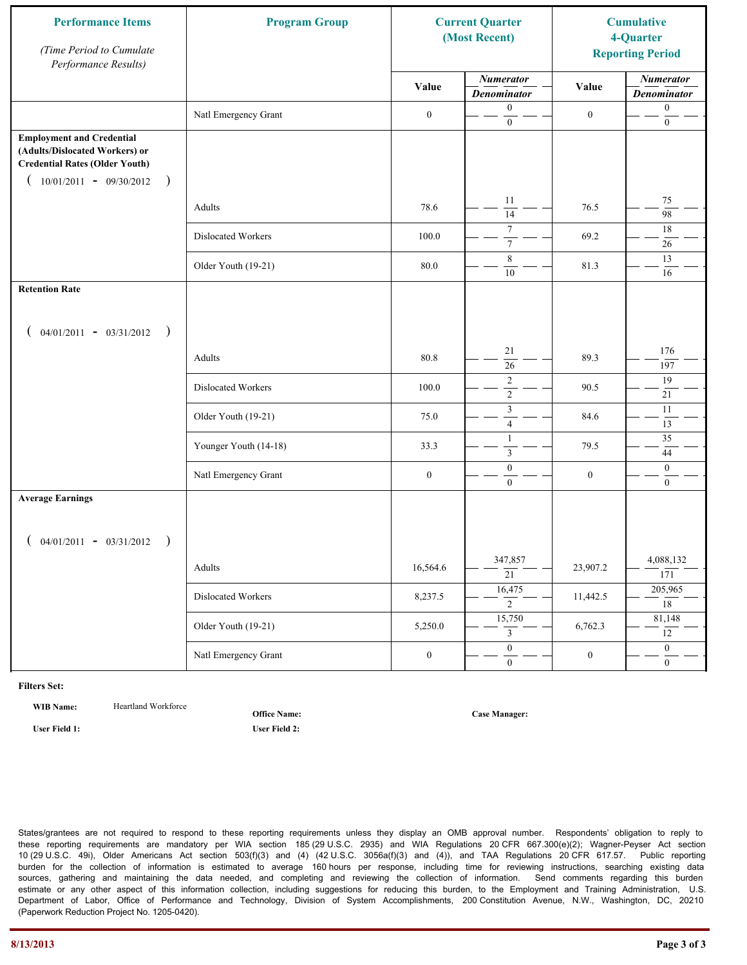| <b>Performance Items</b><br>(Time Period to Cumulate<br>Performance Results)                                                                              | <b>Program Group</b>  | <b>Current Quarter</b><br>(Most Recent) |                                        | <b>Cumulative</b><br>4-Quarter<br><b>Reporting Period</b> |                                        |
|-----------------------------------------------------------------------------------------------------------------------------------------------------------|-----------------------|-----------------------------------------|----------------------------------------|-----------------------------------------------------------|----------------------------------------|
|                                                                                                                                                           |                       | Value                                   | <b>Numerator</b><br><b>Denominator</b> | Value                                                     | <b>Numerator</b><br><b>Denominator</b> |
|                                                                                                                                                           | Natl Emergency Grant  | $\boldsymbol{0}$                        | $\boldsymbol{0}$<br>$\mathbf{0}$       | $\boldsymbol{0}$                                          | $\boldsymbol{0}$<br>$\boldsymbol{0}$   |
| <b>Employment and Credential</b><br>(Adults/Dislocated Workers) or<br><b>Credential Rates (Older Youth)</b><br>$10/01/2011 - 09/30/2012$<br>$\rightarrow$ |                       |                                         |                                        |                                                           |                                        |
|                                                                                                                                                           | Adults                | 78.6                                    | 11<br>$\overline{14}$                  | 76.5                                                      | 75<br>98                               |
|                                                                                                                                                           | Dislocated Workers    | 100.0                                   | $\overline{7}$<br>$\boldsymbol{7}$     | 69.2                                                      | 18<br>26                               |
|                                                                                                                                                           | Older Youth (19-21)   | 80.0                                    | 8<br>10                                | 81.3                                                      | 13<br>16                               |
| <b>Retention Rate</b>                                                                                                                                     |                       |                                         |                                        |                                                           |                                        |
| $04/01/2011 - 03/31/2012$ )                                                                                                                               |                       |                                         |                                        |                                                           |                                        |
|                                                                                                                                                           | Adults                | 80.8                                    | 21<br>26                               | 89.3                                                      | 176<br>197                             |
|                                                                                                                                                           | Dislocated Workers    | 100.0                                   | $\sqrt{2}$<br>$\overline{2}$           | 90.5                                                      | 19<br>21                               |
|                                                                                                                                                           | Older Youth (19-21)   | 75.0                                    | $\mathfrak{Z}$<br>$\overline{4}$       | 84.6                                                      | 11<br>13                               |
|                                                                                                                                                           | Younger Youth (14-18) | 33.3                                    | $\mathbf{1}$<br>$\mathfrak{Z}$         | 79.5                                                      | 35<br>44                               |
|                                                                                                                                                           | Natl Emergency Grant  | $\boldsymbol{0}$                        | $\boldsymbol{0}$<br>$\overline{0}$     | $\boldsymbol{0}$                                          | $\mathbf{0}$<br>$\mathbf{0}$           |
| <b>Average Earnings</b>                                                                                                                                   |                       |                                         |                                        |                                                           |                                        |
| $04/01/2011 - 03/31/2012$ )                                                                                                                               |                       |                                         |                                        |                                                           |                                        |
|                                                                                                                                                           | Adults                | 16,564.6                                | 347,857<br>$\overline{21}$             | 23,907.2                                                  | 4,088,132<br>171                       |
|                                                                                                                                                           | Dislocated Workers    | 8,237.5                                 | 16,475<br>$\overline{2}$               | 11,442.5                                                  | 205,965<br>18                          |
|                                                                                                                                                           | Older Youth (19-21)   | 5,250.0                                 | 15,750<br>3                            | 6,762.3                                                   | 81,148<br>12                           |
|                                                                                                                                                           | Natl Emergency Grant  | $\boldsymbol{0}$                        | $\overline{0}$<br>$\mathbf{0}$         | $\boldsymbol{0}$                                          | $\overline{0}$<br>$\overline{0}$       |

WIB Name: **Heartland Workforce** 

**Office Name:**

**User Field 1: User Field 2:**

**Case Manager:**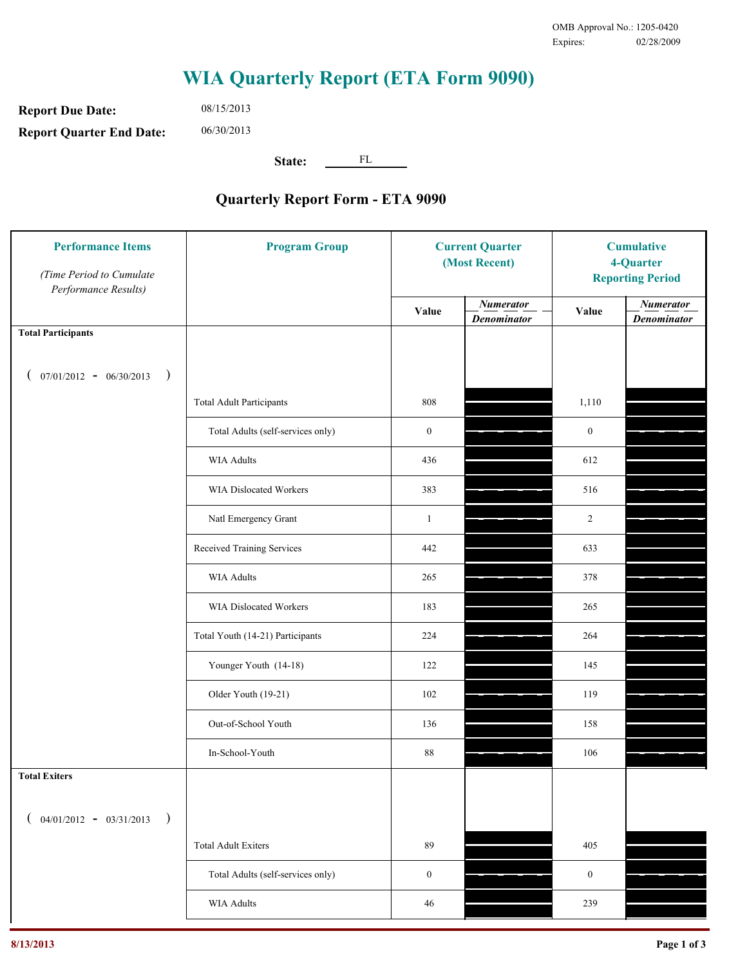**Report Due Date: Report Quarter End Date:** 08/15/2013 06/30/2013

**State:** FL

| <b>Performance Items</b><br>(Time Period to Cumulate<br>Performance Results) | <b>Program Group</b>              | <b>Current Quarter</b><br>(Most Recent) |                                        | <b>Cumulative</b><br>4-Quarter<br><b>Reporting Period</b> |                                        |
|------------------------------------------------------------------------------|-----------------------------------|-----------------------------------------|----------------------------------------|-----------------------------------------------------------|----------------------------------------|
|                                                                              |                                   | Value                                   | <b>Numerator</b><br><b>Denominator</b> | Value                                                     | <b>Numerator</b><br><b>Denominator</b> |
| <b>Total Participants</b>                                                    |                                   |                                         |                                        |                                                           |                                        |
| $07/01/2012 - 06/30/2013$ )                                                  |                                   |                                         |                                        |                                                           |                                        |
|                                                                              | <b>Total Adult Participants</b>   | 808                                     |                                        | 1,110                                                     |                                        |
|                                                                              | Total Adults (self-services only) | $\boldsymbol{0}$                        |                                        | $\boldsymbol{0}$                                          |                                        |
|                                                                              | <b>WIA Adults</b>                 | 436                                     |                                        | 612                                                       |                                        |
|                                                                              | <b>WIA Dislocated Workers</b>     | 383                                     |                                        | 516                                                       |                                        |
|                                                                              | Natl Emergency Grant              | $\mathbf{1}$                            |                                        | $\overline{2}$                                            |                                        |
|                                                                              | Received Training Services        | 442                                     |                                        | 633                                                       |                                        |
|                                                                              | <b>WIA Adults</b>                 | 265                                     |                                        | 378                                                       |                                        |
|                                                                              | WIA Dislocated Workers            | 183                                     |                                        | 265                                                       |                                        |
|                                                                              | Total Youth (14-21) Participants  | 224                                     |                                        | 264                                                       |                                        |
|                                                                              | Younger Youth (14-18)             | 122                                     |                                        | 145                                                       |                                        |
|                                                                              | Older Youth (19-21)               | 102                                     |                                        | 119                                                       |                                        |
|                                                                              | Out-of-School Youth               | 136                                     |                                        | 158                                                       |                                        |
|                                                                              | In-School-Youth                   | $88\,$                                  |                                        | 106                                                       |                                        |
| <b>Total Exiters</b>                                                         |                                   |                                         |                                        |                                                           |                                        |
| $($ 04/01/2012 - 03/31/2013<br>$\rightarrow$                                 |                                   |                                         |                                        |                                                           |                                        |
|                                                                              | <b>Total Adult Exiters</b>        | 89                                      |                                        | 405                                                       |                                        |
|                                                                              | Total Adults (self-services only) | $\boldsymbol{0}$                        |                                        | $\boldsymbol{0}$                                          |                                        |
|                                                                              | <b>WIA Adults</b>                 | 46                                      |                                        | 239                                                       |                                        |
|                                                                              |                                   |                                         |                                        |                                                           |                                        |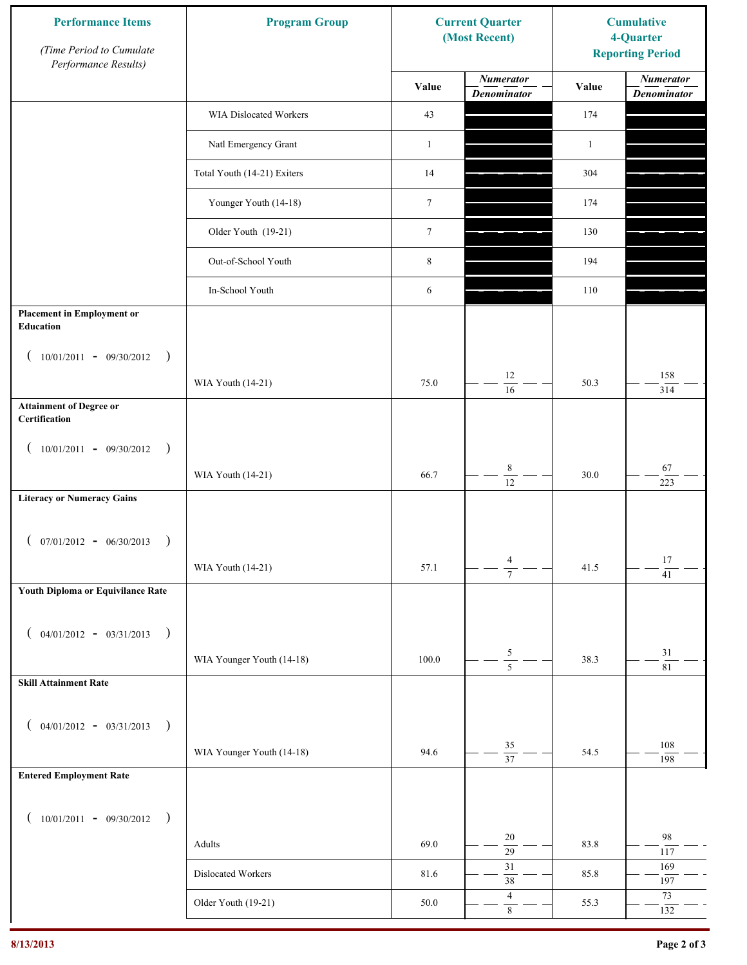| <b>Performance Items</b><br>(Time Period to Cumulate<br>Performance Results) | <b>Program Group</b>        |                  | <b>Current Quarter</b><br>(Most Recent) | <b>Cumulative</b><br>4-Quarter<br><b>Reporting Period</b> |                                        |
|------------------------------------------------------------------------------|-----------------------------|------------------|-----------------------------------------|-----------------------------------------------------------|----------------------------------------|
|                                                                              |                             | Value            | <b>Numerator</b><br><b>Denominator</b>  | Value                                                     | <b>Numerator</b><br><b>Denominator</b> |
|                                                                              | WIA Dislocated Workers      | 43               |                                         | 174                                                       |                                        |
|                                                                              | Natl Emergency Grant        | $\mathbf{1}$     |                                         | $\mathbf{1}$                                              |                                        |
|                                                                              | Total Youth (14-21) Exiters | 14               |                                         | 304                                                       |                                        |
|                                                                              | Younger Youth (14-18)       | $\boldsymbol{7}$ |                                         | 174                                                       |                                        |
|                                                                              | Older Youth (19-21)         | $\boldsymbol{7}$ |                                         | 130                                                       |                                        |
|                                                                              | Out-of-School Youth         | $\,$ 8 $\,$      |                                         | 194                                                       |                                        |
|                                                                              | In-School Youth             | 6                |                                         | 110                                                       |                                        |
| <b>Placement in Employment or</b><br>Education                               |                             |                  |                                         |                                                           |                                        |
| $10/01/2011 - 09/30/2012$<br>$\rightarrow$                                   |                             |                  | 12                                      |                                                           | 158                                    |
|                                                                              | WIA Youth (14-21)           | 75.0             | 16                                      | 50.3                                                      | 314                                    |
| <b>Attainment of Degree or</b><br>Certification                              |                             |                  |                                         |                                                           |                                        |
| $(10/01/2011 - 09/30/2012)$<br>$\big)$                                       |                             |                  |                                         |                                                           |                                        |
|                                                                              | WIA Youth (14-21)           | 66.7             | $\,$ 8 $\,$<br>$\overline{12}$          | 30.0                                                      | 67<br>223                              |
| <b>Literacy or Numeracy Gains</b>                                            |                             |                  |                                         |                                                           |                                        |
| $(07/01/2012 - 06/30/2013)$<br>$\rightarrow$                                 |                             |                  |                                         |                                                           |                                        |
|                                                                              | WIA Youth (14-21)           | 57.1             | $\overline{4}$<br>$\overline{7}$        | 41.5                                                      | 17<br>$\overline{41}$                  |
| Youth Diploma or Equivilance Rate                                            |                             |                  |                                         |                                                           |                                        |
| $04/01/2012 - 03/31/2013$<br>$\rightarrow$<br>€                              |                             |                  |                                         |                                                           |                                        |
|                                                                              | WIA Younger Youth (14-18)   | 100.0            | $\frac{5}{5}$                           | 38.3                                                      | $31\,$                                 |
| <b>Skill Attainment Rate</b>                                                 |                             |                  |                                         |                                                           | 81                                     |
|                                                                              |                             |                  |                                         |                                                           |                                        |
| $04/01/2012 - 03/31/2013$ )<br>€                                             | WIA Younger Youth (14-18)   | 94.6             | $35\,$                                  | 54.5                                                      | 108                                    |
| <b>Entered Employment Rate</b>                                               |                             |                  | $\overline{37}$                         |                                                           | 198                                    |
|                                                                              |                             |                  |                                         |                                                           |                                        |
| $10/01/2011 - 09/30/2012$ )<br>€                                             |                             |                  |                                         |                                                           |                                        |
|                                                                              | Adults                      | 69.0             | 20<br>$\overline{29}$                   | 83.8                                                      | 98<br>117                              |
|                                                                              | Dislocated Workers          | 81.6             | $31\,$<br>$38\,$                        | 85.8                                                      | 169<br>197                             |
|                                                                              | Older Youth (19-21)         | 50.0             | $\overline{4}$<br>$\,8\,$               | 55.3                                                      | $73\,$<br>132                          |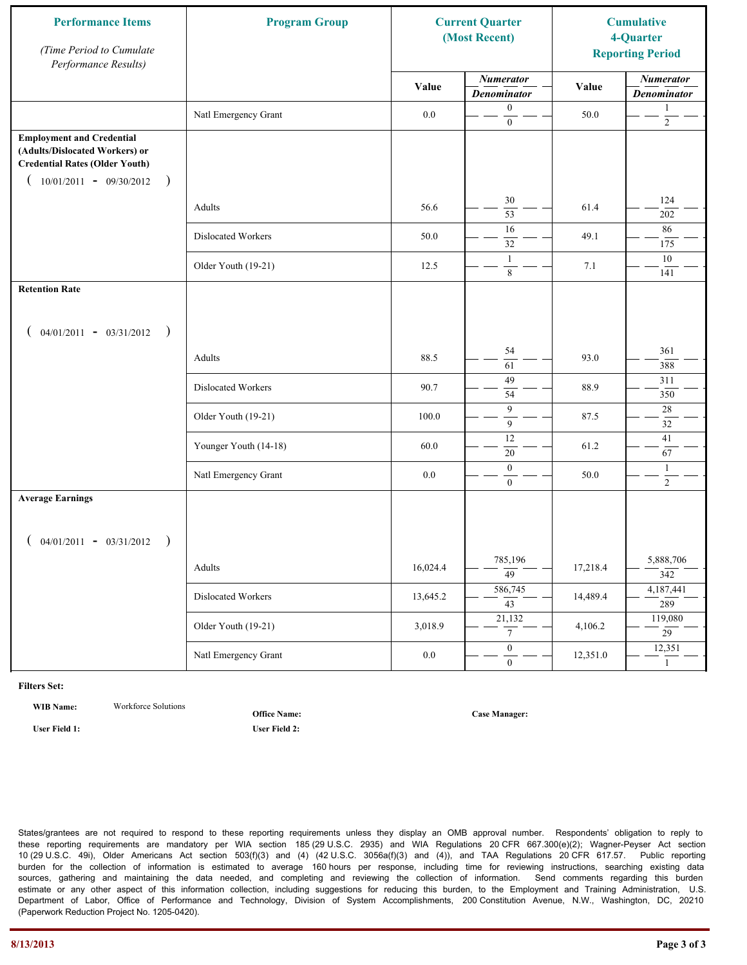| <b>Performance Items</b><br>(Time Period to Cumulate<br>Performance Results)                                                                              | <b>Program Group</b>  | <b>Current Quarter</b><br>(Most Recent) |                                        | <b>Cumulative</b><br>4-Quarter<br><b>Reporting Period</b> |                                        |
|-----------------------------------------------------------------------------------------------------------------------------------------------------------|-----------------------|-----------------------------------------|----------------------------------------|-----------------------------------------------------------|----------------------------------------|
|                                                                                                                                                           |                       | Value                                   | <b>Numerator</b><br><b>Denominator</b> | Value                                                     | <b>Numerator</b><br><b>Denominator</b> |
|                                                                                                                                                           | Natl Emergency Grant  | $0.0\,$                                 | $\boldsymbol{0}$<br>$\mathbf{0}$       | 50.0                                                      | 1<br>$\sqrt{2}$                        |
| <b>Employment and Credential</b><br>(Adults/Dislocated Workers) or<br><b>Credential Rates (Older Youth)</b><br>$10/01/2011 - 09/30/2012$<br>$\rightarrow$ |                       |                                         |                                        |                                                           |                                        |
|                                                                                                                                                           | Adults                | 56.6                                    | 30<br>$\overline{53}$                  | 61.4                                                      | 124<br>202                             |
|                                                                                                                                                           | Dislocated Workers    | 50.0                                    | 16<br>32                               | 49.1                                                      | 86<br>175                              |
|                                                                                                                                                           | Older Youth (19-21)   | 12.5                                    | $\mathbf{1}$<br>$\,8\,$                | 7.1                                                       | 10<br>141                              |
| <b>Retention Rate</b>                                                                                                                                     |                       |                                         |                                        |                                                           |                                        |
| $04/01/2011 - 03/31/2012$ )                                                                                                                               |                       |                                         |                                        |                                                           |                                        |
|                                                                                                                                                           | Adults                | 88.5                                    | 54<br>61                               | 93.0                                                      | 361<br>388                             |
|                                                                                                                                                           | Dislocated Workers    | 90.7                                    | 49<br>54                               | 88.9                                                      | 311<br>350                             |
|                                                                                                                                                           | Older Youth (19-21)   | 100.0                                   | 9<br>9                                 | 87.5                                                      | 28<br>32                               |
|                                                                                                                                                           | Younger Youth (14-18) | 60.0                                    | 12<br>$20\,$                           | 61.2                                                      | 41<br>67                               |
|                                                                                                                                                           | Natl Emergency Grant  | 0.0                                     | $\mathbf{0}$<br>$\overline{0}$         | 50.0                                                      | $\mathbf{1}$<br>$\overline{2}$         |
| <b>Average Earnings</b>                                                                                                                                   |                       |                                         |                                        |                                                           |                                        |
| $04/01/2011 - 03/31/2012$<br>$\rightarrow$                                                                                                                |                       |                                         |                                        |                                                           |                                        |
|                                                                                                                                                           | Adults                | 16,024.4                                | 785,196<br>$\overline{49}$             | 17,218.4                                                  | 5,888,706<br>342                       |
|                                                                                                                                                           | Dislocated Workers    | 13,645.2                                | 586,745<br>43                          | 14,489.4                                                  | 4,187,441<br>289                       |
|                                                                                                                                                           | Older Youth (19-21)   | 3,018.9                                 | 21,132<br>$7\overline{ }$              | 4,106.2                                                   | 119,080<br>$\overline{29}$             |
|                                                                                                                                                           | Natl Emergency Grant  | $0.0\,$                                 | $\overline{0}$<br>$\boldsymbol{0}$     | 12,351.0                                                  | 12,351<br>$\mathbf{1}$                 |

**WIB Name:** Workforce Solutions

**Office Name:**

**User Field 1: User Field 2:**

**Case Manager:**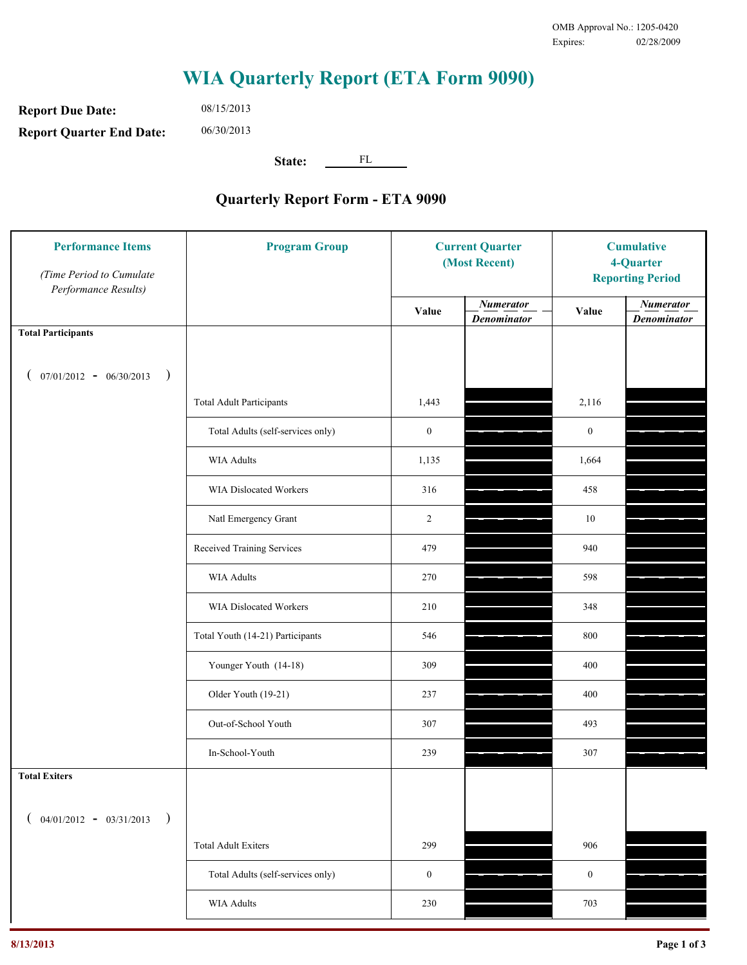**Report Due Date: Report Quarter End Date:** 06/30/2013

08/15/2013

**State:** FL

| <b>Performance Items</b><br>(Time Period to Cumulate<br>Performance Results) | <b>Program Group</b>              | <b>Current Quarter</b><br>(Most Recent) |                                        | <b>Cumulative</b><br>4-Quarter<br><b>Reporting Period</b> |                                        |
|------------------------------------------------------------------------------|-----------------------------------|-----------------------------------------|----------------------------------------|-----------------------------------------------------------|----------------------------------------|
|                                                                              |                                   | Value                                   | <b>Numerator</b><br><b>Denominator</b> | Value                                                     | <b>Numerator</b><br><b>Denominator</b> |
| <b>Total Participants</b>                                                    |                                   |                                         |                                        |                                                           |                                        |
| $07/01/2012 - 06/30/2013$<br>$\big)$                                         |                                   |                                         |                                        |                                                           |                                        |
|                                                                              | <b>Total Adult Participants</b>   | 1,443                                   |                                        | 2,116                                                     |                                        |
|                                                                              | Total Adults (self-services only) | $\boldsymbol{0}$                        |                                        | $\mathbf{0}$                                              |                                        |
|                                                                              | WIA Adults                        | 1,135                                   |                                        | 1,664                                                     |                                        |
|                                                                              | <b>WIA Dislocated Workers</b>     | 316                                     |                                        | 458                                                       |                                        |
|                                                                              | Natl Emergency Grant              | $\overline{c}$                          |                                        | $10\,$                                                    |                                        |
|                                                                              | Received Training Services        | 479                                     |                                        | 940                                                       |                                        |
|                                                                              | <b>WIA Adults</b>                 | 270                                     |                                        | 598                                                       |                                        |
|                                                                              | WIA Dislocated Workers            | 210                                     |                                        | 348                                                       |                                        |
|                                                                              | Total Youth (14-21) Participants  | 546                                     |                                        | 800                                                       |                                        |
|                                                                              | Younger Youth (14-18)             | 309                                     |                                        | 400                                                       |                                        |
|                                                                              | Older Youth (19-21)               | 237                                     |                                        | 400                                                       |                                        |
|                                                                              | Out-of-School Youth               | 307                                     |                                        | 493                                                       |                                        |
|                                                                              | In-School-Youth                   | 239                                     |                                        | 307                                                       |                                        |
| <b>Total Exiters</b>                                                         |                                   |                                         |                                        |                                                           |                                        |
| $04/01/2012 - 03/31/2013$<br>$\lambda$<br>$\overline{ }$                     |                                   |                                         |                                        |                                                           |                                        |
|                                                                              | <b>Total Adult Exiters</b>        | 299                                     |                                        | 906                                                       |                                        |
|                                                                              | Total Adults (self-services only) | $\mathbf{0}$                            |                                        | $\boldsymbol{0}$                                          |                                        |
|                                                                              | <b>WIA Adults</b>                 | 230                                     |                                        | 703                                                       |                                        |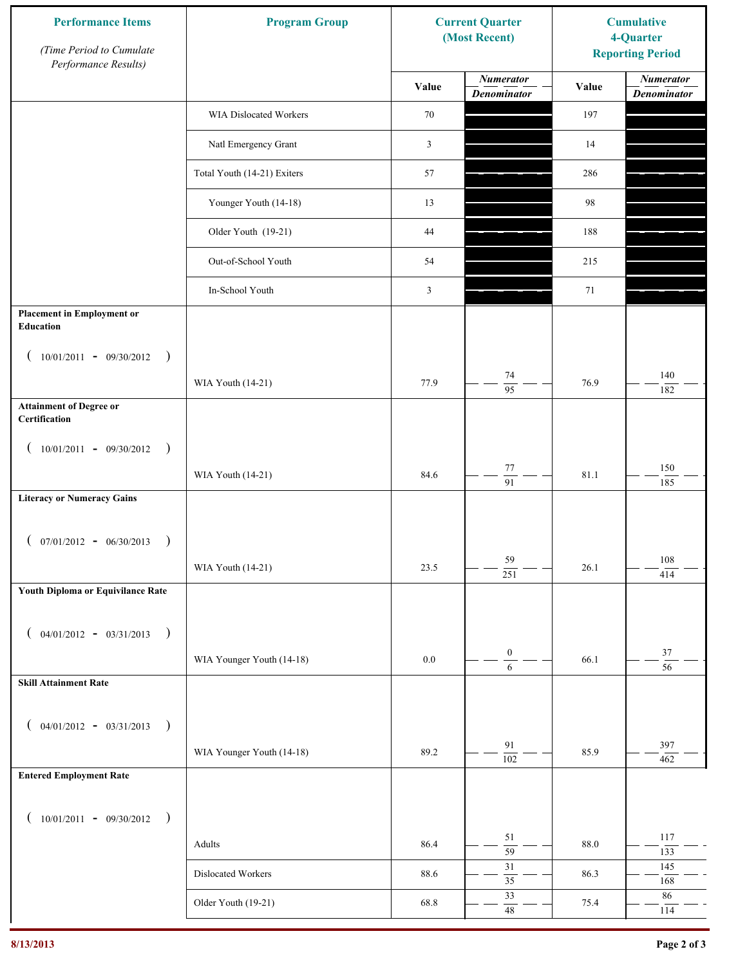| <b>Performance Items</b><br>(Time Period to Cumulate<br>Performance Results) | <b>Program Group</b>        | <b>Current Quarter</b><br>(Most Recent) |                                        | <b>Cumulative</b><br>4-Quarter<br><b>Reporting Period</b> |                                        |
|------------------------------------------------------------------------------|-----------------------------|-----------------------------------------|----------------------------------------|-----------------------------------------------------------|----------------------------------------|
|                                                                              |                             | Value                                   | <b>Numerator</b><br><b>Denominator</b> | Value                                                     | <b>Numerator</b><br><b>Denominator</b> |
|                                                                              | WIA Dislocated Workers      | 70                                      |                                        | 197                                                       |                                        |
|                                                                              | Natl Emergency Grant        | $\mathfrak{Z}$                          |                                        | 14                                                        |                                        |
|                                                                              | Total Youth (14-21) Exiters | 57                                      |                                        | 286                                                       |                                        |
|                                                                              | Younger Youth (14-18)       | 13                                      |                                        | 98                                                        |                                        |
|                                                                              | Older Youth (19-21)         | 44                                      |                                        | 188                                                       |                                        |
|                                                                              | Out-of-School Youth         | 54                                      |                                        | 215                                                       |                                        |
|                                                                              | In-School Youth             | $\mathfrak{Z}$                          |                                        | 71                                                        |                                        |
| <b>Placement in Employment or</b><br>Education                               |                             |                                         |                                        |                                                           |                                        |
| $10/01/2011 - 09/30/2012$<br>$\rightarrow$                                   |                             |                                         |                                        |                                                           |                                        |
|                                                                              | WIA Youth (14-21)           | 77.9                                    | 74<br>$\overline{95}$                  | 76.9                                                      | 140<br>182                             |
| <b>Attainment of Degree or</b><br>Certification                              |                             |                                         |                                        |                                                           |                                        |
| $(10/01/2011 - 09/30/2012)$<br>$\rightarrow$                                 |                             |                                         |                                        |                                                           |                                        |
|                                                                              | WIA Youth (14-21)           | 84.6                                    | $77\,$<br>$\overline{91}$              | 81.1                                                      | 150<br>185                             |
| <b>Literacy or Numeracy Gains</b>                                            |                             |                                         |                                        |                                                           |                                        |
| $(07/01/2012 - 06/30/2013)$<br>$\rightarrow$                                 |                             |                                         |                                        |                                                           |                                        |
|                                                                              | WIA Youth (14-21)           | 23.5                                    | 59<br>$\overline{251}$                 | 26.1                                                      | 108<br>414                             |
| Youth Diploma or Equivilance Rate                                            |                             |                                         |                                        |                                                           |                                        |
| $04/01/2012 - 03/31/2013$ )<br>€                                             |                             |                                         |                                        |                                                           |                                        |
|                                                                              | WIA Younger Youth (14-18)   | $0.0\,$                                 | $\boldsymbol{0}$                       | 66.1                                                      | $37\,$<br>$\overline{56}$              |
| <b>Skill Attainment Rate</b>                                                 |                             |                                         | $\sqrt{6}$                             |                                                           |                                        |
|                                                                              |                             |                                         |                                        |                                                           |                                        |
| $04/01/2012 - 03/31/2013$ )<br>€                                             | WIA Younger Youth (14-18)   | 89.2                                    | 91                                     | 85.9                                                      | 397                                    |
| <b>Entered Employment Rate</b>                                               |                             |                                         | $\overline{102}$                       |                                                           | 462                                    |
|                                                                              |                             |                                         |                                        |                                                           |                                        |
| $10/01/2011 - 09/30/2012$ )<br>€                                             |                             |                                         | 51                                     |                                                           | 117                                    |
|                                                                              | Adults                      | 86.4                                    | $\overline{59}$                        | 88.0                                                      | 133                                    |
|                                                                              | Dislocated Workers          | 88.6                                    | $31\,$<br>$\overline{35}$              | 86.3                                                      | 145<br>168                             |
|                                                                              | Older Youth (19-21)         | 68.8                                    | 33<br>$48\,$                           | 75.4                                                      | $86\,$<br>114                          |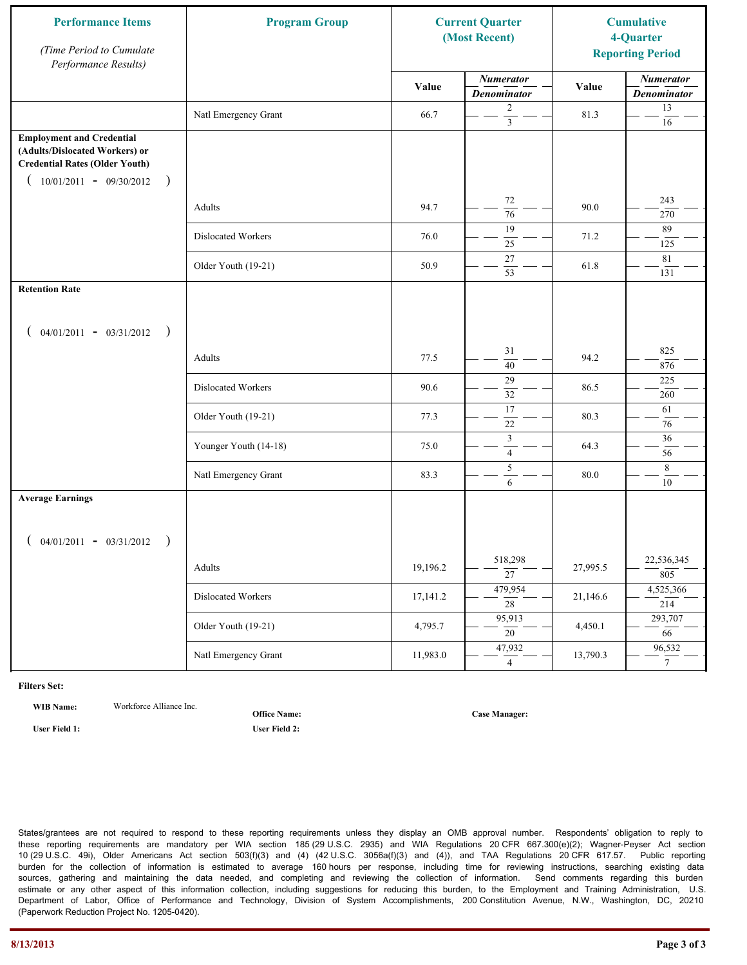| <b>Performance Items</b><br>(Time Period to Cumulate<br>Performance Results)                                                                              | <b>Program Group</b>  |          | <b>Current Quarter</b><br>(Most Recent) |          | <b>Cumulative</b><br>4-Quarter<br><b>Reporting Period</b> |
|-----------------------------------------------------------------------------------------------------------------------------------------------------------|-----------------------|----------|-----------------------------------------|----------|-----------------------------------------------------------|
|                                                                                                                                                           |                       | Value    | <b>Numerator</b><br><b>Denominator</b>  | Value    | <b>Numerator</b><br><b>Denominator</b>                    |
|                                                                                                                                                           | Natl Emergency Grant  | 66.7     | 2<br>$\overline{\mathbf{3}}$            | 81.3     | 13<br>$16\,$                                              |
| <b>Employment and Credential</b><br>(Adults/Dislocated Workers) or<br><b>Credential Rates (Older Youth)</b><br>$10/01/2011 - 09/30/2012$<br>$\rightarrow$ |                       |          |                                         |          |                                                           |
|                                                                                                                                                           | Adults                | 94.7     | 72<br>$\overline{76}$                   | 90.0     | 243<br>270                                                |
|                                                                                                                                                           | Dislocated Workers    | 76.0     | 19<br>25                                | 71.2     | 89<br>125                                                 |
|                                                                                                                                                           | Older Youth (19-21)   | 50.9     | $27\,$<br>53                            | 61.8     | 81<br>131                                                 |
| <b>Retention Rate</b>                                                                                                                                     |                       |          |                                         |          |                                                           |
| $04/01/2011 - 03/31/2012$ )                                                                                                                               |                       |          |                                         |          |                                                           |
|                                                                                                                                                           | Adults                | 77.5     | 31<br>40                                | 94.2     | 825<br>876                                                |
|                                                                                                                                                           | Dislocated Workers    | 90.6     | 29<br>32                                | 86.5     | 225<br>260                                                |
|                                                                                                                                                           | Older Youth (19-21)   | 77.3     | 17<br>$22\,$                            | 80.3     | 61<br>76                                                  |
|                                                                                                                                                           | Younger Youth (14-18) | 75.0     | $\mathfrak z$<br>$\overline{4}$         | 64.3     | 36<br>56                                                  |
|                                                                                                                                                           | Natl Emergency Grant  | 83.3     | $\sqrt{5}$<br>6                         | 80.0     | $\,8\,$<br>10                                             |
| <b>Average Earnings</b>                                                                                                                                   |                       |          |                                         |          |                                                           |
| $04/01/2011 - 03/31/2012$ )                                                                                                                               |                       |          |                                         |          |                                                           |
|                                                                                                                                                           | Adults                | 19,196.2 | 518,298<br>$\overline{27}$              | 27,995.5 | 22,536,345<br>805                                         |
|                                                                                                                                                           | Dislocated Workers    | 17,141.2 | 479,954<br>$\overline{28}$              | 21,146.6 | 4,525,366<br>214                                          |
|                                                                                                                                                           | Older Youth (19-21)   | 4,795.7  | 95,913<br>20                            | 4,450.1  | 293,707<br>66                                             |
|                                                                                                                                                           | Natl Emergency Grant  | 11,983.0 | 47,932<br>$\overline{4}$                | 13,790.3 | 96,532<br>$7\overline{ }$                                 |

**WIB Name:** Workforce Alliance Inc.

**Office Name:**

**User Field 1: User Field 2:**

**Case Manager:**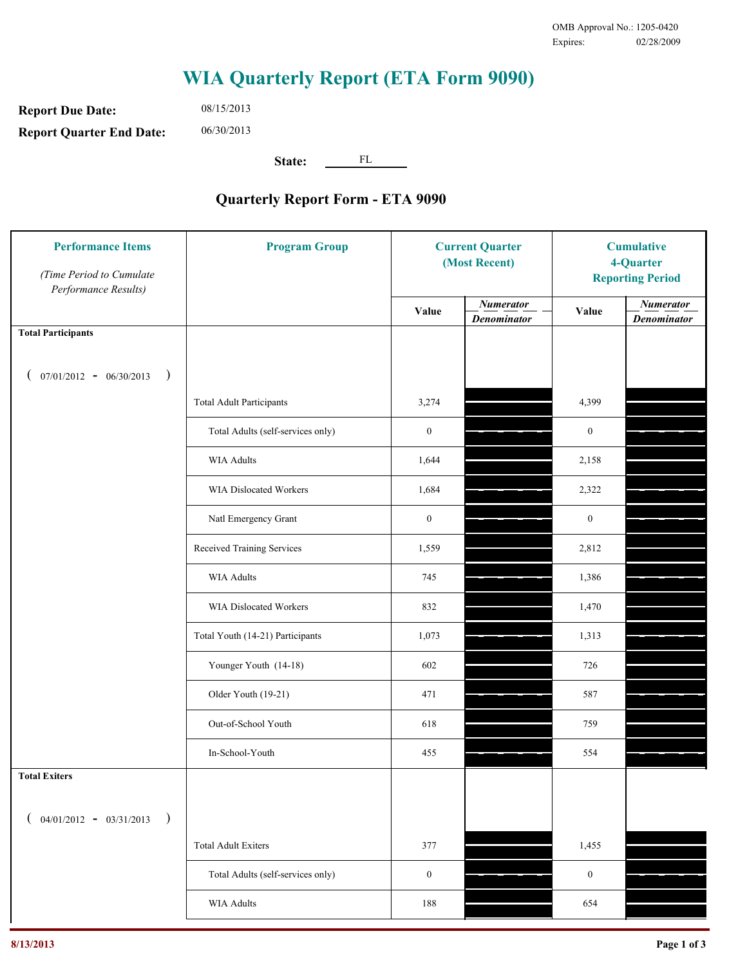**Report Due Date: Report Quarter End Date:** 08/15/2013 06/30/2013

**State:** FL

| <b>Performance Items</b><br>(Time Period to Cumulate<br>Performance Results) | <b>Program Group</b>              | <b>Current Quarter</b><br>(Most Recent) |                                        | <b>Cumulative</b><br>4-Quarter<br><b>Reporting Period</b> |                                        |
|------------------------------------------------------------------------------|-----------------------------------|-----------------------------------------|----------------------------------------|-----------------------------------------------------------|----------------------------------------|
|                                                                              |                                   | Value                                   | <b>Numerator</b><br><b>Denominator</b> | Value                                                     | <b>Numerator</b><br><b>Denominator</b> |
| <b>Total Participants</b>                                                    |                                   |                                         |                                        |                                                           |                                        |
| $07/01/2012 - 06/30/2013$<br>$\big)$                                         |                                   |                                         |                                        |                                                           |                                        |
|                                                                              | <b>Total Adult Participants</b>   | 3,274                                   |                                        | 4,399                                                     |                                        |
|                                                                              | Total Adults (self-services only) | $\boldsymbol{0}$                        |                                        | $\boldsymbol{0}$                                          |                                        |
|                                                                              | WIA Adults                        | 1,644                                   |                                        | 2,158                                                     |                                        |
|                                                                              | <b>WIA Dislocated Workers</b>     | 1,684                                   |                                        | 2,322                                                     |                                        |
|                                                                              | Natl Emergency Grant              | $\boldsymbol{0}$                        |                                        | $\mathbf{0}$                                              |                                        |
|                                                                              | Received Training Services        | 1,559                                   |                                        | 2,812                                                     |                                        |
|                                                                              | <b>WIA Adults</b>                 | 745                                     |                                        | 1,386                                                     |                                        |
|                                                                              | WIA Dislocated Workers            | 832                                     |                                        | 1,470                                                     |                                        |
|                                                                              | Total Youth (14-21) Participants  | 1,073                                   |                                        | 1,313                                                     |                                        |
|                                                                              | Younger Youth (14-18)             | 602                                     |                                        | 726                                                       |                                        |
|                                                                              | Older Youth (19-21)               | 471                                     |                                        | 587                                                       |                                        |
|                                                                              | Out-of-School Youth               | 618                                     |                                        | 759                                                       |                                        |
|                                                                              | In-School-Youth                   | 455                                     |                                        | 554                                                       |                                        |
| <b>Total Exiters</b>                                                         |                                   |                                         |                                        |                                                           |                                        |
| $04/01/2012 - 03/31/2013$<br>$\lambda$<br>$\overline{ }$                     |                                   |                                         |                                        |                                                           |                                        |
|                                                                              | <b>Total Adult Exiters</b>        | 377                                     |                                        | 1,455                                                     |                                        |
|                                                                              | Total Adults (self-services only) | $\mathbf{0}$                            |                                        | $\boldsymbol{0}$                                          |                                        |
|                                                                              | <b>WIA Adults</b>                 | 188                                     |                                        | 654                                                       |                                        |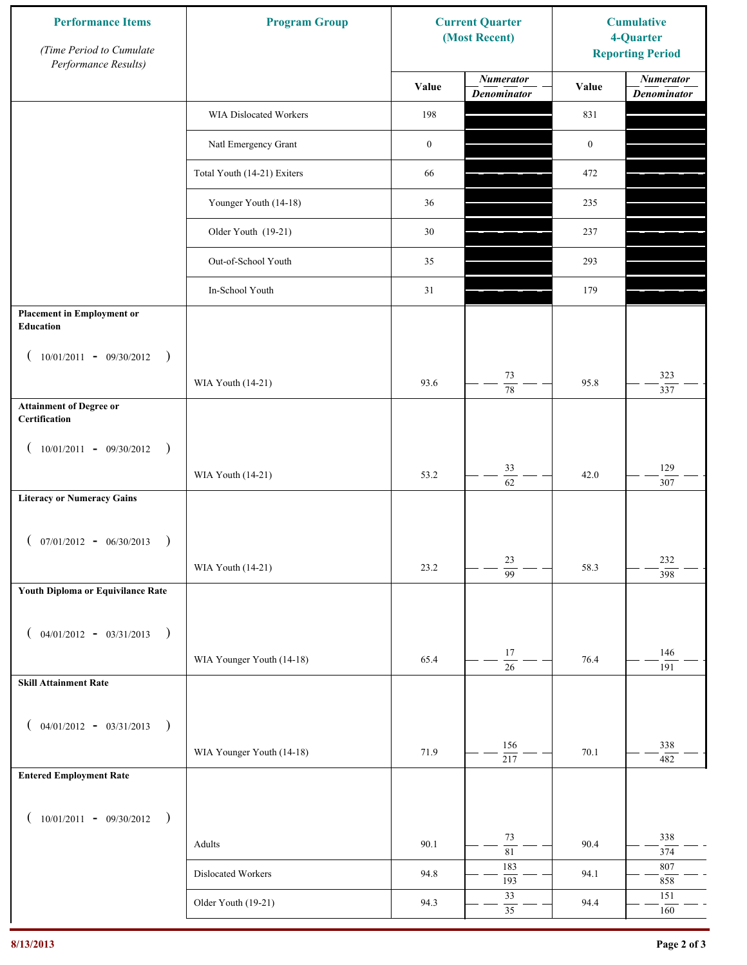| <b>Performance Items</b><br>(Time Period to Cumulate<br>Performance Results) | <b>Program Group</b>        |                  | <b>Current Quarter</b><br>(Most Recent) | <b>Cumulative</b><br>4-Quarter<br><b>Reporting Period</b> |                                        |
|------------------------------------------------------------------------------|-----------------------------|------------------|-----------------------------------------|-----------------------------------------------------------|----------------------------------------|
|                                                                              |                             | Value            | <b>Numerator</b><br><b>Denominator</b>  | Value                                                     | <b>Numerator</b><br><b>Denominator</b> |
|                                                                              | WIA Dislocated Workers      | 198              |                                         | 831                                                       |                                        |
|                                                                              | Natl Emergency Grant        | $\boldsymbol{0}$ |                                         | $\boldsymbol{0}$                                          |                                        |
|                                                                              | Total Youth (14-21) Exiters | 66               |                                         | 472                                                       |                                        |
|                                                                              | Younger Youth (14-18)       | 36               |                                         | 235                                                       |                                        |
|                                                                              | Older Youth (19-21)         | 30               |                                         | 237                                                       |                                        |
|                                                                              | Out-of-School Youth         | 35               |                                         | 293                                                       |                                        |
|                                                                              | In-School Youth             | 31               |                                         | 179                                                       |                                        |
| <b>Placement in Employment or</b><br>Education                               |                             |                  |                                         |                                                           |                                        |
| $10/01/2011 - 09/30/2012$<br>$\rightarrow$                                   |                             |                  |                                         |                                                           |                                        |
|                                                                              | WIA Youth (14-21)           | 93.6             | 73<br>$\overline{78}$                   | 95.8                                                      | 323<br>337                             |
| <b>Attainment of Degree or</b><br>Certification                              |                             |                  |                                         |                                                           |                                        |
| $(10/01/2011 - 09/30/2012)$<br>$\rightarrow$                                 |                             |                  |                                         |                                                           |                                        |
|                                                                              | WIA Youth (14-21)           | 53.2             | 33<br>$\overline{62}$                   | 42.0                                                      | 129<br>307                             |
| <b>Literacy or Numeracy Gains</b>                                            |                             |                  |                                         |                                                           |                                        |
| $(07/01/2012 - 06/30/2013)$<br>$\rightarrow$                                 |                             |                  |                                         |                                                           |                                        |
|                                                                              | WIA Youth (14-21)           | 23.2             | 23<br>$\overline{99}$                   | 58.3                                                      | 232<br>398                             |
| Youth Diploma or Equivilance Rate                                            |                             |                  |                                         |                                                           |                                        |
| $04/01/2012 - 03/31/2013$ )<br>€                                             |                             |                  |                                         |                                                           |                                        |
|                                                                              | WIA Younger Youth (14-18)   | 65.4             | $17\,$                                  | 76.4                                                      | 146                                    |
| <b>Skill Attainment Rate</b>                                                 |                             |                  | $\overline{26}$                         |                                                           | 191                                    |
|                                                                              |                             |                  |                                         |                                                           |                                        |
| $04/01/2012 - 03/31/2013$ )<br>$\overline{ }$                                | WIA Younger Youth (14-18)   | 71.9             | 156                                     | 70.1                                                      | 338                                    |
| <b>Entered Employment Rate</b>                                               |                             |                  | $\overline{217}$                        |                                                           | 482                                    |
|                                                                              |                             |                  |                                         |                                                           |                                        |
| $10/01/2011 - 09/30/2012$ )                                                  |                             |                  | 73                                      |                                                           | 338                                    |
|                                                                              | Adults                      | 90.1             | $\overline{81}$                         | 90.4                                                      | 374                                    |
|                                                                              | Dislocated Workers          | 94.8             | 183<br>193                              | 94.1                                                      | 807<br>858                             |
|                                                                              | Older Youth (19-21)         | 94.3             | 33<br>$\overline{35}$                   | 94.4                                                      | 151<br>160                             |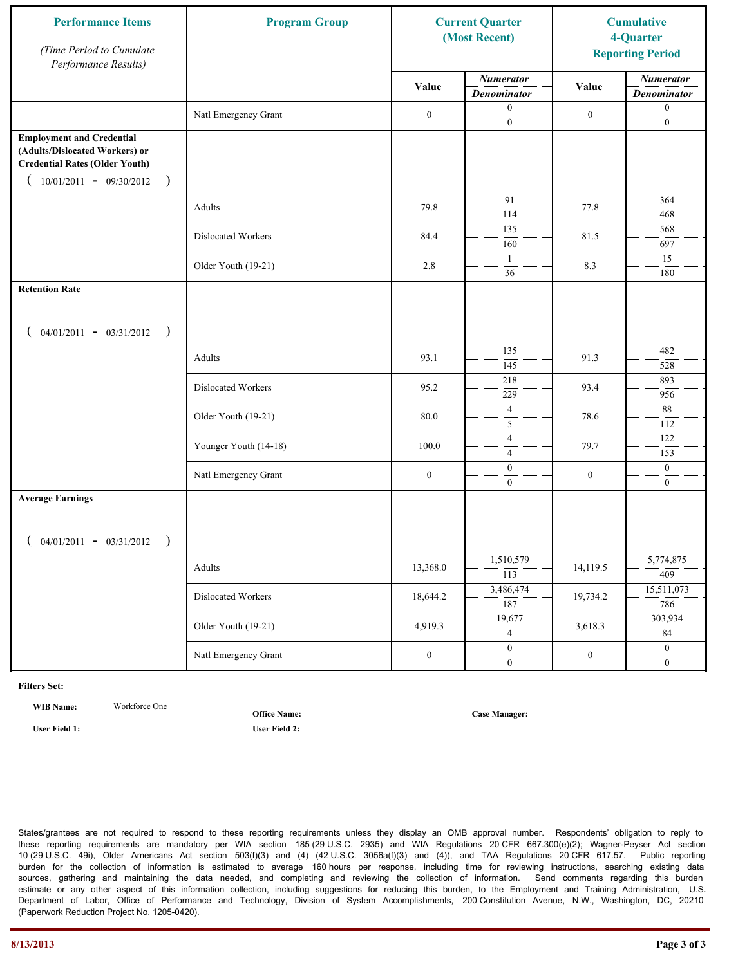| <b>Performance Items</b><br>(Time Period to Cumulate<br>Performance Results)                                                                              | <b>Program Group</b>  |                  | <b>Current Quarter</b><br>(Most Recent) |                  | <b>Cumulative</b><br>4-Quarter<br><b>Reporting Period</b> |
|-----------------------------------------------------------------------------------------------------------------------------------------------------------|-----------------------|------------------|-----------------------------------------|------------------|-----------------------------------------------------------|
|                                                                                                                                                           |                       | Value            | <b>Numerator</b><br><b>Denominator</b>  | Value            | <b>Numerator</b><br><b>Denominator</b>                    |
|                                                                                                                                                           | Natl Emergency Grant  | $\boldsymbol{0}$ | $\boldsymbol{0}$<br>$\mathbf{0}$        | $\boldsymbol{0}$ | $\boldsymbol{0}$<br>$\boldsymbol{0}$                      |
| <b>Employment and Credential</b><br>(Adults/Dislocated Workers) or<br><b>Credential Rates (Older Youth)</b><br>$10/01/2011 - 09/30/2012$<br>$\rightarrow$ |                       |                  |                                         |                  |                                                           |
|                                                                                                                                                           | Adults                | 79.8             | 91<br>114                               | 77.8             | 364<br>468                                                |
|                                                                                                                                                           | Dislocated Workers    | 84.4             | 135<br>160                              | 81.5             | 568<br>697                                                |
|                                                                                                                                                           | Older Youth (19-21)   | 2.8              | $\overline{1}$<br>36                    | 8.3              | 15<br>180                                                 |
| <b>Retention Rate</b>                                                                                                                                     |                       |                  |                                         |                  |                                                           |
| $04/01/2011 - 03/31/2012$ )                                                                                                                               |                       |                  |                                         |                  |                                                           |
|                                                                                                                                                           | Adults                | 93.1             | 135<br>145                              | 91.3             | 482<br>528                                                |
|                                                                                                                                                           | Dislocated Workers    | 95.2             | 218<br>229                              | 93.4             | 893<br>956                                                |
|                                                                                                                                                           | Older Youth (19-21)   | 80.0             | $\overline{4}$<br>5                     | 78.6             | 88<br>112                                                 |
|                                                                                                                                                           | Younger Youth (14-18) | 100.0            | $\overline{4}$<br>$\overline{4}$        | 79.7             | 122<br>153                                                |
|                                                                                                                                                           | Natl Emergency Grant  | $\boldsymbol{0}$ | $\boldsymbol{0}$<br>$\mathbf{0}$        | $\boldsymbol{0}$ | $\boldsymbol{0}$<br>$\overline{0}$                        |
| <b>Average Earnings</b>                                                                                                                                   |                       |                  |                                         |                  |                                                           |
| $04/01/2011 - 03/31/2012$ )                                                                                                                               |                       |                  |                                         |                  |                                                           |
|                                                                                                                                                           | Adults                | 13,368.0         | 1,510,579<br>$\overline{113}$           | 14,119.5         | 5,774,875<br>409                                          |
|                                                                                                                                                           | Dislocated Workers    | 18,644.2         | 3,486,474<br>187                        | 19,734.2         | 15,511,073<br>786                                         |
|                                                                                                                                                           | Older Youth (19-21)   | 4,919.3          | 19,677<br>$\overline{4}$                | 3,618.3          | 303,934<br>84                                             |
|                                                                                                                                                           | Natl Emergency Grant  | $\boldsymbol{0}$ | $\overline{0}$<br>$\overline{0}$        | $\boldsymbol{0}$ | $\overline{0}$<br>$\overline{0}$                          |

**WIB Name:** Workforce One

**Office Name:**

**User Field 1: User Field 2:**

**Case Manager:**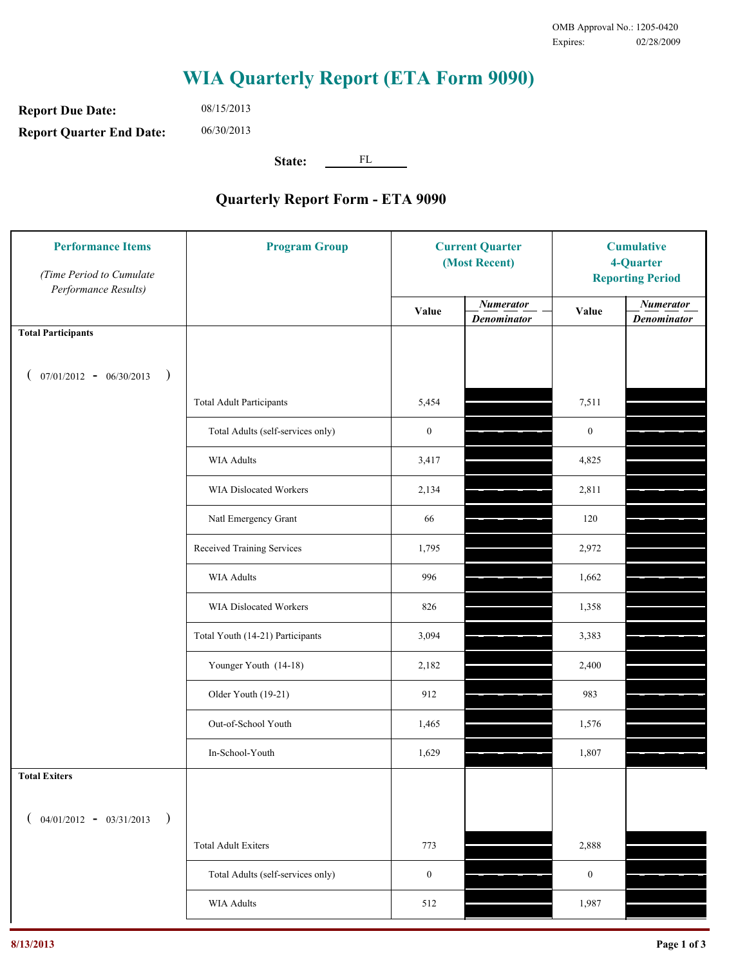**Report Due Date: Report Quarter End Date:** 08/15/2013 06/30/2013

**State:** FL

| <b>Performance Items</b><br>(Time Period to Cumulate<br>Performance Results) | <b>Program Group</b>              | <b>Current Quarter</b><br>(Most Recent) |                                        | <b>Cumulative</b><br>4-Quarter<br><b>Reporting Period</b> |                                        |
|------------------------------------------------------------------------------|-----------------------------------|-----------------------------------------|----------------------------------------|-----------------------------------------------------------|----------------------------------------|
|                                                                              |                                   | Value                                   | <b>Numerator</b><br><b>Denominator</b> | Value                                                     | <b>Numerator</b><br><b>Denominator</b> |
| <b>Total Participants</b>                                                    |                                   |                                         |                                        |                                                           |                                        |
| $07/01/2012 - 06/30/2013$ )                                                  |                                   |                                         |                                        |                                                           |                                        |
|                                                                              | <b>Total Adult Participants</b>   | 5,454                                   |                                        | 7,511                                                     |                                        |
|                                                                              | Total Adults (self-services only) | $\boldsymbol{0}$                        |                                        | $\boldsymbol{0}$                                          |                                        |
|                                                                              | WIA Adults                        | 3,417                                   |                                        | 4,825                                                     |                                        |
|                                                                              | WIA Dislocated Workers            | 2,134                                   |                                        | 2,811                                                     |                                        |
|                                                                              | Natl Emergency Grant              | 66                                      |                                        | 120                                                       |                                        |
|                                                                              | Received Training Services        | 1,795                                   |                                        | 2,972                                                     |                                        |
|                                                                              | WIA Adults                        | 996                                     |                                        | 1,662                                                     |                                        |
|                                                                              | WIA Dislocated Workers            | 826                                     |                                        | 1,358                                                     |                                        |
|                                                                              | Total Youth (14-21) Participants  | 3,094                                   |                                        | 3,383                                                     |                                        |
|                                                                              | Younger Youth (14-18)             | 2,182                                   |                                        | 2,400                                                     |                                        |
|                                                                              | Older Youth (19-21)               | 912                                     |                                        | 983                                                       |                                        |
|                                                                              | Out-of-School Youth               | 1,465                                   |                                        | 1,576                                                     |                                        |
|                                                                              | In-School-Youth                   | 1,629                                   |                                        | 1,807                                                     |                                        |
| <b>Total Exiters</b>                                                         |                                   |                                         |                                        |                                                           |                                        |
| $($ 04/01/2012 - 03/31/2013<br>$\rightarrow$                                 |                                   |                                         |                                        |                                                           |                                        |
|                                                                              | <b>Total Adult Exiters</b>        | 773                                     |                                        | 2,888                                                     |                                        |
|                                                                              | Total Adults (self-services only) | $\boldsymbol{0}$                        |                                        | $\boldsymbol{0}$                                          |                                        |
|                                                                              | <b>WIA Adults</b>                 | 512                                     |                                        | 1,987                                                     |                                        |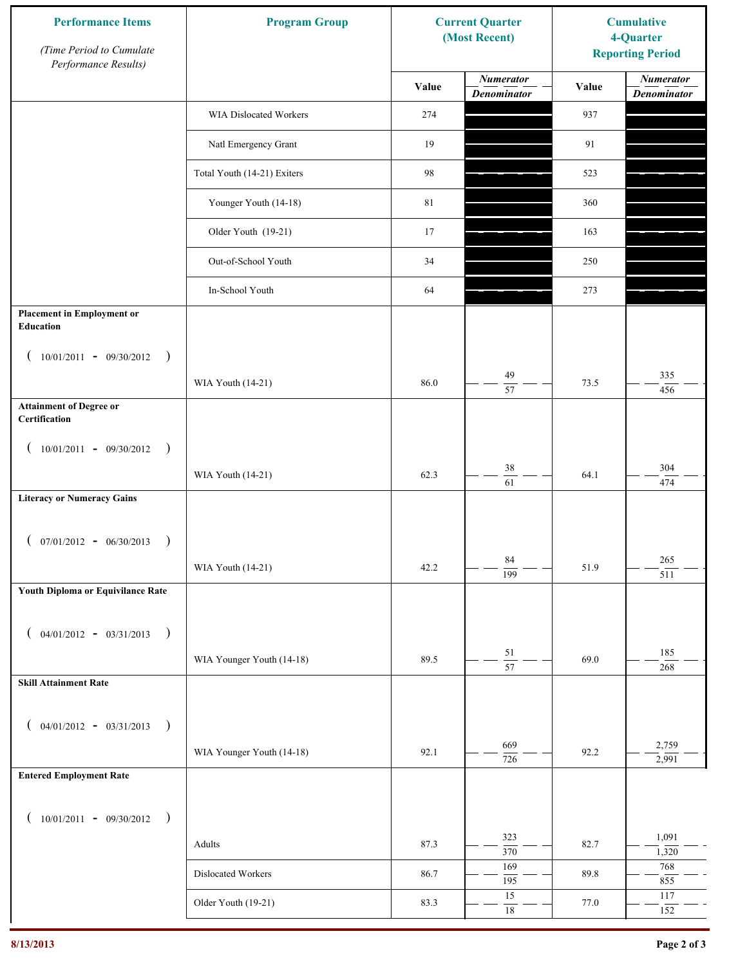| <b>Performance Items</b><br>(Time Period to Cumulate<br>Performance Results) | <b>Program Group</b>        |        | <b>Current Quarter</b><br>(Most Recent) | <b>Cumulative</b><br>4-Quarter<br><b>Reporting Period</b> |                                        |
|------------------------------------------------------------------------------|-----------------------------|--------|-----------------------------------------|-----------------------------------------------------------|----------------------------------------|
|                                                                              |                             | Value  | <b>Numerator</b><br><b>Denominator</b>  | Value                                                     | <b>Numerator</b><br><b>Denominator</b> |
|                                                                              | WIA Dislocated Workers      | 274    |                                         | 937                                                       |                                        |
|                                                                              | Natl Emergency Grant        | 19     |                                         | 91                                                        |                                        |
|                                                                              | Total Youth (14-21) Exiters | 98     |                                         | 523                                                       |                                        |
|                                                                              | Younger Youth (14-18)       | $81\,$ |                                         | 360                                                       |                                        |
|                                                                              | Older Youth (19-21)         | 17     |                                         | 163                                                       |                                        |
|                                                                              | Out-of-School Youth         | 34     |                                         | 250                                                       |                                        |
|                                                                              | In-School Youth             | 64     |                                         | 273                                                       |                                        |
| <b>Placement in Employment or</b><br>Education                               |                             |        |                                         |                                                           |                                        |
| $10/01/2011 - 09/30/2012$<br>$\rightarrow$                                   |                             |        |                                         |                                                           |                                        |
|                                                                              | WIA Youth (14-21)           | 86.0   | 49<br>57                                | 73.5                                                      | 335<br>456                             |
| <b>Attainment of Degree or</b><br>Certification                              |                             |        |                                         |                                                           |                                        |
| $(10/01/2011 - 09/30/2012)$<br>$\rightarrow$                                 |                             |        |                                         |                                                           |                                        |
|                                                                              | WIA Youth (14-21)           | 62.3   | $38\,$<br>$\overline{61}$               | 64.1                                                      | 304<br>474                             |
| <b>Literacy or Numeracy Gains</b>                                            |                             |        |                                         |                                                           |                                        |
| $($ 07/01/2012 - 06/30/2013<br>$\rightarrow$                                 |                             |        |                                         |                                                           |                                        |
|                                                                              | WIA Youth (14-21)           | 42.2   | 84<br>$\overline{199}$                  | 51.9                                                      | 265<br>511                             |
| Youth Diploma or Equivilance Rate                                            |                             |        |                                         |                                                           |                                        |
| $04/01/2012 - 03/31/2013$ )                                                  |                             |        |                                         |                                                           |                                        |
|                                                                              | WIA Younger Youth (14-18)   | 89.5   | 51<br>57                                | 69.0                                                      | 185<br>$268\,$                         |
| <b>Skill Attainment Rate</b>                                                 |                             |        |                                         |                                                           |                                        |
| $04/01/2012 - 03/31/2013$ )                                                  |                             |        |                                         |                                                           |                                        |
| $\overline{ }$                                                               | WIA Younger Youth (14-18)   | 92.1   | 669                                     | 92.2                                                      | 2,759                                  |
| <b>Entered Employment Rate</b>                                               |                             |        | 726                                     |                                                           | 2,991                                  |
|                                                                              |                             |        |                                         |                                                           |                                        |
| $10/01/2011 - 09/30/2012$ )                                                  |                             |        | 323                                     |                                                           | 1,091                                  |
|                                                                              | Adults                      | 87.3   | 370<br>169                              | 82.7                                                      | 1,320<br>768                           |
|                                                                              | Dislocated Workers          | 86.7   | 195<br>15                               | 89.8                                                      | 855                                    |
|                                                                              | Older Youth (19-21)         | 83.3   | $\overline{18}$                         | 77.0                                                      | 117<br>152                             |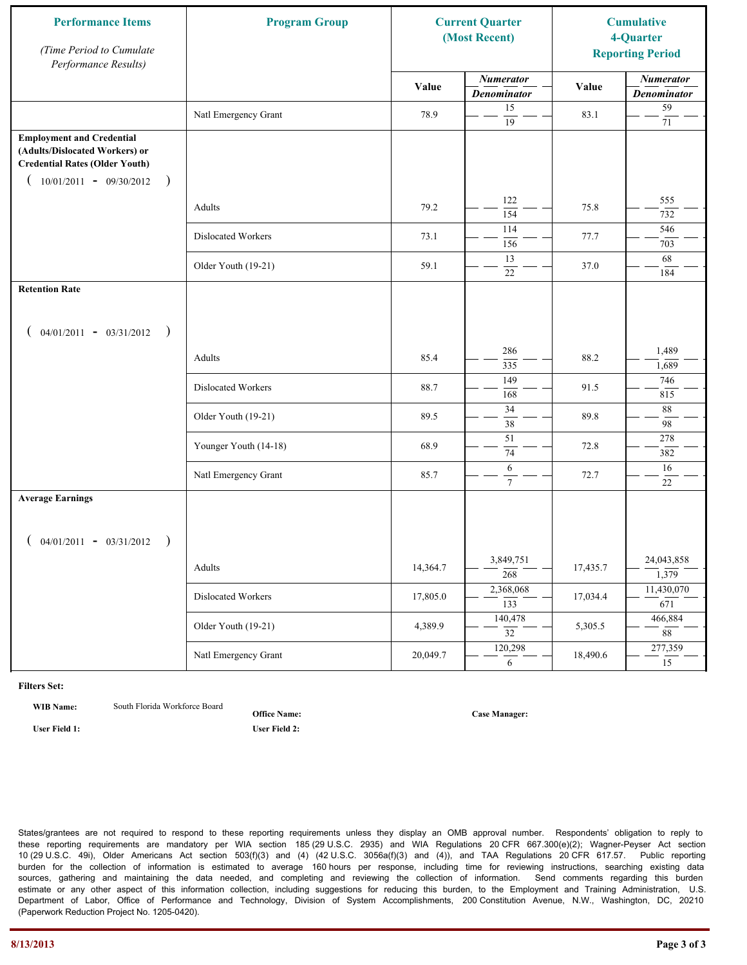| <b>Performance Items</b><br>(Time Period to Cumulate<br>Performance Results)                                                                              | <b>Program Group</b>  |          | <b>Current Quarter</b><br>(Most Recent) |          | <b>Cumulative</b><br>4-Quarter<br><b>Reporting Period</b> |
|-----------------------------------------------------------------------------------------------------------------------------------------------------------|-----------------------|----------|-----------------------------------------|----------|-----------------------------------------------------------|
|                                                                                                                                                           |                       | Value    | <b>Numerator</b><br><b>Denominator</b>  | Value    | <b>Numerator</b><br><b>Denominator</b>                    |
|                                                                                                                                                           | Natl Emergency Grant  | 78.9     | 15<br>$\overline{19}$                   | 83.1     | 59<br>$71\,$                                              |
| <b>Employment and Credential</b><br>(Adults/Dislocated Workers) or<br><b>Credential Rates (Older Youth)</b><br>$10/01/2011 - 09/30/2012$<br>$\rightarrow$ |                       |          |                                         |          |                                                           |
|                                                                                                                                                           | Adults                | 79.2     | 122<br>154                              | 75.8     | 555<br>732                                                |
|                                                                                                                                                           | Dislocated Workers    | 73.1     | 114<br>156                              | 77.7     | 546<br>703                                                |
|                                                                                                                                                           | Older Youth (19-21)   | 59.1     | 13<br>22                                | 37.0     | 68<br>184                                                 |
| <b>Retention Rate</b>                                                                                                                                     |                       |          |                                         |          |                                                           |
| $04/01/2011 - 03/31/2012$ )                                                                                                                               |                       |          |                                         |          |                                                           |
|                                                                                                                                                           | Adults                | 85.4     | 286<br>335                              | 88.2     | 1,489<br>1,689                                            |
|                                                                                                                                                           | Dislocated Workers    | 88.7     | 149<br>168                              | 91.5     | 746<br>815                                                |
|                                                                                                                                                           | Older Youth (19-21)   | 89.5     | 34<br>38                                | 89.8     | 88<br>98                                                  |
|                                                                                                                                                           | Younger Youth (14-18) | 68.9     | $\overline{51}$<br>74                   | 72.8     | 278<br>382                                                |
|                                                                                                                                                           | Natl Emergency Grant  | 85.7     | 6<br>$\tau$                             | 72.7     | 16<br>22                                                  |
| <b>Average Earnings</b>                                                                                                                                   |                       |          |                                         |          |                                                           |
| $04/01/2011 - 03/31/2012$ )                                                                                                                               |                       |          |                                         |          |                                                           |
|                                                                                                                                                           | Adults                | 14,364.7 | 3,849,751<br>$\frac{268}{ }$            | 17,435.7 | 24,043,858<br>$\overline{1,379}$                          |
|                                                                                                                                                           | Dislocated Workers    | 17,805.0 | 2,368,068<br>$\overline{133}$           | 17,034.4 | 11,430,070<br>671                                         |
|                                                                                                                                                           | Older Youth (19-21)   | 4,389.9  | 140,478<br>$\overline{32}$              | 5,305.5  | 466,884<br>88                                             |
|                                                                                                                                                           | Natl Emergency Grant  | 20,049.7 | 120,298<br>6                            | 18,490.6 | 277,359<br>15                                             |

**WIB Name:** South Florida Workforce Board

**Office Name:**

**User Field 1: User Field 2:**

**Case Manager:**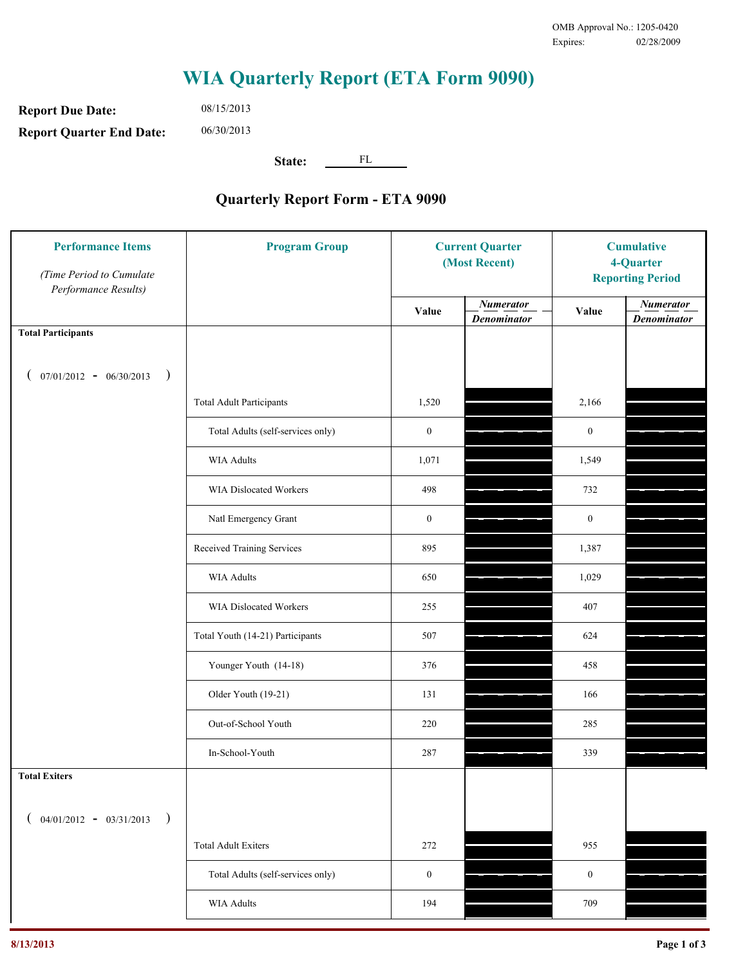**Report Due Date: Report Quarter End Date:** 08/15/2013 06/30/2013

**State:** FL

| <b>Performance Items</b><br>(Time Period to Cumulate<br>Performance Results) | <b>Program Group</b>              | <b>Current Quarter</b><br>(Most Recent) |                                        | <b>Cumulative</b><br>4-Quarter<br><b>Reporting Period</b> |                                        |
|------------------------------------------------------------------------------|-----------------------------------|-----------------------------------------|----------------------------------------|-----------------------------------------------------------|----------------------------------------|
|                                                                              |                                   | Value                                   | <b>Numerator</b><br><b>Denominator</b> | Value                                                     | <b>Numerator</b><br><b>Denominator</b> |
| <b>Total Participants</b>                                                    |                                   |                                         |                                        |                                                           |                                        |
| $07/01/2012 - 06/30/2013$<br>$\big)$<br>€                                    |                                   |                                         |                                        |                                                           |                                        |
|                                                                              | <b>Total Adult Participants</b>   | 1,520                                   |                                        | 2,166                                                     |                                        |
|                                                                              | Total Adults (self-services only) | $\boldsymbol{0}$                        |                                        | $\mathbf{0}$                                              |                                        |
|                                                                              | WIA Adults                        | 1,071                                   |                                        | 1,549                                                     |                                        |
|                                                                              | <b>WIA Dislocated Workers</b>     | 498                                     |                                        | 732                                                       |                                        |
|                                                                              | Natl Emergency Grant              | $\mathbf{0}$                            |                                        | $\bf{0}$                                                  |                                        |
|                                                                              | Received Training Services        | 895                                     |                                        | 1,387                                                     |                                        |
|                                                                              | WIA Adults                        | 650                                     |                                        | 1,029                                                     |                                        |
|                                                                              | WIA Dislocated Workers            | 255                                     |                                        | 407                                                       |                                        |
|                                                                              | Total Youth (14-21) Participants  | 507                                     |                                        | 624                                                       |                                        |
|                                                                              | Younger Youth (14-18)             | 376                                     |                                        | 458                                                       |                                        |
|                                                                              | Older Youth (19-21)               | 131                                     |                                        | 166                                                       |                                        |
|                                                                              | Out-of-School Youth               | 220                                     |                                        | 285                                                       |                                        |
|                                                                              | In-School-Youth                   | 287                                     |                                        | 339                                                       |                                        |
| <b>Total Exiters</b>                                                         |                                   |                                         |                                        |                                                           |                                        |
| $($ 04/01/2012 - 03/31/2013<br>$\lambda$                                     |                                   |                                         |                                        |                                                           |                                        |
|                                                                              | <b>Total Adult Exiters</b>        | 272                                     |                                        | 955                                                       |                                        |
|                                                                              | Total Adults (self-services only) | $\mathbf{0}$                            |                                        | $\mathbf{0}$                                              |                                        |
|                                                                              | <b>WIA Adults</b>                 | 194                                     |                                        | 709                                                       |                                        |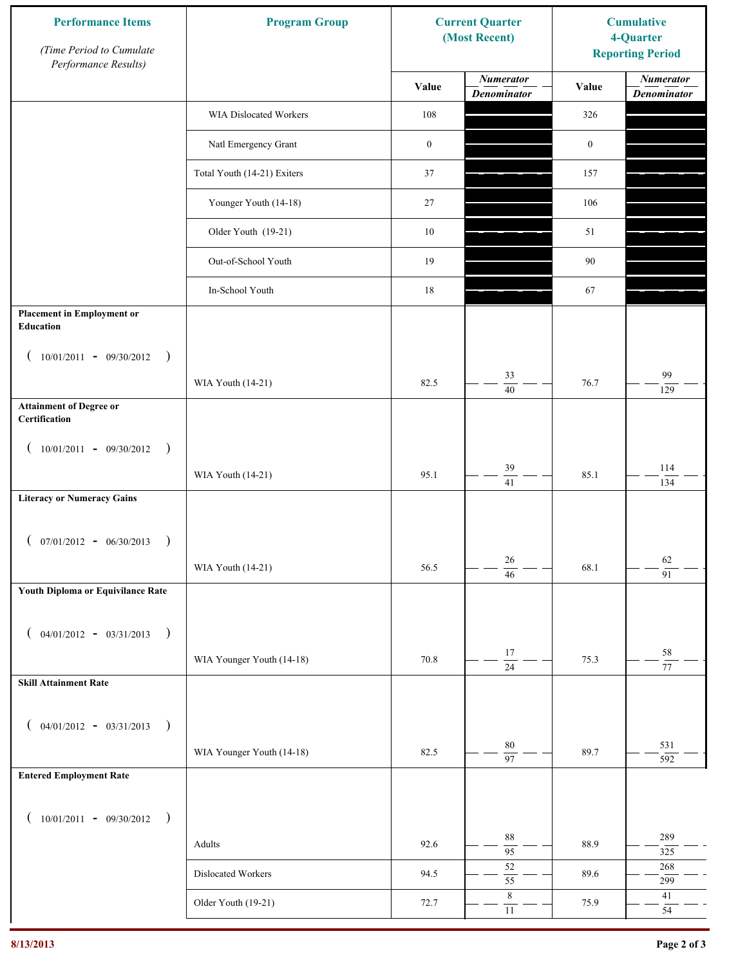| <b>Performance Items</b><br>(Time Period to Cumulate<br>Performance Results) | <b>Program Group</b>        |                  | <b>Current Quarter</b><br>(Most Recent) |                  | <b>Cumulative</b><br>4-Quarter<br><b>Reporting Period</b> |
|------------------------------------------------------------------------------|-----------------------------|------------------|-----------------------------------------|------------------|-----------------------------------------------------------|
|                                                                              |                             | Value            | <b>Numerator</b><br><b>Denominator</b>  | Value            | <b>Numerator</b><br><b>Denominator</b>                    |
|                                                                              | WIA Dislocated Workers      | 108              |                                         | 326              |                                                           |
|                                                                              | Natl Emergency Grant        | $\boldsymbol{0}$ |                                         | $\boldsymbol{0}$ |                                                           |
|                                                                              | Total Youth (14-21) Exiters | 37               |                                         | 157              |                                                           |
|                                                                              | Younger Youth (14-18)       | 27               |                                         | 106              |                                                           |
|                                                                              | Older Youth (19-21)         | $10\,$           |                                         | 51               |                                                           |
|                                                                              | Out-of-School Youth         | 19               |                                         | 90               |                                                           |
|                                                                              | In-School Youth             | 18               |                                         | 67               |                                                           |
| <b>Placement in Employment or</b><br>Education                               |                             |                  |                                         |                  |                                                           |
| $10/01/2011 - 09/30/2012$<br>$\rightarrow$                                   |                             |                  |                                         |                  |                                                           |
|                                                                              | WIA Youth (14-21)           | 82.5             | 33<br>$\overline{40}$                   | 76.7             | 99<br>$\frac{1}{29}$                                      |
| <b>Attainment of Degree or</b><br>Certification                              |                             |                  |                                         |                  |                                                           |
| $(10/01/2011 - 09/30/2012)$<br>$\rightarrow$                                 |                             |                  |                                         |                  |                                                           |
|                                                                              | WIA Youth (14-21)           | 95.1             | 39<br>$\overline{41}$                   | 85.1             | 114<br>134                                                |
| <b>Literacy or Numeracy Gains</b>                                            |                             |                  |                                         |                  |                                                           |
| $(07/01/2012 - 06/30/2013)$<br>$\rightarrow$                                 |                             |                  |                                         |                  |                                                           |
|                                                                              | WIA Youth (14-21)           | 56.5             | $26\,$<br>$\overline{46}$               | 68.1             | 62<br>$\overline{91}$                                     |
| Youth Diploma or Equivilance Rate                                            |                             |                  |                                         |                  |                                                           |
| $04/01/2012 - 03/31/2013$ )                                                  |                             |                  |                                         |                  |                                                           |
|                                                                              | WIA Younger Youth (14-18)   | 70.8             | $17\,$                                  | 75.3             | $58\,$                                                    |
| <b>Skill Attainment Rate</b>                                                 |                             |                  | $\overline{24}$                         |                  | $\overline{77}$                                           |
|                                                                              |                             |                  |                                         |                  |                                                           |
| $04/01/2012 - 03/31/2013$ )                                                  |                             | 82.5             | 80                                      | 89.7             | 531                                                       |
| <b>Entered Employment Rate</b>                                               | WIA Younger Youth (14-18)   |                  | $\overline{97}$                         |                  | 592                                                       |
|                                                                              |                             |                  |                                         |                  |                                                           |
| $10/01/2011 - 09/30/2012$ )                                                  |                             |                  | 88                                      |                  | 289                                                       |
|                                                                              | Adults                      | 92.6             | $\overline{95}$                         | 88.9             | 325                                                       |
|                                                                              | Dislocated Workers          | 94.5             | 52<br>$\overline{55}$                   | 89.6             | $268\,$<br>299                                            |
|                                                                              | Older Youth (19-21)         | 72.7             | $\,$ 8 $\,$<br>$11\,$                   | 75.9             | $41\,$<br>54                                              |